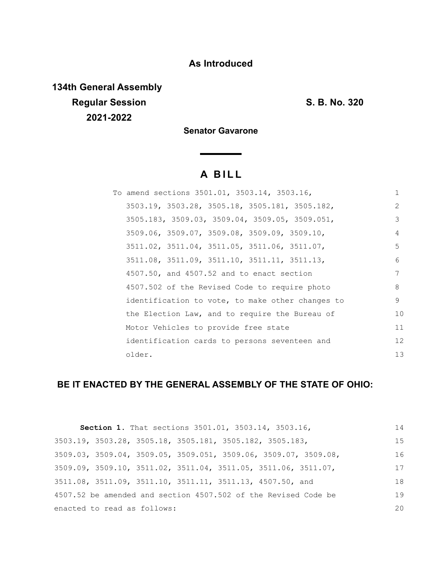### **As Introduced**

**134th General Assembly Regular Session S. B. No. 320 2021-2022**

**Senator Gavarone**

# **A B I L L**

| To amend sections 3501.01, 3503.14, 3503.16,     | 1  |
|--------------------------------------------------|----|
| 3503.19, 3503.28, 3505.18, 3505.181, 3505.182,   | 2  |
| 3505.183, 3509.03, 3509.04, 3509.05, 3509.051,   | 3  |
| 3509.06, 3509.07, 3509.08, 3509.09, 3509.10,     | 4  |
| 3511.02, 3511.04, 3511.05, 3511.06, 3511.07,     | 5  |
| 3511.08, 3511.09, 3511.10, 3511.11, 3511.13,     | 6  |
| $4507.50$ , and $4507.52$ and to enact section   | 7  |
| 4507.502 of the Revised Code to require photo    | 8  |
| identification to vote, to make other changes to | 9  |
| the Election Law, and to require the Bureau of   | 10 |
| Motor Vehicles to provide free state             | 11 |
| identification cards to persons seventeen and    | 12 |
| older.                                           | 13 |

## **BE IT ENACTED BY THE GENERAL ASSEMBLY OF THE STATE OF OHIO:**

| Section 1. That sections 3501.01, 3503.14, 3503.16,                                  | 14  |
|--------------------------------------------------------------------------------------|-----|
| 3503.19, 3503.28, 3505.18, 3505.181, 3505.182, 3505.183,                             | 1.5 |
| $3509.03$ , $3509.04$ , $3509.05$ , $3509.051$ , $3509.06$ , $3509.07$ , $3509.08$ , | 16  |
| $3509.09$ , $3509.10$ , $3511.02$ , $3511.04$ , $3511.05$ , $3511.06$ , $3511.07$ ,  | 17  |
| 3511.08, 3511.09, 3511.10, 3511.11, 3511.13, 4507.50, and                            | 18  |
| 4507.52 be amended and section 4507.502 of the Revised Code be                       | 19  |
| enacted to read as follows:                                                          | 20  |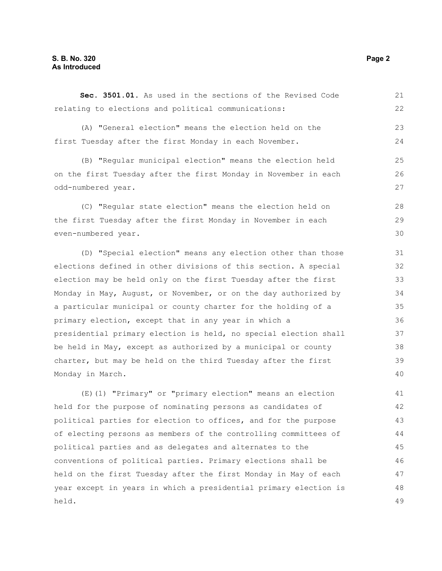held.

| (A) "General election" means the election held on the            | 23 |
|------------------------------------------------------------------|----|
| first Tuesday after the first Monday in each November.           | 24 |
| (B) "Reqular municipal election" means the election held         | 25 |
| on the first Tuesday after the first Monday in November in each  | 26 |
| odd-numbered year.                                               | 27 |
| (C) "Regular state election" means the election held on          | 28 |
| the first Tuesday after the first Monday in November in each     | 29 |
| even-numbered year.                                              | 30 |
| (D) "Special election" means any election other than those       | 31 |
| elections defined in other divisions of this section. A special  | 32 |
| election may be held only on the first Tuesday after the first   | 33 |
| Monday in May, August, or November, or on the day authorized by  | 34 |
| a particular municipal or county charter for the holding of a    | 35 |
| primary election, except that in any year in which a             | 36 |
| presidential primary election is held, no special election shall | 37 |
| be held in May, except as authorized by a municipal or county    | 38 |
| charter, but may be held on the third Tuesday after the first    | 39 |
| Monday in March.                                                 | 40 |
| (E) (1) "Primary" or "primary election" means an election        | 41 |
| held for the purpose of nominating persons as candidates of      | 42 |
| political parties for election to offices, and for the purpose   | 43 |
| of electing persons as members of the controlling committees of  | 44 |
|                                                                  |    |

**Sec. 3501.01.** As used in the sections of the Revised Code

relating to elections and political communications:

political parties and as delegates and alternates to the

conventions of political parties. Primary elections shall be

held on the first Tuesday after the first Monday in May of each year except in years in which a presidential primary election is

21 22

48 49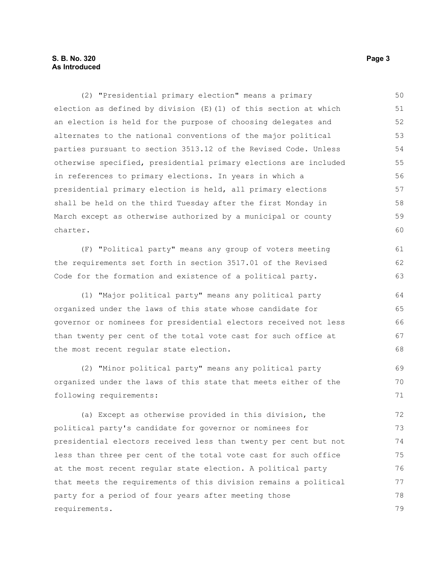#### **S. B. No. 320** Page 3 **As Introduced**

(2) "Presidential primary election" means a primary election as defined by division (E)(1) of this section at which an election is held for the purpose of choosing delegates and alternates to the national conventions of the major political parties pursuant to section 3513.12 of the Revised Code. Unless otherwise specified, presidential primary elections are included in references to primary elections. In years in which a presidential primary election is held, all primary elections shall be held on the third Tuesday after the first Monday in March except as otherwise authorized by a municipal or county charter. (F) "Political party" means any group of voters meeting the requirements set forth in section 3517.01 of the Revised Code for the formation and existence of a political party. (1) "Major political party" means any political party organized under the laws of this state whose candidate for governor or nominees for presidential electors received not less than twenty per cent of the total vote cast for such office at the most recent regular state election. (2) "Minor political party" means any political party organized under the laws of this state that meets either of the following requirements: (a) Except as otherwise provided in this division, the political party's candidate for governor or nominees for presidential electors received less than twenty per cent but not less than three per cent of the total vote cast for such office at the most recent regular state election. A political party that meets the requirements of this division remains a political party for a period of four years after meeting those requirements. 50 51 52 53 54 55 56 57 58 59 60 61 62 63 64 65 66 67 68 69 70 71 72 73 74 75 76 77 78 79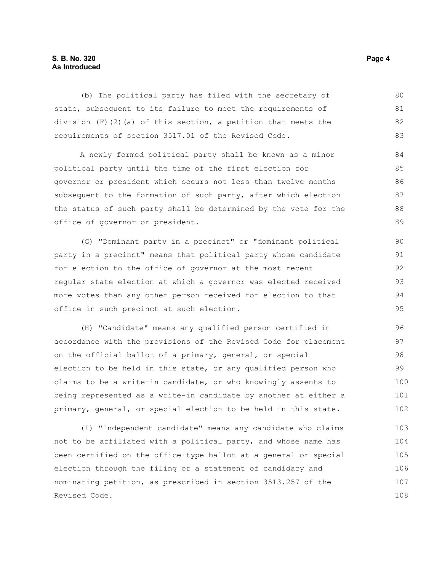#### **S. B. No. 320** Page 4 **As Introduced**

(b) The political party has filed with the secretary of state, subsequent to its failure to meet the requirements of division  $(F)$  (2)(a) of this section, a petition that meets the requirements of section 3517.01 of the Revised Code. 80 81 82 83

A newly formed political party shall be known as a minor political party until the time of the first election for governor or president which occurs not less than twelve months subsequent to the formation of such party, after which election the status of such party shall be determined by the vote for the office of governor or president.

(G) "Dominant party in a precinct" or "dominant political party in a precinct" means that political party whose candidate for election to the office of governor at the most recent regular state election at which a governor was elected received more votes than any other person received for election to that office in such precinct at such election.

(H) "Candidate" means any qualified person certified in accordance with the provisions of the Revised Code for placement on the official ballot of a primary, general, or special election to be held in this state, or any qualified person who claims to be a write-in candidate, or who knowingly assents to being represented as a write-in candidate by another at either a primary, general, or special election to be held in this state. 96 97 98 99 100 101 102

(I) "Independent candidate" means any candidate who claims not to be affiliated with a political party, and whose name has been certified on the office-type ballot at a general or special election through the filing of a statement of candidacy and nominating petition, as prescribed in section 3513.257 of the Revised Code. 103 104 105 106 107 108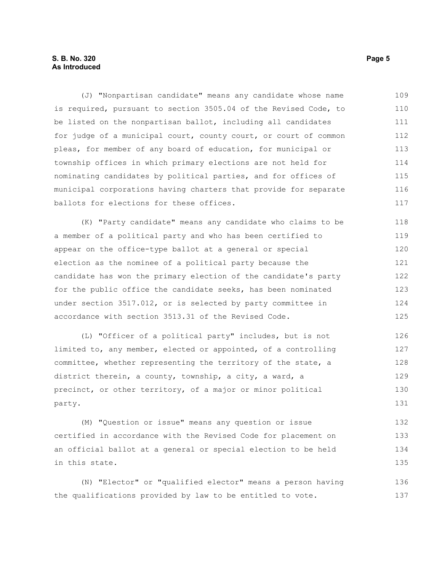#### **S. B. No. 320** Page 5 **As Introduced**

(J) "Nonpartisan candidate" means any candidate whose name is required, pursuant to section 3505.04 of the Revised Code, to be listed on the nonpartisan ballot, including all candidates for judge of a municipal court, county court, or court of common pleas, for member of any board of education, for municipal or township offices in which primary elections are not held for nominating candidates by political parties, and for offices of municipal corporations having charters that provide for separate ballots for elections for these offices. 109 110 111 112 113 114 115 116 117

(K) "Party candidate" means any candidate who claims to be a member of a political party and who has been certified to appear on the office-type ballot at a general or special election as the nominee of a political party because the candidate has won the primary election of the candidate's party for the public office the candidate seeks, has been nominated under section 3517.012, or is selected by party committee in accordance with section 3513.31 of the Revised Code. 118 119 120 121 122 123 124 125

(L) "Officer of a political party" includes, but is not limited to, any member, elected or appointed, of a controlling committee, whether representing the territory of the state, a district therein, a county, township, a city, a ward, a precinct, or other territory, of a major or minor political party. 126 127 128 129 130 131

(M) "Question or issue" means any question or issue certified in accordance with the Revised Code for placement on an official ballot at a general or special election to be held in this state. 132 133 134 135

(N) "Elector" or "qualified elector" means a person having the qualifications provided by law to be entitled to vote. 136 137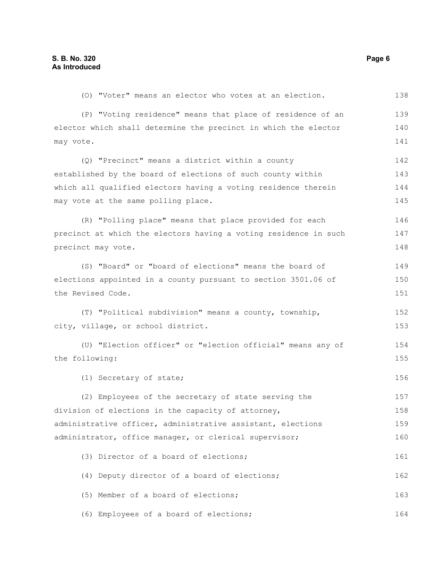| (0) "Voter" means an elector who votes at an election.           | 138 |
|------------------------------------------------------------------|-----|
| (P) "Voting residence" means that place of residence of an       | 139 |
| elector which shall determine the precinct in which the elector  | 140 |
| may vote.                                                        | 141 |
| (Q) "Precinct" means a district within a county                  | 142 |
| established by the board of elections of such county within      | 143 |
| which all qualified electors having a voting residence therein   | 144 |
| may vote at the same polling place.                              | 145 |
| (R) "Polling place" means that place provided for each           | 146 |
| precinct at which the electors having a voting residence in such | 147 |
| precinct may vote.                                               | 148 |
| (S) "Board" or "board of elections" means the board of           | 149 |
| elections appointed in a county pursuant to section 3501.06 of   | 150 |
| the Revised Code.                                                |     |
| (T) "Political subdivision" means a county, township,            | 152 |
| city, village, or school district.                               | 153 |
| (U) "Election officer" or "election official" means any of       | 154 |
| the following:                                                   | 155 |
| (1) Secretary of state;                                          | 156 |
| (2) Employees of the secretary of state serving the              | 157 |
| division of elections in the capacity of attorney,               | 158 |
| administrative officer, administrative assistant, elections      | 159 |
| administrator, office manager, or clerical supervisor;           | 160 |
| (3) Director of a board of elections;                            | 161 |
| (4) Deputy director of a board of elections;                     | 162 |
| (5) Member of a board of elections;                              | 163 |
| (6) Employees of a board of elections;                           | 164 |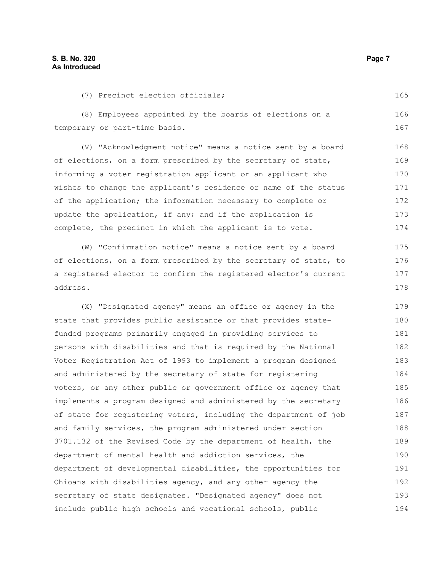(7) Precinct election officials;

(8) Employees appointed by the boards of elections on a temporary or part-time basis. (V) "Acknowledgment notice" means a notice sent by a board of elections, on a form prescribed by the secretary of state, informing a voter registration applicant or an applicant who wishes to change the applicant's residence or name of the status of the application; the information necessary to complete or update the application, if any; and if the application is complete, the precinct in which the applicant is to vote. (W) "Confirmation notice" means a notice sent by a board of elections, on a form prescribed by the secretary of state, to a registered elector to confirm the registered elector's current address. (X) "Designated agency" means an office or agency in the state that provides public assistance or that provides statefunded programs primarily engaged in providing services to persons with disabilities and that is required by the National Voter Registration Act of 1993 to implement a program designed and administered by the secretary of state for registering voters, or any other public or government office or agency that implements a program designed and administered by the secretary of state for registering voters, including the department of job and family services, the program administered under section 3701.132 of the Revised Code by the department of health, the department of mental health and addiction services, the department of developmental disabilities, the opportunities for Ohioans with disabilities agency, and any other agency the 166 167 168 169 170 171 172 173 174 175 176 177 178 179 180 181 182 183 184 185 186 187 188 189 190 191 192

secretary of state designates. "Designated agency" does not include public high schools and vocational schools, public

165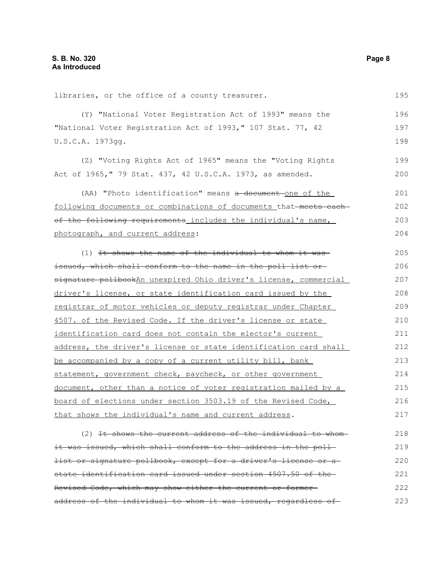libraries, or the office of a county treasurer. (Y) "National Voter Registration Act of 1993" means the "National Voter Registration Act of 1993," 107 Stat. 77, 42 U.S.C.A. 1973gg. (Z) "Voting Rights Act of 1965" means the "Voting Rights Act of 1965," 79 Stat. 437, 42 U.S.C.A. 1973, as amended. (AA) "Photo identification" means a document one of the following documents or combinations of documents that meets each of the following requirements includes the individual's name, photograph, and current address: (1) It shows the name of the individual to whom it was issued, which shall conform to the name in the poll list or signature pollbookAn unexpired Ohio driver's license, commercial driver's license, or state identification card issued by the registrar of motor vehicles or deputy registrar under Chapter 4507. of the Revised Code. If the driver's license or state identification card does not contain the elector's current address, the driver's license or state identification card shall be accompanied by a copy of a current utility bill, bank statement, government check, paycheck, or other government document, other than a notice of voter registration mailed by a board of elections under section 3503.19 of the Revised Code, that shows the individual's name and current address.  $(2)$  It shows the current address of the individual to whomit was issued, which shall conform to the address in the poll-196 197 198 199 200 201 202 203 204 205 206 207 208 209 210 211 212 213 214 215 216 217 218 219

list or signature pollbook, except for a driver's license or a state identification card issued under section 4507.50 of the Revised Code, which may show either the current or former address of the individual to whom it was issued, regardless of-220 221 222 223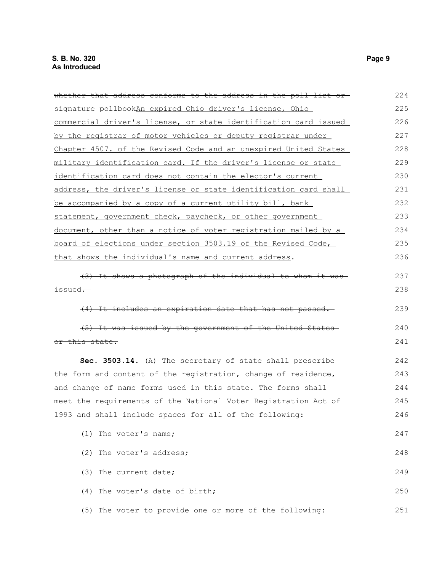| whether that address conforms to the address in the poll list or- | 224 |
|-------------------------------------------------------------------|-----|
| signature pollbookAn expired Ohio driver's license, Ohio          | 225 |
| commercial driver's license, or state identification card issued  | 226 |
| by the registrar of motor vehicles or deputy registrar under      | 227 |
| Chapter 4507. of the Revised Code and an unexpired United States  | 228 |
| military identification card. If the driver's license or state    | 229 |
| identification card does not contain the elector's current        | 230 |
| address, the driver's license or state identification card shall  | 231 |
| be accompanied by a copy of a current utility bill, bank          | 232 |
| statement, government check, paycheck, or other government        | 233 |
| document, other than a notice of voter registration mailed by a   | 234 |
| board of elections under section 3503.19 of the Revised Code,     | 235 |
| that shows the individual's name and current address.             | 236 |
| (3) It shows a photograph of the individual to whom it was-       | 237 |
| <del>issued. -</del>                                              | 238 |
| (4) It includes an expiration date that has not passed.           | 239 |
| (5) It was issued by the government of the United States-         | 240 |
| or this state.                                                    | 241 |
| Sec. 3503.14. (A) The secretary of state shall prescribe          | 242 |
| the form and content of the registration, change of residence,    | 243 |
| and change of name forms used in this state. The forms shall      | 244 |
| meet the requirements of the National Voter Registration Act of   | 245 |
| 1993 and shall include spaces for all of the following:           | 246 |
| (1) The voter's name;                                             | 247 |
| (2) The voter's address;                                          | 248 |
| (3) The current date;                                             | 249 |
| (4) The voter's date of birth;                                    | 250 |
| (5) The voter to provide one or more of the following:            | 251 |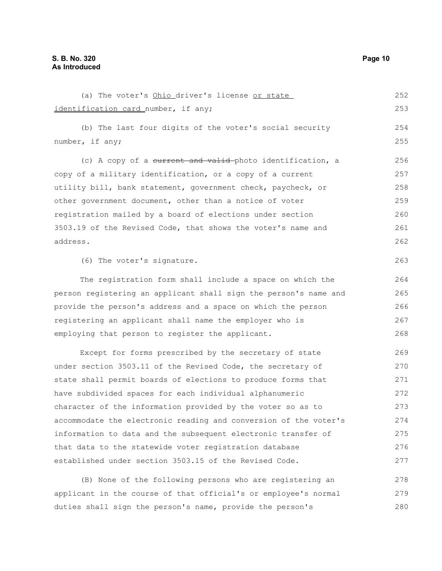(a) The voter's Ohio driver's license or state identification card number, if any; (b) The last four digits of the voter's social security number, if any; (c) A copy of a current and valid photo identification, a copy of a military identification, or a copy of a current utility bill, bank statement, government check, paycheck, or other government document, other than a notice of voter registration mailed by a board of elections under section 3503.19 of the Revised Code, that shows the voter's name and address. (6) The voter's signature. The registration form shall include a space on which the person registering an applicant shall sign the person's name and provide the person's address and a space on which the person registering an applicant shall name the employer who is employing that person to register the applicant. Except for forms prescribed by the secretary of state under section 3503.11 of the Revised Code, the secretary of state shall permit boards of elections to produce forms that have subdivided spaces for each individual alphanumeric character of the information provided by the voter so as to accommodate the electronic reading and conversion of the voter's information to data and the subsequent electronic transfer of that data to the statewide voter registration database established under section 3503.15 of the Revised Code. (B) None of the following persons who are registering an applicant in the course of that official's or employee's normal 252 253 254 255 256 257 258 259 260 261 262 263 264 265 266 267 268 269 270 271 272 273 274 275 276 277 278 279

duties shall sign the person's name, provide the person's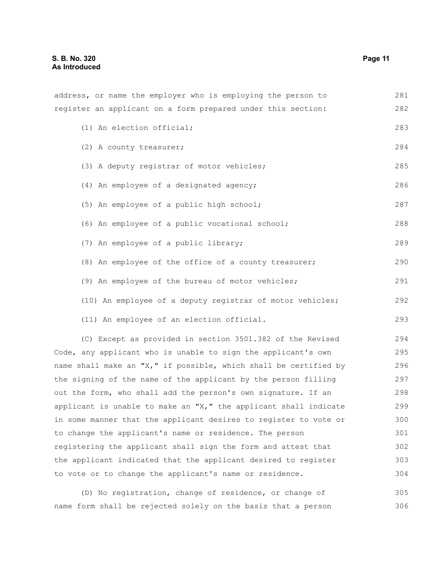address, or name the employer who is employing the person to register an applicant on a form prepared under this section: (1) An election official; (2) A county treasurer; (3) A deputy registrar of motor vehicles; (4) An employee of a designated agency; (5) An employee of a public high school; (6) An employee of a public vocational school; (7) An employee of a public library; (8) An employee of the office of a county treasurer; (9) An employee of the bureau of motor vehicles; (10) An employee of a deputy registrar of motor vehicles; (11) An employee of an election official. (C) Except as provided in section 3501.382 of the Revised Code, any applicant who is unable to sign the applicant's own name shall make an "X," if possible, which shall be certified by the signing of the name of the applicant by the person filling out the form, who shall add the person's own signature. If an applicant is unable to make an " $X,$ " the applicant shall indicate in some manner that the applicant desires to register to vote or 281 282 283 284 285 286 287 288 289 290 291 292 293 294 295 296 297 298 299 300

to change the applicant's name or residence. The person registering the applicant shall sign the form and attest that the applicant indicated that the applicant desired to register to vote or to change the applicant's name or residence. 301 302 303 304

(D) No registration, change of residence, or change of name form shall be rejected solely on the basis that a person 305 306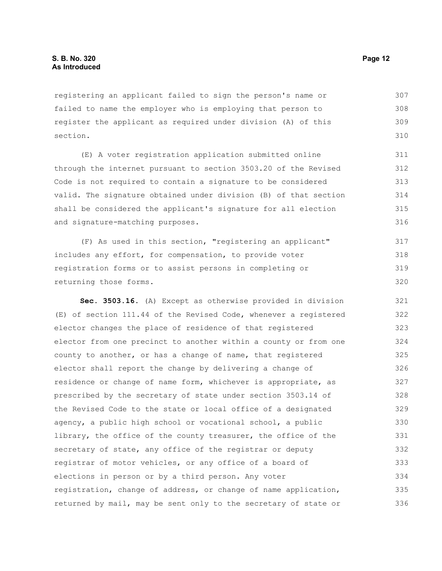registering an applicant failed to sign the person's name or failed to name the employer who is employing that person to register the applicant as required under division (A) of this section. 307 308 309 310

(E) A voter registration application submitted online through the internet pursuant to section 3503.20 of the Revised Code is not required to contain a signature to be considered valid. The signature obtained under division (B) of that section shall be considered the applicant's signature for all election and signature-matching purposes. 311 312 313 314 315 316

(F) As used in this section, "registering an applicant" includes any effort, for compensation, to provide voter registration forms or to assist persons in completing or returning those forms. 317 318 319 320

**Sec. 3503.16.** (A) Except as otherwise provided in division (E) of section 111.44 of the Revised Code, whenever a registered elector changes the place of residence of that registered elector from one precinct to another within a county or from one county to another, or has a change of name, that registered elector shall report the change by delivering a change of residence or change of name form, whichever is appropriate, as prescribed by the secretary of state under section 3503.14 of the Revised Code to the state or local office of a designated agency, a public high school or vocational school, a public library, the office of the county treasurer, the office of the secretary of state, any office of the registrar or deputy registrar of motor vehicles, or any office of a board of elections in person or by a third person. Any voter registration, change of address, or change of name application, returned by mail, may be sent only to the secretary of state or 321 322 323 324 325 326 327 328 329 330 331 332 333 334 335 336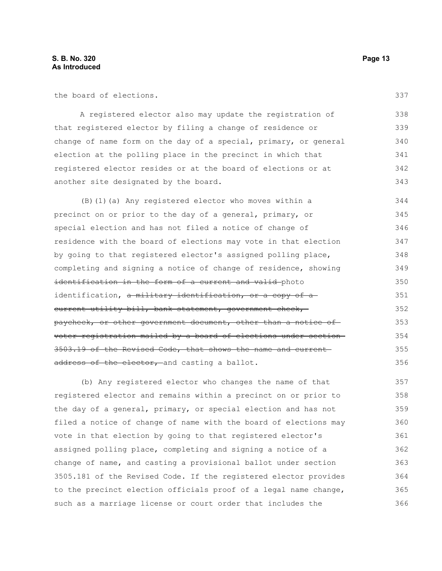the board of elections.

A registered elector also may update the registration of that registered elector by filing a change of residence or change of name form on the day of a special, primary, or general election at the polling place in the precinct in which that registered elector resides or at the board of elections or at another site designated by the board. 338 339 340 341 342 343

(B)(1)(a) Any registered elector who moves within a precinct on or prior to the day of a general, primary, or special election and has not filed a notice of change of residence with the board of elections may vote in that election by going to that registered elector's assigned polling place, completing and signing a notice of change of residence, showing identification in the form of a current and valid photo identification, a military identification, or a copy of a current utility bill, bank statement, government check, paycheck, or other government document, other than a notice of voter registration mailed by a board of elections under section 3503.19 of the Revised Code, that shows the name and current address of the elector, and casting a ballot. 344 345 346 347 348 349 350 351 352 353 354 355 356

(b) Any registered elector who changes the name of that registered elector and remains within a precinct on or prior to the day of a general, primary, or special election and has not filed a notice of change of name with the board of elections may vote in that election by going to that registered elector's assigned polling place, completing and signing a notice of a change of name, and casting a provisional ballot under section 3505.181 of the Revised Code. If the registered elector provides to the precinct election officials proof of a legal name change, such as a marriage license or court order that includes the 357 358 359 360 361 362 363 364 365 366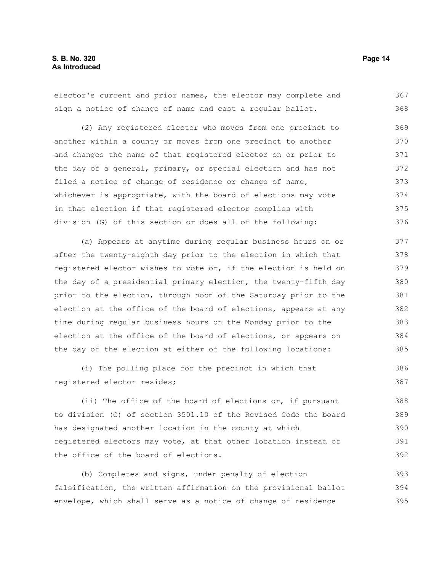elector's current and prior names, the elector may complete and sign a notice of change of name and cast a regular ballot. 367 368

(2) Any registered elector who moves from one precinct to another within a county or moves from one precinct to another and changes the name of that registered elector on or prior to the day of a general, primary, or special election and has not filed a notice of change of residence or change of name, whichever is appropriate, with the board of elections may vote in that election if that registered elector complies with division (G) of this section or does all of the following: 369 370 371 372 373 374 375 376

(a) Appears at anytime during regular business hours on or after the twenty-eighth day prior to the election in which that registered elector wishes to vote or, if the election is held on the day of a presidential primary election, the twenty-fifth day prior to the election, through noon of the Saturday prior to the election at the office of the board of elections, appears at any time during regular business hours on the Monday prior to the election at the office of the board of elections, or appears on the day of the election at either of the following locations: 377 378 379 380 381 382 383 384 385

(i) The polling place for the precinct in which that registered elector resides;

(ii) The office of the board of elections or, if pursuant to division (C) of section 3501.10 of the Revised Code the board has designated another location in the county at which registered electors may vote, at that other location instead of the office of the board of elections.

(b) Completes and signs, under penalty of election falsification, the written affirmation on the provisional ballot envelope, which shall serve as a notice of change of residence 393 394 395

386 387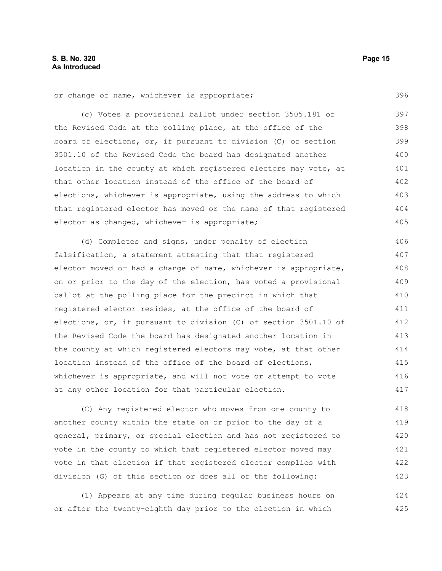396

or change of name, whichever is appropriate;

(c) Votes a provisional ballot under section 3505.181 of the Revised Code at the polling place, at the office of the board of elections, or, if pursuant to division (C) of section 3501.10 of the Revised Code the board has designated another location in the county at which registered electors may vote, at that other location instead of the office of the board of elections, whichever is appropriate, using the address to which that registered elector has moved or the name of that registered elector as changed, whichever is appropriate; 397 398 399 400 401 402 403 404 405

(d) Completes and signs, under penalty of election falsification, a statement attesting that that registered elector moved or had a change of name, whichever is appropriate, on or prior to the day of the election, has voted a provisional ballot at the polling place for the precinct in which that registered elector resides, at the office of the board of elections, or, if pursuant to division (C) of section 3501.10 of the Revised Code the board has designated another location in the county at which registered electors may vote, at that other location instead of the office of the board of elections, whichever is appropriate, and will not vote or attempt to vote at any other location for that particular election. 406 407 408 409 410 411 412 413 414 415 416 417

(C) Any registered elector who moves from one county to another county within the state on or prior to the day of a general, primary, or special election and has not registered to vote in the county to which that registered elector moved may vote in that election if that registered elector complies with division (G) of this section or does all of the following: 418 419 420 421 422 423

(1) Appears at any time during regular business hours on or after the twenty-eighth day prior to the election in which 424 425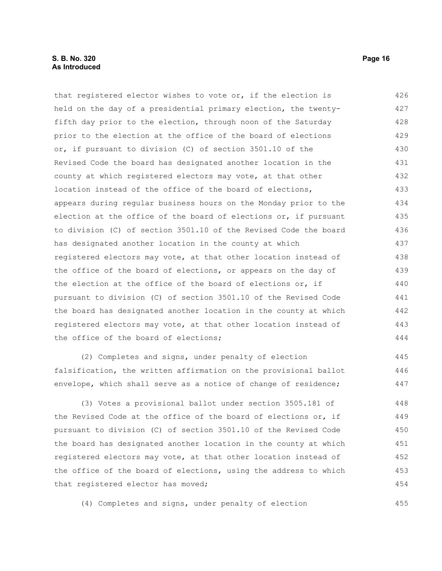that registered elector wishes to vote or, if the election is held on the day of a presidential primary election, the twentyfifth day prior to the election, through noon of the Saturday prior to the election at the office of the board of elections or, if pursuant to division (C) of section 3501.10 of the Revised Code the board has designated another location in the county at which registered electors may vote, at that other location instead of the office of the board of elections, appears during regular business hours on the Monday prior to the election at the office of the board of elections or, if pursuant to division (C) of section 3501.10 of the Revised Code the board has designated another location in the county at which registered electors may vote, at that other location instead of the office of the board of elections, or appears on the day of the election at the office of the board of elections or, if pursuant to division (C) of section 3501.10 of the Revised Code the board has designated another location in the county at which registered electors may vote, at that other location instead of the office of the board of elections; 426 427 428 429 430 431 432 433 434 435 436 437 438 439 440 441 442 443 444

(2) Completes and signs, under penalty of election falsification, the written affirmation on the provisional ballot envelope, which shall serve as a notice of change of residence;

(3) Votes a provisional ballot under section 3505.181 of the Revised Code at the office of the board of elections or, if pursuant to division (C) of section 3501.10 of the Revised Code the board has designated another location in the county at which registered electors may vote, at that other location instead of the office of the board of elections, using the address to which that registered elector has moved; 448 449 450 451 452 453 454

(4) Completes and signs, under penalty of election

455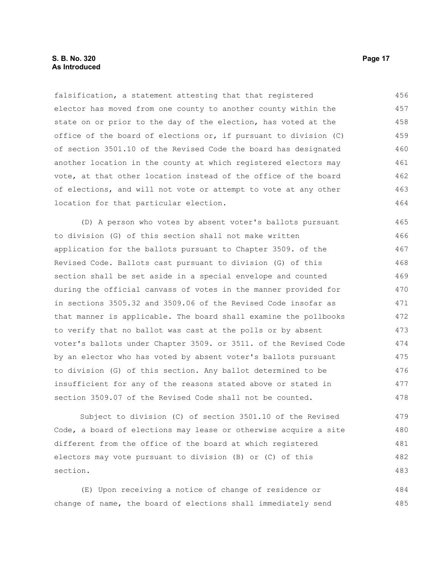falsification, a statement attesting that that registered elector has moved from one county to another county within the state on or prior to the day of the election, has voted at the office of the board of elections or, if pursuant to division (C) of section 3501.10 of the Revised Code the board has designated another location in the county at which registered electors may vote, at that other location instead of the office of the board of elections, and will not vote or attempt to vote at any other location for that particular election. 456 457 458 459 460 461 462 463 464

(D) A person who votes by absent voter's ballots pursuant to division (G) of this section shall not make written application for the ballots pursuant to Chapter 3509. of the Revised Code. Ballots cast pursuant to division (G) of this section shall be set aside in a special envelope and counted during the official canvass of votes in the manner provided for in sections 3505.32 and 3509.06 of the Revised Code insofar as that manner is applicable. The board shall examine the pollbooks to verify that no ballot was cast at the polls or by absent voter's ballots under Chapter 3509. or 3511. of the Revised Code by an elector who has voted by absent voter's ballots pursuant to division (G) of this section. Any ballot determined to be insufficient for any of the reasons stated above or stated in section 3509.07 of the Revised Code shall not be counted. 465 466 467 468 469 470 471 472 473 474 475 476 477 478

Subject to division (C) of section 3501.10 of the Revised Code, a board of elections may lease or otherwise acquire a site different from the office of the board at which registered electors may vote pursuant to division (B) or (C) of this section. 479 480 481 482 483

(E) Upon receiving a notice of change of residence or change of name, the board of elections shall immediately send 484 485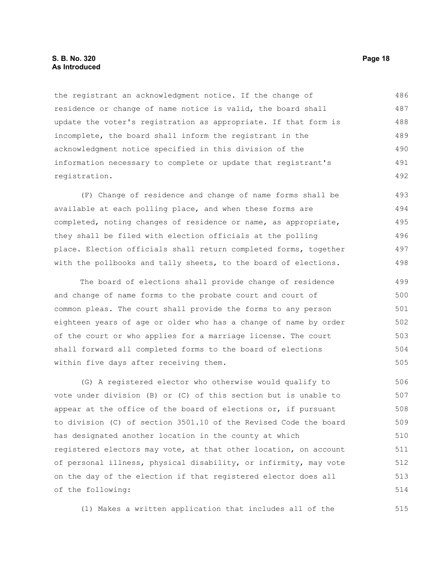#### **S. B. No. 320 Page 18 As Introduced**

the registrant an acknowledgment notice. If the change of residence or change of name notice is valid, the board shall update the voter's registration as appropriate. If that form is incomplete, the board shall inform the registrant in the acknowledgment notice specified in this division of the information necessary to complete or update that registrant's registration. 486 487 488 489 490 491 492

(F) Change of residence and change of name forms shall be available at each polling place, and when these forms are completed, noting changes of residence or name, as appropriate, they shall be filed with election officials at the polling place. Election officials shall return completed forms, together with the pollbooks and tally sheets, to the board of elections. 493 494 495 496 497 498

The board of elections shall provide change of residence and change of name forms to the probate court and court of common pleas. The court shall provide the forms to any person eighteen years of age or older who has a change of name by order of the court or who applies for a marriage license. The court shall forward all completed forms to the board of elections within five days after receiving them. 499 500 501 502 503 504 505

(G) A registered elector who otherwise would qualify to vote under division (B) or (C) of this section but is unable to appear at the office of the board of elections or, if pursuant to division (C) of section 3501.10 of the Revised Code the board has designated another location in the county at which registered electors may vote, at that other location, on account of personal illness, physical disability, or infirmity, may vote on the day of the election if that registered elector does all of the following: 506 507 508 509 510 511 512 513 514

(1) Makes a written application that includes all of the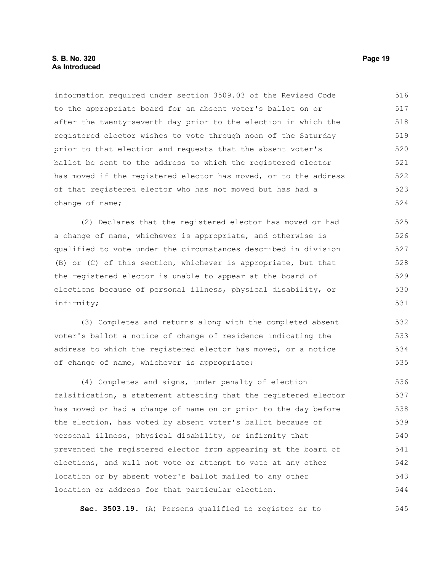#### **S. B. No. 320 Page 19 As Introduced**

information required under section 3509.03 of the Revised Code to the appropriate board for an absent voter's ballot on or after the twenty-seventh day prior to the election in which the registered elector wishes to vote through noon of the Saturday prior to that election and requests that the absent voter's ballot be sent to the address to which the registered elector has moved if the registered elector has moved, or to the address of that registered elector who has not moved but has had a change of name; 516 517 518 519 520 521 522 523 524

(2) Declares that the registered elector has moved or had a change of name, whichever is appropriate, and otherwise is qualified to vote under the circumstances described in division (B) or (C) of this section, whichever is appropriate, but that the registered elector is unable to appear at the board of elections because of personal illness, physical disability, or infirmity; 525 526 527 528 529 530 531

(3) Completes and returns along with the completed absent voter's ballot a notice of change of residence indicating the address to which the registered elector has moved, or a notice of change of name, whichever is appropriate; 532 533 534 535

(4) Completes and signs, under penalty of election falsification, a statement attesting that the registered elector has moved or had a change of name on or prior to the day before the election, has voted by absent voter's ballot because of personal illness, physical disability, or infirmity that prevented the registered elector from appearing at the board of elections, and will not vote or attempt to vote at any other location or by absent voter's ballot mailed to any other location or address for that particular election. 536 537 538 539 540 541 542 543 544

**Sec. 3503.19.** (A) Persons qualified to register or to 545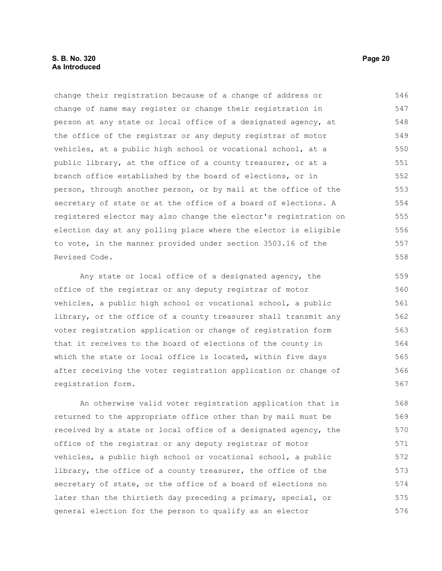#### **S. B. No. 320 Page 20 As Introduced**

change their registration because of a change of address or change of name may register or change their registration in person at any state or local office of a designated agency, at the office of the registrar or any deputy registrar of motor vehicles, at a public high school or vocational school, at a public library, at the office of a county treasurer, or at a branch office established by the board of elections, or in person, through another person, or by mail at the office of the secretary of state or at the office of a board of elections. A registered elector may also change the elector's registration on election day at any polling place where the elector is eligible to vote, in the manner provided under section 3503.16 of the Revised Code. 546 547 548 549 550 551 552 553 554 555 556 557 558

Any state or local office of a designated agency, the office of the registrar or any deputy registrar of motor vehicles, a public high school or vocational school, a public library, or the office of a county treasurer shall transmit any voter registration application or change of registration form that it receives to the board of elections of the county in which the state or local office is located, within five days after receiving the voter registration application or change of registration form. 559 560 561 562 563 564 565 566 567

An otherwise valid voter registration application that is returned to the appropriate office other than by mail must be received by a state or local office of a designated agency, the office of the registrar or any deputy registrar of motor vehicles, a public high school or vocational school, a public library, the office of a county treasurer, the office of the secretary of state, or the office of a board of elections no later than the thirtieth day preceding a primary, special, or general election for the person to qualify as an elector 568 569 570 571 572 573 574 575 576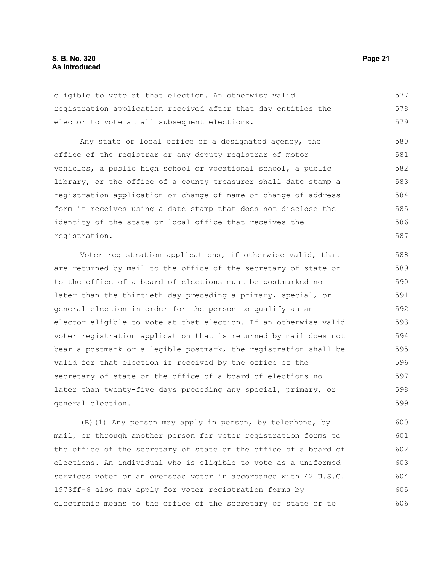eligible to vote at that election. An otherwise valid registration application received after that day entitles the elector to vote at all subsequent elections. 577 578 579

Any state or local office of a designated agency, the office of the registrar or any deputy registrar of motor vehicles, a public high school or vocational school, a public library, or the office of a county treasurer shall date stamp a registration application or change of name or change of address form it receives using a date stamp that does not disclose the identity of the state or local office that receives the registration. 580 581 582 583 584 585 586 587

Voter registration applications, if otherwise valid, that are returned by mail to the office of the secretary of state or to the office of a board of elections must be postmarked no later than the thirtieth day preceding a primary, special, or general election in order for the person to qualify as an elector eligible to vote at that election. If an otherwise valid voter registration application that is returned by mail does not bear a postmark or a legible postmark, the registration shall be valid for that election if received by the office of the secretary of state or the office of a board of elections no later than twenty-five days preceding any special, primary, or general election. 588 589 590 591 592 593 594 595 596 597 598 599

(B)(1) Any person may apply in person, by telephone, by mail, or through another person for voter registration forms to the office of the secretary of state or the office of a board of elections. An individual who is eligible to vote as a uniformed services voter or an overseas voter in accordance with 42 U.S.C. 1973ff-6 also may apply for voter registration forms by electronic means to the office of the secretary of state or to 600 601 602 603 604 605 606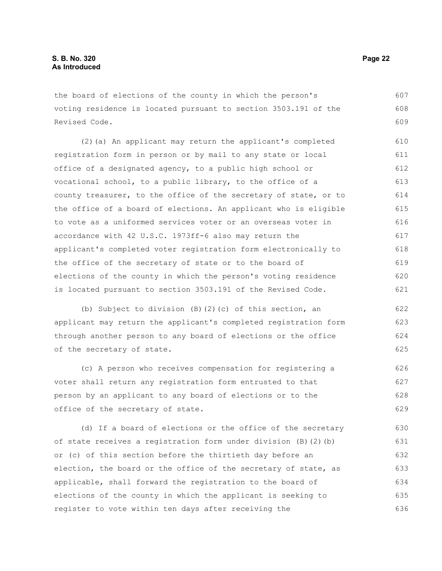the board of elections of the county in which the person's voting residence is located pursuant to section 3503.191 of the Revised Code. 607 608 609

(2)(a) An applicant may return the applicant's completed registration form in person or by mail to any state or local office of a designated agency, to a public high school or vocational school, to a public library, to the office of a county treasurer, to the office of the secretary of state, or to the office of a board of elections. An applicant who is eligible to vote as a uniformed services voter or an overseas voter in accordance with 42 U.S.C. 1973ff-6 also may return the applicant's completed voter registration form electronically to the office of the secretary of state or to the board of elections of the county in which the person's voting residence is located pursuant to section 3503.191 of the Revised Code. 610 611 612 613 614 615 616 617 618 619 620 621

(b) Subject to division (B)(2)(c) of this section, an applicant may return the applicant's completed registration form through another person to any board of elections or the office of the secretary of state.

(c) A person who receives compensation for registering a voter shall return any registration form entrusted to that person by an applicant to any board of elections or to the office of the secretary of state. 626 627 628 629

(d) If a board of elections or the office of the secretary of state receives a registration form under division (B)(2)(b) or (c) of this section before the thirtieth day before an election, the board or the office of the secretary of state, as applicable, shall forward the registration to the board of elections of the county in which the applicant is seeking to register to vote within ten days after receiving the 630 631 632 633 634 635 636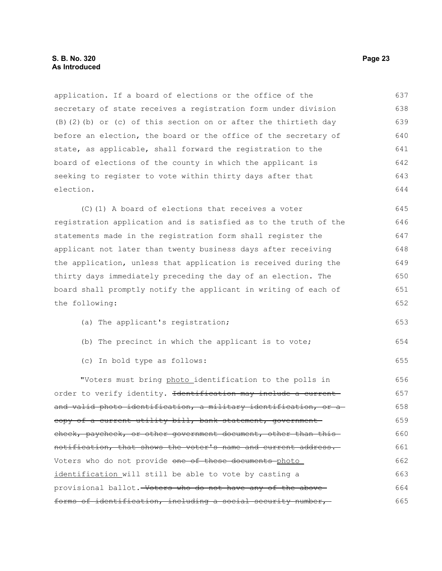application. If a board of elections or the office of the secretary of state receives a registration form under division (B)(2)(b) or (c) of this section on or after the thirtieth day before an election, the board or the office of the secretary of state, as applicable, shall forward the registration to the board of elections of the county in which the applicant is seeking to register to vote within thirty days after that election. 637 638 639 640 641 642 643 644

(C)(1) A board of elections that receives a voter registration application and is satisfied as to the truth of the statements made in the registration form shall register the applicant not later than twenty business days after receiving the application, unless that application is received during the thirty days immediately preceding the day of an election. The board shall promptly notify the applicant in writing of each of the following: 645 646 647 648 649 650 651 652

- (a) The applicant's registration; 653
- (b) The precinct in which the applicant is to vote;
- (c) In bold type as follows:

"Voters must bring photo identification to the polls in order to verify identity. <del>Identification may include a current</del> and valid photo identification, a military identification, or a copy of a current utility bill, bank statement, government check, paycheck, or other government document, other than thisnotification, that shows the voter's name and current address. Voters who do not provide one of these documents photo identification will still be able to vote by casting a provisional ballot. Voters who do not have any of the above forms of identification, including a social security number, 656 657 658 659 660 661 662 663 664 665

654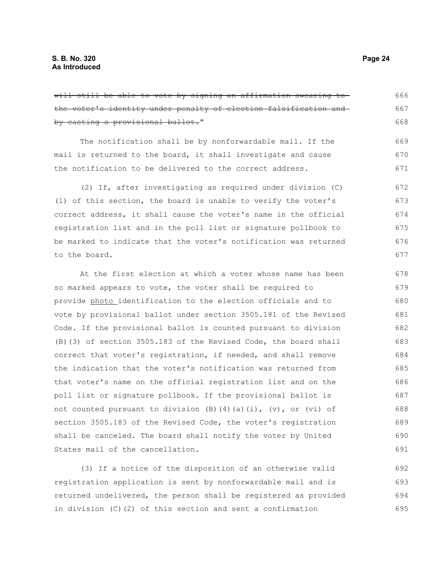| will still be able to vote by signing an affirmation swearing to | 666 |
|------------------------------------------------------------------|-----|
| the voter's identity under penalty of election falsification and | 667 |
| by casting a provisional ballot."                                | 668 |
| The notification shall be by nonforwardable mail. If the         | 669 |
| mail is returned to the board, it shall investigate and cause    | 670 |
| the notification to be delivered to the correct address.         | 671 |
| (2) If, after investigating as required under division (C)       | 672 |
| (1) of this section, the board is unable to verify the voter's   | 673 |
| correct address, it shall cause the voter's name in the official | 674 |
| registration list and in the poll list or signature pollbook to  | 675 |
| be marked to indicate that the voter's notification was returned | 676 |
| to the board.                                                    | 677 |
| At the first election at which a voter whose name has been       | 678 |
| so marked appears to vote, the voter shall be required to        | 679 |
| provide photo identification to the election officials and to    | 680 |
| vote by provisional ballot under section 3505.181 of the Revised | 681 |
| Code. If the provisional ballot is counted pursuant to division  | 682 |
| (B) (3) of section 3505.183 of the Revised Code, the board shall | 683 |
| correct that voter's registration, if needed, and shall remove   | 684 |
| the indication that the voter's notification was returned from   | 685 |
| that voter's name on the official registration list and on the   | 686 |

poll list or signature pollbook. If the provisional ballot is not counted pursuant to division (B)(4)(a)(i),  $(v)$ , or (vi) of section 3505.183 of the Revised Code, the voter's registration shall be canceled. The board shall notify the voter by United States mail of the cancellation. 687 688 689 690 691

(3) If a notice of the disposition of an otherwise valid registration application is sent by nonforwardable mail and is returned undelivered, the person shall be registered as provided in division (C)(2) of this section and sent a confirmation 692 693 694 695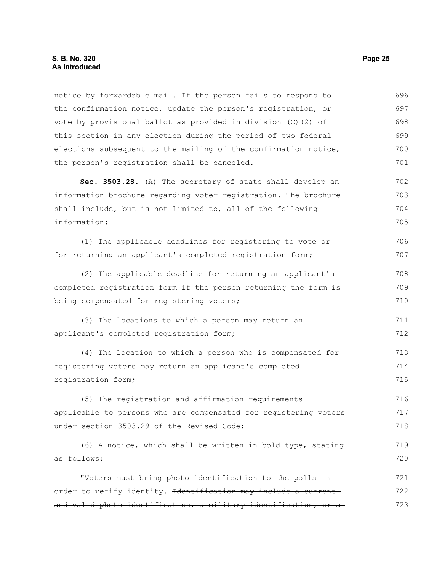notice by forwardable mail. If the person fails to respond to the confirmation notice, update the person's registration, or vote by provisional ballot as provided in division (C)(2) of this section in any election during the period of two federal elections subsequent to the mailing of the confirmation notice, the person's registration shall be canceled. **Sec. 3503.28.** (A) The secretary of state shall develop an information brochure regarding voter registration. The brochure shall include, but is not limited to, all of the following information: (1) The applicable deadlines for registering to vote or for returning an applicant's completed registration form; (2) The applicable deadline for returning an applicant's completed registration form if the person returning the form is being compensated for registering voters; (3) The locations to which a person may return an applicant's completed registration form; (4) The location to which a person who is compensated for registering voters may return an applicant's completed registration form; (5) The registration and affirmation requirements applicable to persons who are compensated for registering voters under section 3503.29 of the Revised Code; (6) A notice, which shall be written in bold type, stating as follows: "Voters must bring photo identification to the polls in order to verify identity. Identification may include a current and valid photo identification, a military identification, or a 696 697 698 699 700 701 702 703 704 705 706 707 708 709 710 711 712 713 714 715 716 717 718 719 720 721 722 723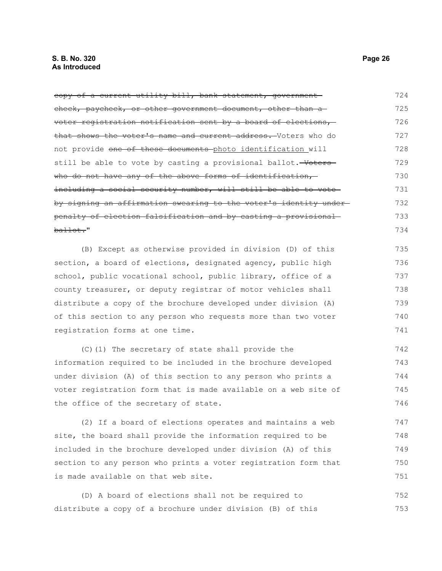| copy of a current utility bill, bank statement, government-      | 724 |
|------------------------------------------------------------------|-----|
| check, paycheck, or other government document, other than a      | 725 |
| voter registration notification sent by a board of elections,    | 726 |
| that shows the voter's name and current address. Voters who do   | 727 |
| not provide one of these documents photo identification will     | 728 |
| still be able to vote by casting a provisional ballot. Woters    | 729 |
| who do not have any of the above forms of identification,        | 730 |
| including a social security number, will still be able to vote-  | 731 |
| by signing an affirmation swearing to the voter's identity under | 732 |
| penalty of election falsification and by casting a provisional   | 733 |
| ballot."                                                         | 734 |
| (B) Except as otherwise provided in division (D) of this         | 735 |
| section, a board of elections, designated agency, public high    | 736 |
| school, public vocational school, public library, office of a    | 737 |
| county treasurer, or deputy registrar of motor vehicles shall    | 738 |
| distribute a copy of the brochure developed under division (A)   | 739 |
| of this section to any person who requests more than two voter   | 740 |
| registration forms at one time.                                  | 741 |
| (C)(1) The secretary of state shall provide the                  | 742 |
| information required to be included in the brochure developed    | 743 |
| under division (A) of this section to any person who prints a    | 744 |
| voter registration form that is made available on a web site of  | 745 |
| the office of the secretary of state.                            | 746 |
| (2) If a board of elections operates and maintains a web         | 747 |
| site, the board shall provide the information required to be     | 748 |
| included in the brochure developed under division (A) of this    | 749 |
| section to any person who prints a voter registration form that  | 750 |
| is made available on that web site.                              | 751 |

(D) A board of elections shall not be required to distribute a copy of a brochure under division (B) of this 752 753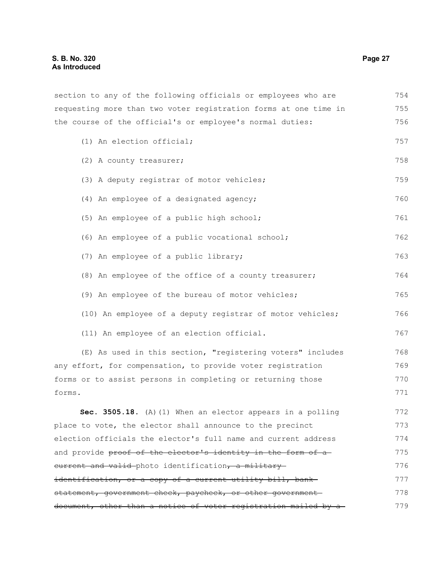section to any of the following officials or employees who are requesting more than two voter registration forms at one time in the course of the official's or employee's normal duties: (1) An election official; (2) A county treasurer; (3) A deputy registrar of motor vehicles; (4) An employee of a designated agency; (5) An employee of a public high school; (6) An employee of a public vocational school; (7) An employee of a public library; (8) An employee of the office of a county treasurer; (9) An employee of the bureau of motor vehicles; (10) An employee of a deputy registrar of motor vehicles; (11) An employee of an election official. (E) As used in this section, "registering voters" includes 754 755 756 757 758 759 760 761 762 763 764 765 766 767 768

any effort, for compensation, to provide voter registration forms or to assist persons in completing or returning those forms. 769 770 771

**Sec. 3505.18.** (A)(1) When an elector appears in a polling place to vote, the elector shall announce to the precinct election officials the elector's full name and current address and provide proof of the elector's identity in the form of a eurrent and valid-photo identification, a militaryidentification, or a copy of a current utility bill, bankstatement, government check, paycheck, or other governmentdocument, other than a notice of voter registration mailed by a 772 773 774 775 776 777 778 779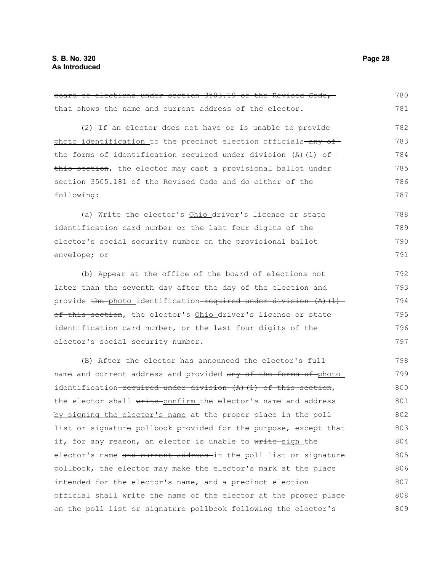that shows the name and current address of the elector. (2) If an elector does not have or is unable to provide photo identification to the precinct election officials-any ofthe forms of identification required under division (A)(1) of this section, the elector may cast a provisional ballot under section 3505.181 of the Revised Code and do either of the following: (a) Write the elector's Ohio driver's license or state identification card number or the last four digits of the elector's social security number on the provisional ballot envelope; or (b) Appear at the office of the board of elections not later than the seventh day after the day of the election and provide the photo identification required under division  $(A)$  (1) of this section, the elector's Ohio driver's license or state identification card number, or the last four digits of the elector's social security number. (B) After the elector has announced the elector's full name and current address and provided any of the forms of photo identification required under division  $(A)$   $(1)$  of this section, the elector shall write confirm the elector's name and address by signing the elector's name at the proper place in the poll list or signature pollbook provided for the purpose, except that if, for any reason, an elector is unable to write-sign the elector's name and current address in the poll list or signature pollbook, the elector may make the elector's mark at the place intended for the elector's name, and a precinct election official shall write the name of the elector at the proper place on the poll list or signature pollbook following the elector's 781 782 783 784 785 786 787 788 789 790 791 792 793 794 795 796 797 798 799 800 801 802 803 804 805 806 807 808 809

board of elections under section 3503.19 of the Revised Code,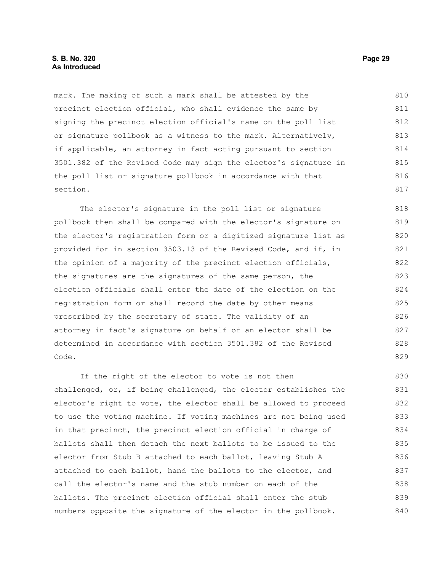#### **S. B. No. 320 Page 29 As Introduced**

mark. The making of such a mark shall be attested by the precinct election official, who shall evidence the same by signing the precinct election official's name on the poll list or signature pollbook as a witness to the mark. Alternatively, if applicable, an attorney in fact acting pursuant to section 3501.382 of the Revised Code may sign the elector's signature in the poll list or signature pollbook in accordance with that section. 810 811 812 813 814 815 816 817

The elector's signature in the poll list or signature pollbook then shall be compared with the elector's signature on the elector's registration form or a digitized signature list as provided for in section 3503.13 of the Revised Code, and if, in the opinion of a majority of the precinct election officials, the signatures are the signatures of the same person, the election officials shall enter the date of the election on the registration form or shall record the date by other means prescribed by the secretary of state. The validity of an attorney in fact's signature on behalf of an elector shall be determined in accordance with section 3501.382 of the Revised Code.

If the right of the elector to vote is not then challenged, or, if being challenged, the elector establishes the elector's right to vote, the elector shall be allowed to proceed to use the voting machine. If voting machines are not being used in that precinct, the precinct election official in charge of ballots shall then detach the next ballots to be issued to the elector from Stub B attached to each ballot, leaving Stub A attached to each ballot, hand the ballots to the elector, and call the elector's name and the stub number on each of the ballots. The precinct election official shall enter the stub numbers opposite the signature of the elector in the pollbook. 830 831 832 833 834 835 836 837 838 839 840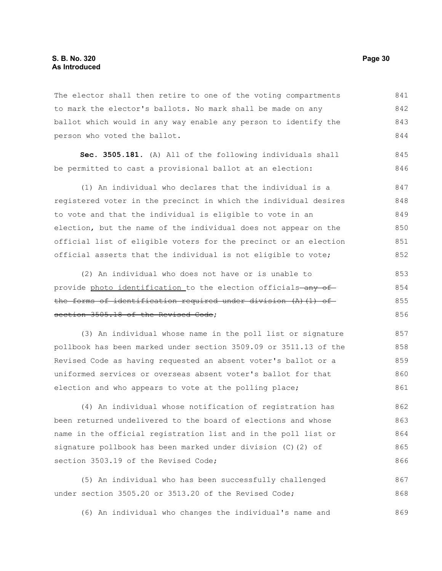The elector shall then retire to one of the voting compartments to mark the elector's ballots. No mark shall be made on any ballot which would in any way enable any person to identify the person who voted the ballot. 841 842 843 844

**Sec. 3505.181.** (A) All of the following individuals shall be permitted to cast a provisional ballot at an election: 845 846

(1) An individual who declares that the individual is a registered voter in the precinct in which the individual desires to vote and that the individual is eligible to vote in an election, but the name of the individual does not appear on the official list of eligible voters for the precinct or an election official asserts that the individual is not eligible to vote; 847 848 849 850 851 852

(2) An individual who does not have or is unable to provide photo identification to the election officials-any ofthe forms of identification required under division (A)(1) of section 3505.18 of the Revised Code; 853 854 855 856

(3) An individual whose name in the poll list or signature pollbook has been marked under section 3509.09 or 3511.13 of the Revised Code as having requested an absent voter's ballot or a uniformed services or overseas absent voter's ballot for that election and who appears to vote at the polling place; 857 858 859 860 861

(4) An individual whose notification of registration has been returned undelivered to the board of elections and whose name in the official registration list and in the poll list or signature pollbook has been marked under division (C)(2) of section 3503.19 of the Revised Code; 862 863 864 865 866

(5) An individual who has been successfully challenged under section 3505.20 or 3513.20 of the Revised Code; 867 868

(6) An individual who changes the individual's name and 869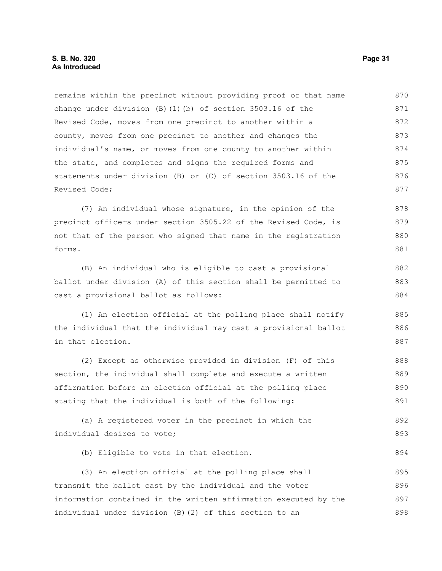#### **S. B. No. 320 Page 31 As Introduced**

remains within the precinct without providing proof of that name change under division  $(B)$  (1)(b) of section 3503.16 of the Revised Code, moves from one precinct to another within a county, moves from one precinct to another and changes the individual's name, or moves from one county to another within the state, and completes and signs the required forms and statements under division (B) or (C) of section 3503.16 of the Revised Code; 870 871 872 873 874 875 876 877

(7) An individual whose signature, in the opinion of the precinct officers under section 3505.22 of the Revised Code, is not that of the person who signed that name in the registration forms. 878 879 880 881

(B) An individual who is eligible to cast a provisional ballot under division (A) of this section shall be permitted to cast a provisional ballot as follows:

(1) An election official at the polling place shall notify the individual that the individual may cast a provisional ballot in that election. 885 886 887

(2) Except as otherwise provided in division (F) of this section, the individual shall complete and execute a written affirmation before an election official at the polling place stating that the individual is both of the following: 888 889 890 891

(a) A registered voter in the precinct in which the individual desires to vote; 892 893

(b) Eligible to vote in that election.

(3) An election official at the polling place shall transmit the ballot cast by the individual and the voter information contained in the written affirmation executed by the individual under division (B)(2) of this section to an 895 896 897 898

882 883 884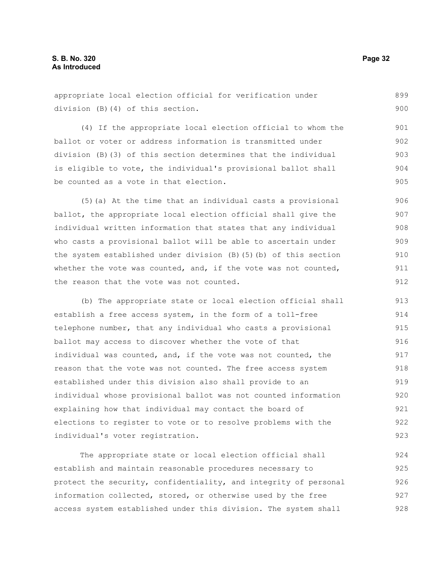appropriate local election official for verification under 899

division (B)(4) of this section.

(4) If the appropriate local election official to whom the ballot or voter or address information is transmitted under division (B)(3) of this section determines that the individual is eligible to vote, the individual's provisional ballot shall be counted as a vote in that election. 901 902 903 904 905

(5)(a) At the time that an individual casts a provisional ballot, the appropriate local election official shall give the individual written information that states that any individual who casts a provisional ballot will be able to ascertain under the system established under division (B)(5)(b) of this section whether the vote was counted, and, if the vote was not counted, the reason that the vote was not counted. 906 907 908 909 910 911 912

(b) The appropriate state or local election official shall establish a free access system, in the form of a toll-free telephone number, that any individual who casts a provisional ballot may access to discover whether the vote of that individual was counted, and, if the vote was not counted, the reason that the vote was not counted. The free access system established under this division also shall provide to an individual whose provisional ballot was not counted information explaining how that individual may contact the board of elections to register to vote or to resolve problems with the individual's voter registration. 913 914 915 916 917 918 919 920 921 922 923

The appropriate state or local election official shall establish and maintain reasonable procedures necessary to protect the security, confidentiality, and integrity of personal information collected, stored, or otherwise used by the free access system established under this division. The system shall 924 925 926 927 928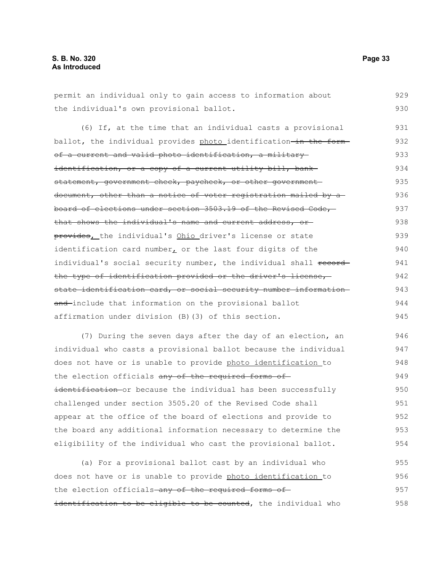permit an individual only to gain access to information about the individual's own provisional ballot. 929 930

(6) If, at the time that an individual casts a provisional ballot, the individual provides photo identification-in the formof a current and valid photo identification, a military identification, or a copy of a current utility bill, bankstatement, government check, paycheck, or other governmentdocument, other than a notice of voter registration mailed by aboard of elections under section 3503.19 of the Revised Code, that shows the individual's name and current address, or provides, the individual's Ohio driver's license or state identification card number, or the last four digits of the individual's social security number, the individual shall recordthe type of identification provided or the driver's license, state identification card, or social security number information and-include that information on the provisional ballot affirmation under division (B)(3) of this section. 931 932 933 934 935 936 937 938 939 940 941 942 943 944 945

(7) During the seven days after the day of an election, an individual who casts a provisional ballot because the individual does not have or is unable to provide photo identification to the election officials any of the required forms ofidentification or because the individual has been successfully challenged under section 3505.20 of the Revised Code shall appear at the office of the board of elections and provide to the board any additional information necessary to determine the eligibility of the individual who cast the provisional ballot. 946 947 948 949 950 951 952 953 954

(a) For a provisional ballot cast by an individual who does not have or is unable to provide photo identification to the election officials-any of the required forms ofidentification to be eligible to be counted, the individual who 955 956 957 958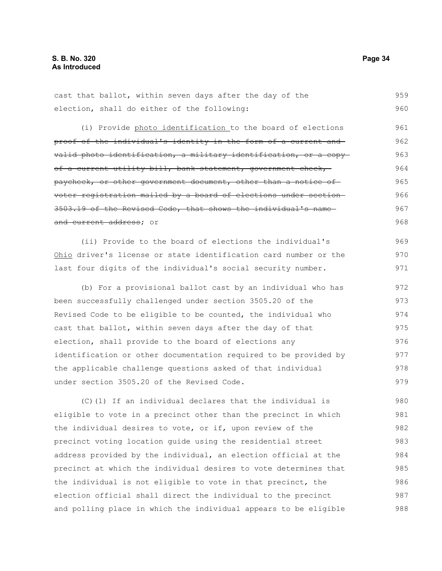cast that ballot, within seven days after the day of the election, shall do either of the following: 959 960

(i) Provide photo identification to the board of elections proof of the individual's identity in the form of a current and valid photo identification, a military identification, or a copy of a current utility bill, bank statement, government check, paycheck, or other government document, other than a notice of voter registration mailed by a board of elections under section 3503.19 of the Revised Code, that shows the individual's name and current address; or 961 962 963 964 965 966 967 968

(ii) Provide to the board of elections the individual's Ohio driver's license or state identification card number or the last four digits of the individual's social security number. 969 970 971

(b) For a provisional ballot cast by an individual who has been successfully challenged under section 3505.20 of the Revised Code to be eligible to be counted, the individual who cast that ballot, within seven days after the day of that election, shall provide to the board of elections any identification or other documentation required to be provided by the applicable challenge questions asked of that individual under section 3505.20 of the Revised Code. 972 973 974 975 976 977 978 979

(C)(1) If an individual declares that the individual is eligible to vote in a precinct other than the precinct in which the individual desires to vote, or if, upon review of the precinct voting location guide using the residential street address provided by the individual, an election official at the precinct at which the individual desires to vote determines that the individual is not eligible to vote in that precinct, the election official shall direct the individual to the precinct and polling place in which the individual appears to be eligible 980 981 982 983 984 985 986 987 988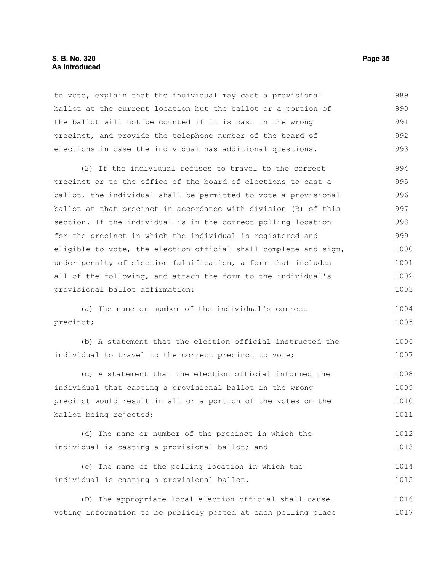#### **S. B. No. 320 Page 35 As Introduced**

to vote, explain that the individual may cast a provisional ballot at the current location but the ballot or a portion of the ballot will not be counted if it is cast in the wrong precinct, and provide the telephone number of the board of elections in case the individual has additional questions. 989 990 991 992 993

(2) If the individual refuses to travel to the correct precinct or to the office of the board of elections to cast a ballot, the individual shall be permitted to vote a provisional ballot at that precinct in accordance with division (B) of this section. If the individual is in the correct polling location for the precinct in which the individual is registered and eligible to vote, the election official shall complete and sign, under penalty of election falsification, a form that includes all of the following, and attach the form to the individual's provisional ballot affirmation: 994 995 996 997 998 999 1000 1001 1002 1003

(a) The name or number of the individual's correct precinct; 1004 1005

(b) A statement that the election official instructed the individual to travel to the correct precinct to vote; 1006 1007

(c) A statement that the election official informed the individual that casting a provisional ballot in the wrong precinct would result in all or a portion of the votes on the ballot being rejected; 1008 1009 1010 1011

```
(d) The name or number of the precinct in which the
individual is casting a provisional ballot; and
                                                                            1012
                                                                            1013
```
(e) The name of the polling location in which the individual is casting a provisional ballot. 1014 1015

(D) The appropriate local election official shall cause voting information to be publicly posted at each polling place 1016 1017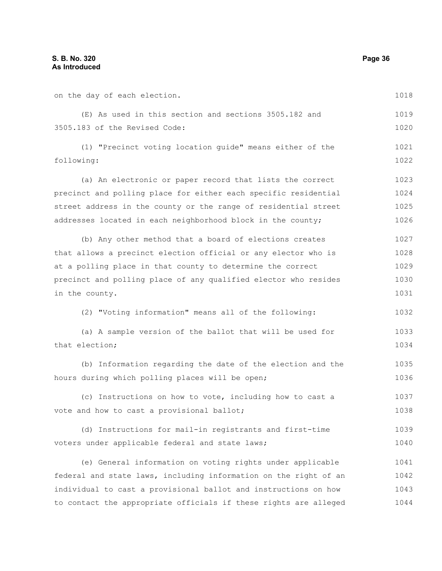| on the day of each election.                                     | 1018 |
|------------------------------------------------------------------|------|
| (E) As used in this section and sections 3505.182 and            | 1019 |
| 3505.183 of the Revised Code:                                    | 1020 |
| (1) "Precinct voting location guide" means either of the         | 1021 |
| following:                                                       | 1022 |
| (a) An electronic or paper record that lists the correct         | 1023 |
| precinct and polling place for either each specific residential  | 1024 |
| street address in the county or the range of residential street  | 1025 |
| addresses located in each neighborhood block in the county;      | 1026 |
| (b) Any other method that a board of elections creates           | 1027 |
| that allows a precinct election official or any elector who is   | 1028 |
| at a polling place in that county to determine the correct       | 1029 |
| precinct and polling place of any qualified elector who resides  | 1030 |
| in the county.                                                   | 1031 |
| (2) "Voting information" means all of the following:             | 1032 |
| (a) A sample version of the ballot that will be used for         | 1033 |
| that election;                                                   | 1034 |
| (b) Information regarding the date of the election and the       | 1035 |
| hours during which polling places will be open;                  | 1036 |
| (c) Instructions on how to vote, including how to cast a         | 1037 |
| vote and how to cast a provisional ballot;                       | 1038 |
| (d) Instructions for mail-in registrants and first-time          | 1039 |
| voters under applicable federal and state laws;                  | 1040 |
| (e) General information on voting rights under applicable        | 1041 |
| federal and state laws, including information on the right of an | 1042 |
| individual to cast a provisional ballot and instructions on how  | 1043 |
| to contact the appropriate officials if these rights are alleged | 1044 |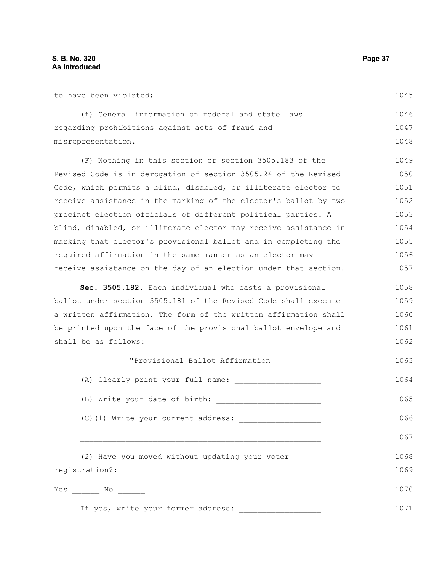(f) General information on federal and state laws regarding prohibitions against acts of fraud and misrepresentation. (F) Nothing in this section or section 3505.183 of the Revised Code is in derogation of section 3505.24 of the Revised Code, which permits a blind, disabled, or illiterate elector to receive assistance in the marking of the elector's ballot by two precinct election officials of different political parties. A blind, disabled, or illiterate elector may receive assistance in marking that elector's provisional ballot and in completing the required affirmation in the same manner as an elector may receive assistance on the day of an election under that section. **Sec. 3505.182.** Each individual who casts a provisional ballot under section 3505.181 of the Revised Code shall execute a written affirmation. The form of the written affirmation shall be printed upon the face of the provisional ballot envelope and shall be as follows: "Provisional Ballot Affirmation (A) Clearly print your full name: \_\_\_\_\_\_\_\_\_\_\_\_\_\_\_\_\_\_\_ (B) Write your date of birth: \_\_\_\_\_\_\_\_\_\_\_\_\_\_\_\_\_\_\_\_\_\_\_  $(C)$  (1) Write your current address:  $\frac{1}{1}$ 1046 1047 1048 1049 1050 1051 1052 1053 1054 1055 1056 1057 1058 1059 1060 1061 1062 1063 1064 1065 1066

(2) Have you moved without updating your voter registration?: Yes \_\_\_\_\_\_\_ No \_\_\_\_\_\_\_ If yes, write your former address: 1068 1069 1070 1071

 $\_$  , and the set of the set of the set of the set of the set of the set of the set of the set of the set of the set of the set of the set of the set of the set of the set of the set of the set of the set of the set of th

1045

1067

to have been violated;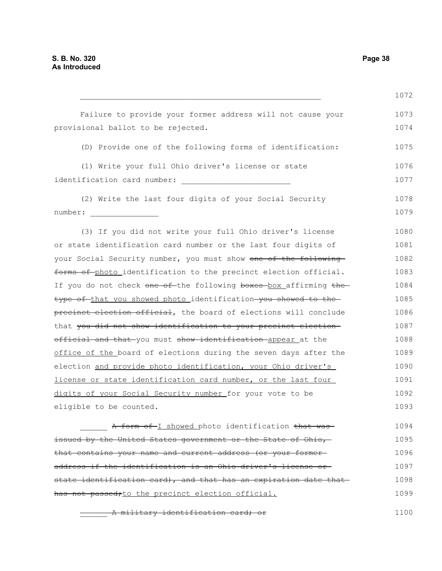$\mathcal{L}_\text{max}$  and the contract of the contract of the contract of the contract of the contract of the contract of the contract of the contract of the contract of the contract of the contract of the contract of the contrac Failure to provide your former address will not cause your provisional ballot to be rejected. (D) Provide one of the following forms of identification: (1) Write your full Ohio driver's license or state identification card number: \_\_\_\_\_\_\_\_\_\_\_\_\_\_\_\_\_\_\_\_\_\_\_\_ (2) Write the last four digits of your Social Security number: \_\_\_\_\_\_\_\_\_\_\_\_\_\_\_ (3) If you did not write your full Ohio driver's license or state identification card number or the last four digits of your Social Security number, you must show one of the following forms of photo identification to the precinct election official. If you do not check one of-the following boxes-box affirming thetype of that you showed photo identification you showed to the precinct election official, the board of elections will conclude that you did not show identification to your precinct electionofficial and that you must show identification appear at the office of the board of elections during the seven days after the election and provide photo identification, your Ohio driver's license or state identification card number, or the last four digits of your Social Security number for your vote to be eligible to be counted. A form of I showed photo identification that was issued by the United States government or the State of Ohio, 1072 1073 1074 1075 1076 1077 1078 1079 1080 1081 1082 1083 1084 1085 1086 1087 1088 1089 1090 1091 1092 1093 1094 1095

that contains your name and current address (or your former address if the identification is an Ohio driver's license or state identification card), and that has an expiration date that has not passed; to the precinct election official. 1096 1097 1098 1099

A military identification card; or 1100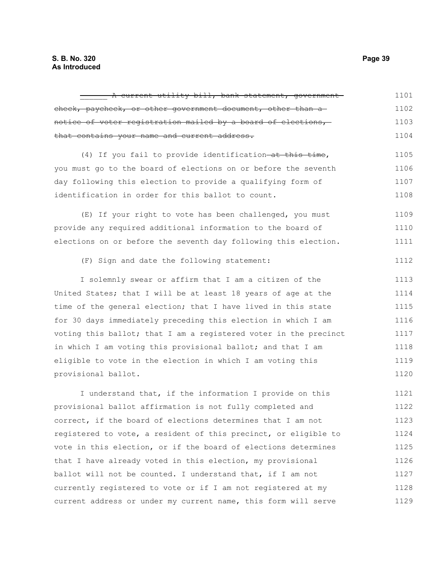| A current utility bill, bank statement, government-              | 1101 |
|------------------------------------------------------------------|------|
| check, paycheck, or other government document, other than a      | 1102 |
| notice of voter registration mailed by a board of elections,     | 1103 |
| that contains your name and current address.                     | 1104 |
| (4) If you fail to provide identification-at this time,          | 1105 |
| you must go to the board of elections on or before the seventh   | 1106 |
| day following this election to provide a qualifying form of      | 1107 |
| identification in order for this ballot to count.                | 1108 |
| (E) If your right to vote has been challenged, you must          | 1109 |
| provide any required additional information to the board of      | 1110 |
| elections on or before the seventh day following this election.  | 1111 |
| (F) Sign and date the following statement:                       | 1112 |
| I solemnly swear or affirm that I am a citizen of the            | 1113 |
| United States; that I will be at least 18 years of age at the    | 1114 |
| time of the general election; that I have lived in this state    | 1115 |
| for 30 days immediately preceding this election in which I am    | 1116 |
| voting this ballot; that I am a registered voter in the precinct | 1117 |
| in which I am voting this provisional ballot; and that I am      | 1118 |
| eligible to vote in the election in which I am voting this       | 1119 |
| provisional ballot.                                              | 1120 |
| I understand that, if the information I provide on this          | 1121 |
| provisional ballot affirmation is not fully completed and        | 1122 |
| correct, if the board of elections determines that I am not      | 1123 |
| registered to vote, a resident of this precinct, or eligible to  | 1124 |
| vote in this election, or if the board of elections determines   | 1125 |
| that I have already voted in this election, my provisional       | 1126 |
| ballot will not be counted. I understand that, if I am not       | 1127 |
| currently registered to vote or if I am not registered at my     | 1128 |
| current address or under my current name, this form will serve   | 1129 |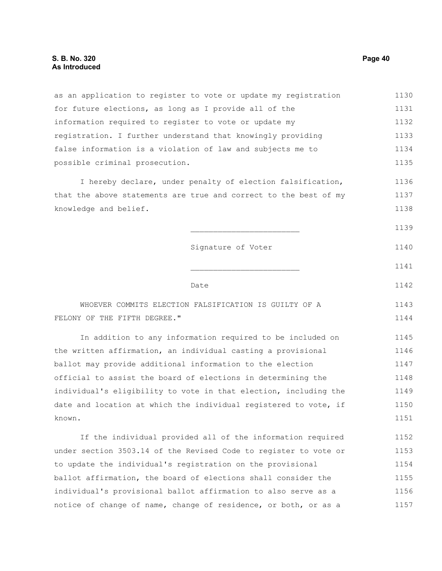as an application to register to vote or update my registration for future elections, as long as I provide all of the information required to register to vote or update my registration. I further understand that knowingly providing false information is a violation of law and subjects me to possible criminal prosecution. I hereby declare, under penalty of election falsification, that the above statements are true and correct to the best of my knowledge and belief. Signature of Voter **Date** Date WHOEVER COMMITS ELECTION FALSIFICATION IS GUILTY OF A FELONY OF THE FIFTH DEGREE." In addition to any information required to be included on the written affirmation, an individual casting a provisional ballot may provide additional information to the election official to assist the board of elections in determining the individual's eligibility to vote in that election, including the date and location at which the individual registered to vote, if known. If the individual provided all of the information required under section 3503.14 of the Revised Code to register to vote or 1130 1131 1132 1133 1134 1135 1136 1137 1138 1139 1140 1141 1142 1143 1144 1145 1146 1147 1148 1149 1150 1151 1152 1153

to update the individual's registration on the provisional ballot affirmation, the board of elections shall consider the individual's provisional ballot affirmation to also serve as a notice of change of name, change of residence, or both, or as a 1154 1155 1156 1157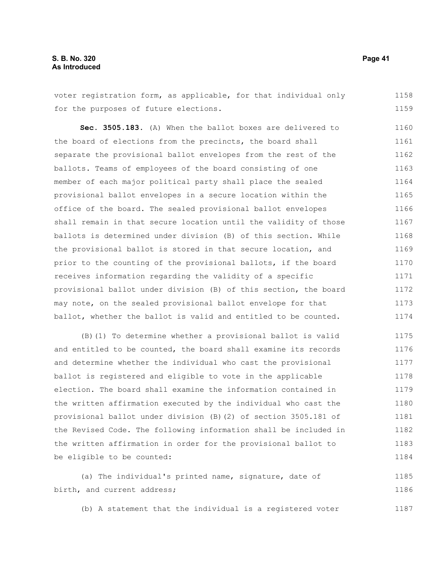voter registration form, as applicable, for that individual only for the purposes of future elections. 1158 1159

**Sec. 3505.183.** (A) When the ballot boxes are delivered to the board of elections from the precincts, the board shall separate the provisional ballot envelopes from the rest of the ballots. Teams of employees of the board consisting of one member of each major political party shall place the sealed provisional ballot envelopes in a secure location within the office of the board. The sealed provisional ballot envelopes shall remain in that secure location until the validity of those ballots is determined under division (B) of this section. While the provisional ballot is stored in that secure location, and prior to the counting of the provisional ballots, if the board receives information regarding the validity of a specific provisional ballot under division (B) of this section, the board may note, on the sealed provisional ballot envelope for that ballot, whether the ballot is valid and entitled to be counted. 1160 1161 1162 1163 1164 1165 1166 1167 1168 1169 1170 1171 1172 1173 1174

(B)(1) To determine whether a provisional ballot is valid and entitled to be counted, the board shall examine its records and determine whether the individual who cast the provisional ballot is registered and eligible to vote in the applicable election. The board shall examine the information contained in the written affirmation executed by the individual who cast the provisional ballot under division (B)(2) of section 3505.181 of the Revised Code. The following information shall be included in the written affirmation in order for the provisional ballot to be eligible to be counted: 1175 1176 1177 1178 1179 1180 1181 1182 1183 1184

(a) The individual's printed name, signature, date of birth, and current address; 1185 1186

(b) A statement that the individual is a registered voter 1187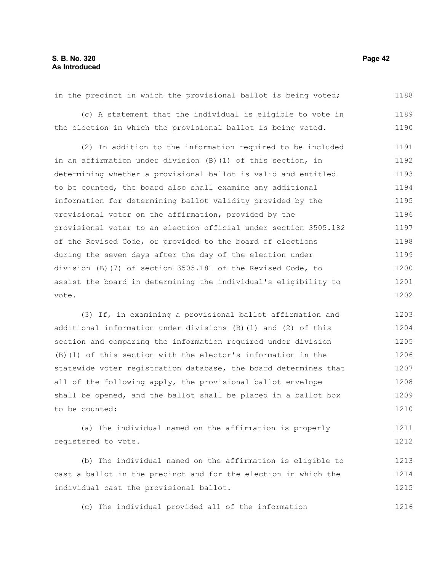in the precinct in which the provisional ballot is being voted; (c) A statement that the individual is eligible to vote in the election in which the provisional ballot is being voted. (2) In addition to the information required to be included in an affirmation under division (B)(1) of this section, in determining whether a provisional ballot is valid and entitled to be counted, the board also shall examine any additional information for determining ballot validity provided by the provisional voter on the affirmation, provided by the provisional voter to an election official under section 3505.182 of the Revised Code, or provided to the board of elections during the seven days after the day of the election under division (B)(7) of section 3505.181 of the Revised Code, to assist the board in determining the individual's eligibility to vote. 1188 1189 1190 1191 1192 1193 1194 1195 1196 1197 1198 1199 1200 1201 1202

(3) If, in examining a provisional ballot affirmation and additional information under divisions (B)(1) and (2) of this section and comparing the information required under division (B)(1) of this section with the elector's information in the statewide voter registration database, the board determines that all of the following apply, the provisional ballot envelope shall be opened, and the ballot shall be placed in a ballot box to be counted: 1203 1204 1205 1206 1207 1208 1209 1210

(a) The individual named on the affirmation is properly registered to vote. 1211 1212

(b) The individual named on the affirmation is eligible to cast a ballot in the precinct and for the election in which the individual cast the provisional ballot. 1213 1214 1215

(c) The individual provided all of the information 1216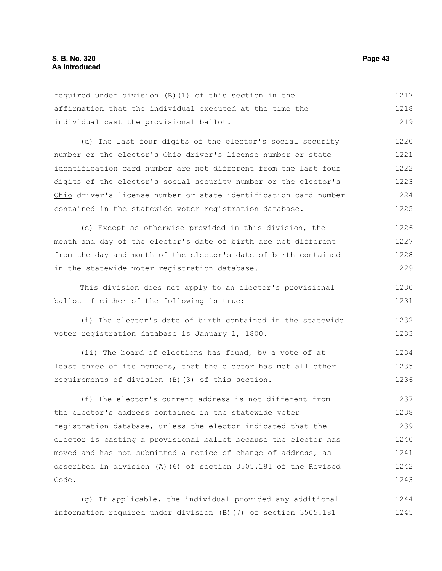| required under division (B) (1) of this section in the           | 1217 |
|------------------------------------------------------------------|------|
| affirmation that the individual executed at the time the         | 1218 |
| individual cast the provisional ballot.                          | 1219 |
| (d) The last four digits of the elector's social security        | 1220 |
| number or the elector's Ohio driver's license number or state    | 1221 |
| identification card number are not different from the last four  | 1222 |
| digits of the elector's social security number or the elector's  | 1223 |
| Ohio driver's license number or state identification card number | 1224 |
| contained in the statewide voter registration database.          | 1225 |
| (e) Except as otherwise provided in this division, the           | 1226 |
| month and day of the elector's date of birth are not different   | 1227 |
| from the day and month of the elector's date of birth contained  | 1228 |
| in the statewide voter registration database.                    | 1229 |
| This division does not apply to an elector's provisional         | 1230 |
| ballot if either of the following is true:                       | 1231 |
| (i) The elector's date of birth contained in the statewide       | 1232 |
| voter registration database is January 1, 1800.                  | 1233 |
| (ii) The board of elections has found, by a vote of at           | 1234 |
| least three of its members, that the elector has met all other   | 1235 |
| requirements of division (B) (3) of this section.                | 1236 |
| (f) The elector's current address is not different from          | 1237 |
| the elector's address contained in the statewide voter           | 1238 |
| registration database, unless the elector indicated that the     | 1239 |
| elector is casting a provisional ballot because the elector has  | 1240 |
| moved and has not submitted a notice of change of address, as    | 1241 |
| described in division (A) (6) of section 3505.181 of the Revised | 1242 |
| Code.                                                            | 1243 |
|                                                                  |      |

(g) If applicable, the individual provided any additional 1244 information required under division (B)(7) of section 3505.181 1245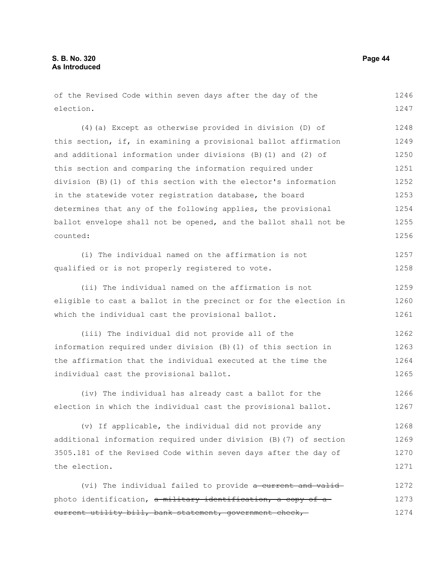| of the Revised Code within seven days after the day of the        | 1246 |
|-------------------------------------------------------------------|------|
| election.                                                         | 1247 |
|                                                                   |      |
| (4) (a) Except as otherwise provided in division (D) of           | 1248 |
| this section, if, in examining a provisional ballot affirmation   | 1249 |
| and additional information under divisions (B) (1) and (2) of     | 1250 |
| this section and comparing the information required under         | 1251 |
| division (B)(1) of this section with the elector's information    | 1252 |
| in the statewide voter registration database, the board           | 1253 |
| determines that any of the following applies, the provisional     | 1254 |
| ballot envelope shall not be opened, and the ballot shall not be  | 1255 |
| counted:                                                          | 1256 |
| (i) The individual named on the affirmation is not                | 1257 |
| qualified or is not properly registered to vote.                  | 1258 |
| (ii) The individual named on the affirmation is not               | 1259 |
| eligible to cast a ballot in the precinct or for the election in  | 1260 |
| which the individual cast the provisional ballot.                 | 1261 |
| (iii) The individual did not provide all of the                   | 1262 |
| information required under division (B) (1) of this section in    | 1263 |
| the affirmation that the individual executed at the time the      | 1264 |
| individual cast the provisional ballot.                           | 1265 |
| (iv) The individual has already cast a ballot for the             | 1266 |
| election in which the individual cast the provisional ballot.     | 1267 |
| (v) If applicable, the individual did not provide any             | 1268 |
| additional information required under division (B) (7) of section | 1269 |
| 3505.181 of the Revised Code within seven days after the day of   | 1270 |
| the election.                                                     | 1271 |
| (vi) The individual failed to provide a current and valid-        | 1272 |
| photo identification, a military identification, a copy of a      | 1273 |
| eurrent utility bill, bank statement, government check,           | 1274 |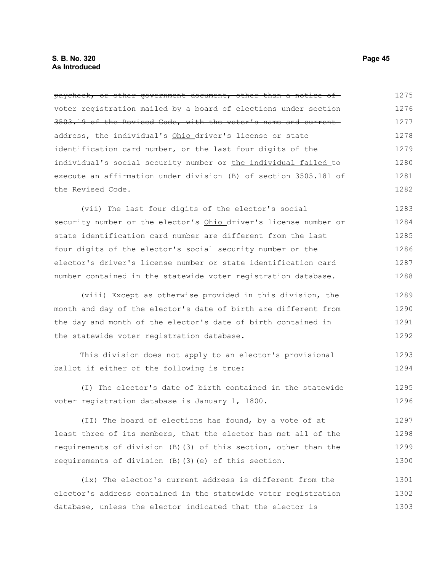| paycheck, or other government document, other than a notice of   | 1275 |
|------------------------------------------------------------------|------|
| voter registration mailed by a board of elections under section- | 1276 |
| 3503.19 of the Revised Code, with the voter's name and current-  | 1277 |
| address, the individual's Ohio driver's license or state         | 1278 |
| identification card number, or the last four digits of the       | 1279 |
| individual's social security number or the individual failed to  | 1280 |
| execute an affirmation under division (B) of section 3505.181 of | 1281 |
| the Revised Code.                                                | 1282 |
| (vii) The last four digits of the elector's social               | 1283 |
| security number or the elector's Ohio driver's license number or | 1284 |
| state identification card number are different from the last     | 1285 |
| four digits of the elector's social security number or the       | 1286 |
| elector's driver's license number or state identification card   | 1287 |
| number contained in the statewide voter registration database.   | 1288 |
| (viii) Except as otherwise provided in this division, the        | 1289 |
| month and day of the elector's date of birth are different from  | 1290 |
| the day and month of the elector's date of birth contained in    | 1291 |
| the statewide voter registration database.                       | 1292 |
| This division does not apply to an elector's provisional         | 1293 |
| ballot if either of the following is true:                       | 1294 |
| (I) The elector's date of birth contained in the statewide       | 1295 |
| voter registration database is January 1, 1800.                  | 1296 |
| (II) The board of elections has found, by a vote of at           | 1297 |
| least three of its members, that the elector has met all of the  | 1298 |
| requirements of division (B) (3) of this section, other than the | 1299 |
| requirements of division (B) (3) (e) of this section.            | 1300 |
| (ix) The elector's current address is different from the         | 1301 |
| elector's address contained in the statewide voter registration  | 1302 |
| database, unless the elector indicated that the elector is       | 1303 |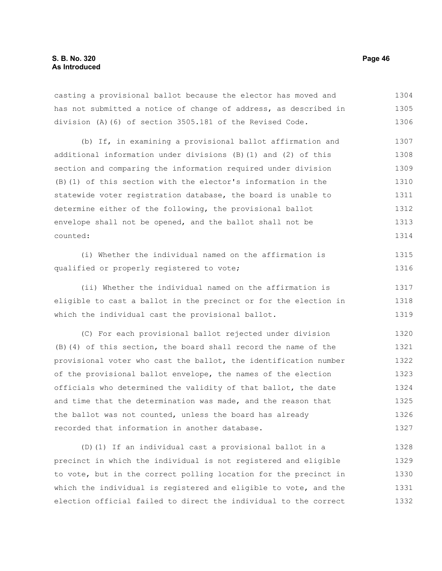casting a provisional ballot because the elector has moved and has not submitted a notice of change of address, as described in division (A)(6) of section 3505.181 of the Revised Code. 1304 1305 1306

(b) If, in examining a provisional ballot affirmation and additional information under divisions (B)(1) and (2) of this section and comparing the information required under division (B)(1) of this section with the elector's information in the statewide voter registration database, the board is unable to determine either of the following, the provisional ballot envelope shall not be opened, and the ballot shall not be counted: 1307 1308 1309 1310 1311 1312 1313 1314

```
(i) Whether the individual named on the affirmation is
qualified or properly registered to vote;
                                                                          1315
                                                                          1316
```
(ii) Whether the individual named on the affirmation is eligible to cast a ballot in the precinct or for the election in which the individual cast the provisional ballot. 1317 1318 1319

(C) For each provisional ballot rejected under division (B)(4) of this section, the board shall record the name of the provisional voter who cast the ballot, the identification number of the provisional ballot envelope, the names of the election officials who determined the validity of that ballot, the date and time that the determination was made, and the reason that the ballot was not counted, unless the board has already recorded that information in another database. 1320 1321 1322 1323 1324 1325 1326 1327

(D)(1) If an individual cast a provisional ballot in a precinct in which the individual is not registered and eligible to vote, but in the correct polling location for the precinct in which the individual is registered and eligible to vote, and the election official failed to direct the individual to the correct 1328 1329 1330 1331 1332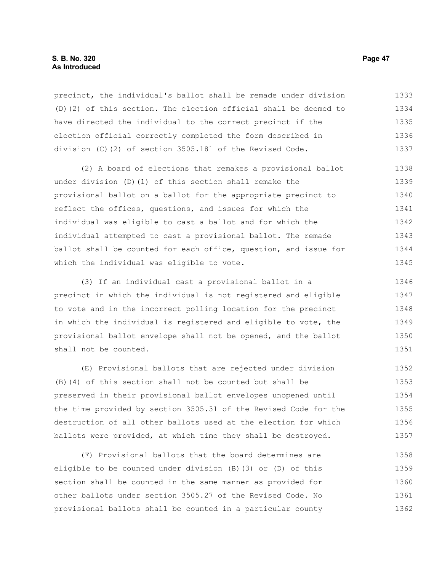precinct, the individual's ballot shall be remade under division (D)(2) of this section. The election official shall be deemed to have directed the individual to the correct precinct if the election official correctly completed the form described in division (C)(2) of section 3505.181 of the Revised Code. 1333 1334 1335 1336 1337

(2) A board of elections that remakes a provisional ballot under division (D)(1) of this section shall remake the provisional ballot on a ballot for the appropriate precinct to reflect the offices, questions, and issues for which the individual was eligible to cast a ballot and for which the individual attempted to cast a provisional ballot. The remade ballot shall be counted for each office, question, and issue for which the individual was eligible to vote. 1338 1339 1340 1341 1342 1343 1344 1345

(3) If an individual cast a provisional ballot in a precinct in which the individual is not registered and eligible to vote and in the incorrect polling location for the precinct in which the individual is registered and eligible to vote, the provisional ballot envelope shall not be opened, and the ballot shall not be counted. 1346 1347 1348 1349 1350 1351

(E) Provisional ballots that are rejected under division (B)(4) of this section shall not be counted but shall be preserved in their provisional ballot envelopes unopened until the time provided by section 3505.31 of the Revised Code for the destruction of all other ballots used at the election for which ballots were provided, at which time they shall be destroyed. 1352 1353 1354 1355 1356 1357

(F) Provisional ballots that the board determines are eligible to be counted under division (B)(3) or (D) of this section shall be counted in the same manner as provided for other ballots under section 3505.27 of the Revised Code. No provisional ballots shall be counted in a particular county 1358 1359 1360 1361 1362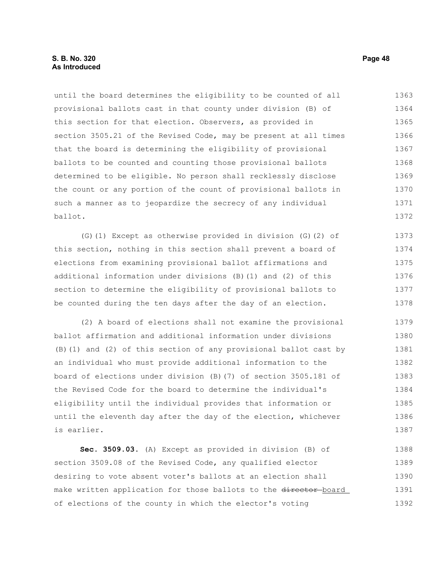# **S. B. No. 320 Page 48 As Introduced**

until the board determines the eligibility to be counted of all provisional ballots cast in that county under division (B) of this section for that election. Observers, as provided in section 3505.21 of the Revised Code, may be present at all times that the board is determining the eligibility of provisional ballots to be counted and counting those provisional ballots determined to be eligible. No person shall recklessly disclose the count or any portion of the count of provisional ballots in such a manner as to jeopardize the secrecy of any individual ballot. 1363 1364 1365 1366 1367 1368 1369 1370 1371 1372

(G)(1) Except as otherwise provided in division (G)(2) of this section, nothing in this section shall prevent a board of elections from examining provisional ballot affirmations and additional information under divisions (B)(1) and (2) of this section to determine the eligibility of provisional ballots to be counted during the ten days after the day of an election. 1373 1374 1375 1376 1377 1378

(2) A board of elections shall not examine the provisional ballot affirmation and additional information under divisions (B)(1) and (2) of this section of any provisional ballot cast by an individual who must provide additional information to the board of elections under division (B)(7) of section 3505.181 of the Revised Code for the board to determine the individual's eligibility until the individual provides that information or until the eleventh day after the day of the election, whichever is earlier. 1379 1380 1381 1382 1383 1384 1385 1386 1387

**Sec. 3509.03.** (A) Except as provided in division (B) of section 3509.08 of the Revised Code, any qualified elector desiring to vote absent voter's ballots at an election shall make written application for those ballots to the director-board of elections of the county in which the elector's voting 1388 1389 1390 1391 1392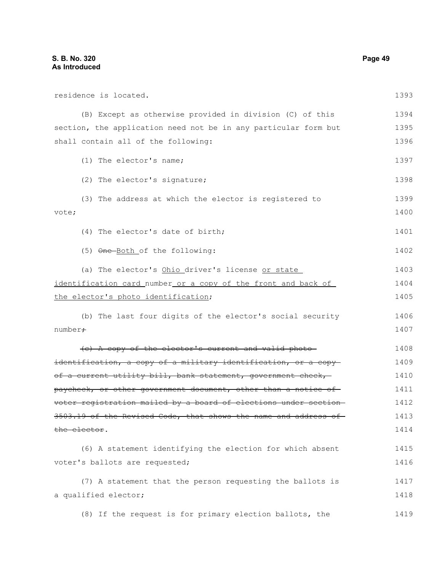| residence is located.                                                      | 1393         |
|----------------------------------------------------------------------------|--------------|
| (B) Except as otherwise provided in division (C) of this                   | 1394         |
| section, the application need not be in any particular form but            | 1395         |
| shall contain all of the following:                                        | 1396         |
| (1) The elector's name;                                                    | 1397         |
| (2) The elector's signature;                                               | 1398         |
| (3) The address at which the elector is registered to<br>vote;             | 1399<br>1400 |
| (4) The elector's date of birth;                                           | 1401         |
| (5) One-Both of the following:                                             | 1402         |
| (a) The elector's Ohio driver's license or state                           | 1403         |
| identification card_number_or a copy of the front and back of              | 1404         |
| the elector's photo identification;                                        | 1405         |
| (b) The last four digits of the elector's social security                  | 1406         |
| number <del>;</del>                                                        | 1407         |
| (c) A copy of the elector's current and valid photo-                       | 1408         |
| <del>identification, a copy of a military identification, or a copy-</del> | 1409         |
| of a current utility bill, bank statement, government check,               | 1410         |
| paycheck, or other government document, other than a notice of-            | 1411         |
| voter registration mailed by a board of elections under section-           | 1412         |
| $3503.19$ of the Revised Code, that shows the name and address of—         | 1413         |
| the elector.                                                               | 1414         |
| (6) A statement identifying the election for which absent                  | 1415         |
| voter's ballots are requested;                                             | 1416         |
| (7) A statement that the person requesting the ballots is                  | 1417         |
| a qualified elector;                                                       | 1418         |
| (8) If the request is for primary election ballots, the                    | 1419         |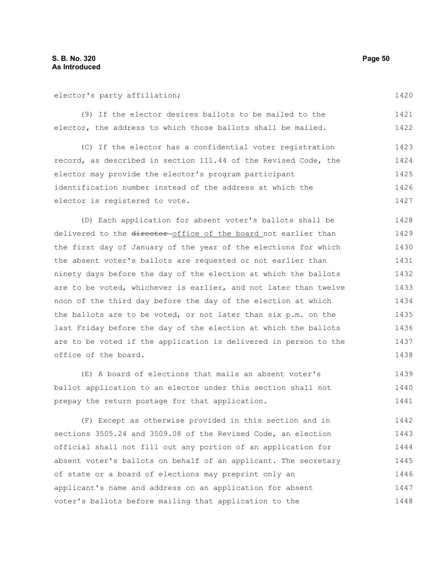elector's party affiliation;

1420

(9) If the elector desires ballots to be mailed to the elector, the address to which those ballots shall be mailed. 1421 1422

(C) If the elector has a confidential voter registration record, as described in section 111.44 of the Revised Code, the elector may provide the elector's program participant identification number instead of the address at which the elector is registered to vote. 1423 1424 1425 1426 1427

(D) Each application for absent voter's ballots shall be delivered to the director office of the board not earlier than the first day of January of the year of the elections for which the absent voter's ballots are requested or not earlier than ninety days before the day of the election at which the ballots are to be voted, whichever is earlier, and not later than twelve noon of the third day before the day of the election at which the ballots are to be voted, or not later than six p.m. on the last Friday before the day of the election at which the ballots are to be voted if the application is delivered in person to the office of the board. 1428 1429 1430 1431 1432 1433 1434 1435 1436 1437 1438

(E) A board of elections that mails an absent voter's ballot application to an elector under this section shall not prepay the return postage for that application. 1439 1440 1441

(F) Except as otherwise provided in this section and in sections 3505.24 and 3509.08 of the Revised Code, an election official shall not fill out any portion of an application for absent voter's ballots on behalf of an applicant. The secretary of state or a board of elections may preprint only an applicant's name and address on an application for absent voter's ballots before mailing that application to the 1442 1443 1444 1445 1446 1447 1448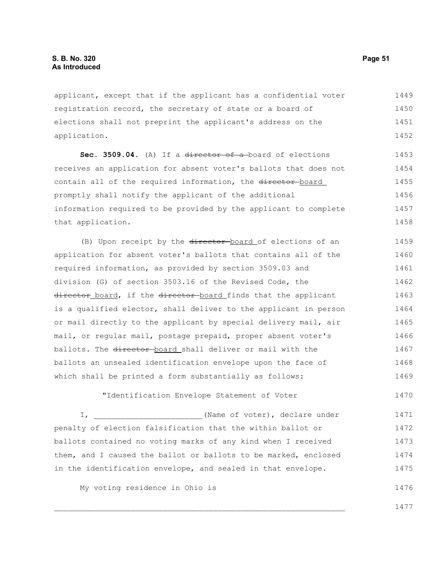applicant, except that if the applicant has a confidential voter registration record, the secretary of state or a board of elections shall not preprint the applicant's address on the application. 1449 1450 1451 1452

Sec. 3509.04. (A) If a director of a board of elections receives an application for absent voter's ballots that does not contain all of the required information, the director-board promptly shall notify the applicant of the additional information required to be provided by the applicant to complete that application. 1453 1454 1455 1456 1457 1458

(B) Upon receipt by the director-board of elections of an application for absent voter's ballots that contains all of the required information, as provided by section 3509.03 and division (G) of section 3503.16 of the Revised Code, the director board, if the director board finds that the applicant is a qualified elector, shall deliver to the applicant in person or mail directly to the applicant by special delivery mail, air mail, or regular mail, postage prepaid, proper absent voter's ballots. The director board shall deliver or mail with the ballots an unsealed identification envelope upon the face of which shall be printed a form substantially as follows: 1459 1460 1461 1462 1463 1464 1465 1466 1467 1468 1469

"Identification Envelope Statement of Voter

I, \_\_\_\_\_\_\_\_\_\_\_\_\_\_\_\_\_\_\_\_\_\_\_\_(Name of voter), declare under penalty of election falsification that the within ballot or ballots contained no voting marks of any kind when I received them, and I caused the ballot or ballots to be marked, enclosed in the identification envelope, and sealed in that envelope. 1471 1472 1473 1474 1475

My voting residence in Ohio is

1477

1476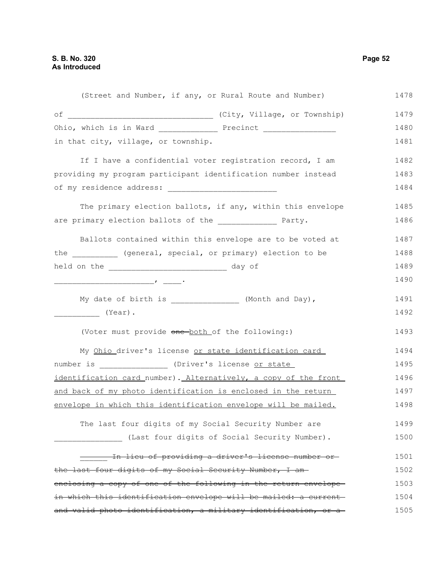|                                                                | (Street and Number, if any, or Rural Route and Number)           | 1478 |
|----------------------------------------------------------------|------------------------------------------------------------------|------|
|                                                                |                                                                  | 1479 |
|                                                                |                                                                  | 1480 |
| in that city, village, or township.                            |                                                                  | 1481 |
|                                                                | If I have a confidential voter registration record, I am         | 1482 |
| providing my program participant identification number instead |                                                                  | 1483 |
|                                                                |                                                                  | 1484 |
|                                                                | The primary election ballots, if any, within this envelope       | 1485 |
| are primary election ballots of the ______________ Party.      |                                                                  | 1486 |
|                                                                | Ballots contained within this envelope are to be voted at        | 1487 |
| the _______ (general, special, or primary) election to be      |                                                                  | 1488 |
| held on the ________________________________ day of            |                                                                  | 1489 |
|                                                                |                                                                  | 1490 |
|                                                                | My date of birth is ________________ (Month and Day),            | 1491 |
| $\begin{array}{c}\n\ldots \\ \hline\n\end{array}$ (Year).      |                                                                  | 1492 |
| (Voter must provide one both of the following:)                |                                                                  | 1493 |
|                                                                | My Ohio driver's license or state identification card            | 1494 |
| number is _______________ (Driver's license or state           |                                                                  | 1495 |
|                                                                | identification card_number). Alternatively, a copy of the front  | 1496 |
| and back of my photo identification is enclosed in the return  |                                                                  | 1497 |
| envelope in which this identification envelope will be mailed. |                                                                  | 1498 |
|                                                                | The last four digits of my Social Security Number are            | 1499 |
|                                                                | (Last four digits of Social Security Number).                    | 1500 |
|                                                                | <u>In lieu of providing a driver's license number or-</u>        | 1501 |
| the last four digits of my Social Security Number, I am-       |                                                                  | 1502 |
|                                                                | enclosing a copy of one of the following in the return envelope- | 1503 |
|                                                                | in which this identification envelope will be mailed: a current- | 1504 |
|                                                                | and valid photo identification, a military identification, or a  | 1505 |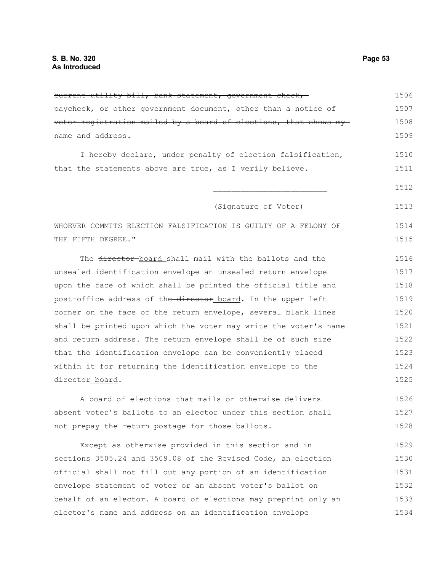| current utility bill, bank statement, government check,          | 1506 |
|------------------------------------------------------------------|------|
| paycheck, or other government document, other than a notice of   | 1507 |
| voter registration mailed by a board of elections, that shows my | 1508 |
| name and address.                                                | 1509 |
| I hereby declare, under penalty of election falsification,       | 1510 |
| that the statements above are true, as I verily believe.         | 1511 |
|                                                                  | 1512 |
| (Signature of Voter)                                             | 1513 |
| WHOEVER COMMITS ELECTION FALSIFICATION IS GUILTY OF A FELONY OF  | 1514 |
| THE FIFTH DEGREE."                                               | 1515 |
| The director board shall mail with the ballots and the           | 1516 |
| unsealed identification envelope an unsealed return envelope     | 1517 |
| upon the face of which shall be printed the official title and   | 1518 |
| post-office address of the director board. In the upper left     | 1519 |
| corner on the face of the return envelope, several blank lines   | 1520 |
| shall be printed upon which the voter may write the voter's name | 1521 |
| and return address. The return envelope shall be of such size    | 1522 |
| that the identification envelope can be conveniently placed      | 1523 |
| within it for returning the identification envelope to the       | 1524 |
| director_board.                                                  | 1525 |
| A board of elections that mails or otherwise delivers            | 1526 |
| absent voter's ballots to an elector under this section shall    | 1527 |
| not prepay the return postage for those ballots.                 | 1528 |
| Except as otherwise provided in this section and in              | 1529 |
| sections 3505.24 and 3509.08 of the Revised Code, an election    | 1530 |
| official shall not fill out any portion of an identification     | 1531 |
| envelope statement of voter or an absent voter's ballot on       | 1532 |
| behalf of an elector. A board of elections may preprint only an  | 1533 |
| elector's name and address on an identification envelope         | 1534 |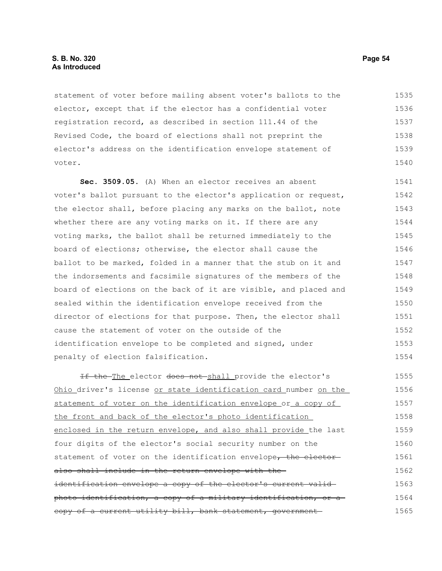# **S. B. No. 320 Page 54 As Introduced**

statement of voter before mailing absent voter's ballots to the elector, except that if the elector has a confidential voter registration record, as described in section 111.44 of the Revised Code, the board of elections shall not preprint the elector's address on the identification envelope statement of voter. 1535 1536 1537 1538 1539 1540

**Sec. 3509.05.** (A) When an elector receives an absent voter's ballot pursuant to the elector's application or request, the elector shall, before placing any marks on the ballot, note whether there are any voting marks on it. If there are any voting marks, the ballot shall be returned immediately to the board of elections; otherwise, the elector shall cause the ballot to be marked, folded in a manner that the stub on it and the indorsements and facsimile signatures of the members of the board of elections on the back of it are visible, and placed and sealed within the identification envelope received from the director of elections for that purpose. Then, the elector shall cause the statement of voter on the outside of the identification envelope to be completed and signed, under penalty of election falsification. 1541 1542 1543 1544 1545 1546 1547 1548 1549 1550 1551 1552 1553 1554

If the The elector does not shall provide the elector's Ohio driver's license or state identification card number on the statement of voter on the identification envelope or a copy of the front and back of the elector's photo identification enclosed in the return envelope, and also shall provide the last four digits of the elector's social security number on the statement of voter on the identification envelope, the electoralso shall include in the return envelope with the identification envelope a copy of the elector's current validphoto identification, a copy of a military identification, or a copy of a current utility bill, bank statement, government-1555 1556 1557 1558 1559 1560 1561 1562 1563 1564 1565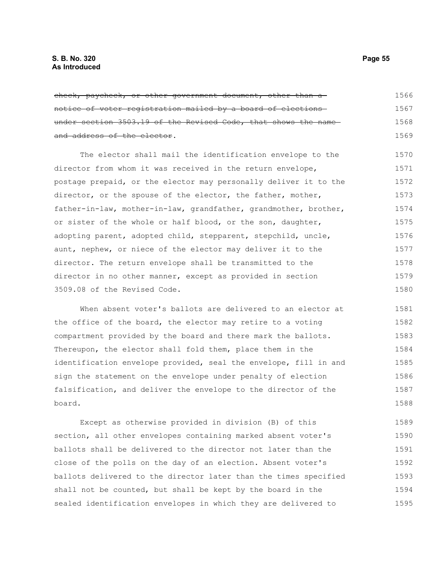| check, paycheck, or other government document, other than a      | 1566 |
|------------------------------------------------------------------|------|
| notice of voter registration mailed by a board of elections      | 1567 |
| under section 3503.19 of the Revised Code, that shows the name   | 1568 |
| and address of the elector.                                      | 1569 |
| The elector shall mail the identification envelope to the        | 1570 |
| director from whom it was received in the return envelope,       | 1571 |
| postage prepaid, or the elector may personally deliver it to the | 1572 |
| director, or the spouse of the elector, the father, mother,      | 1573 |
| father-in-law, mother-in-law, grandfather, grandmother, brother, | 1574 |
| or sister of the whole or half blood, or the son, daughter,      | 1575 |
| adopting parent, adopted child, stepparent, stepchild, uncle,    | 1576 |
| aunt, nephew, or niece of the elector may deliver it to the      | 1577 |
| director. The return envelope shall be transmitted to the        | 1578 |
| director in no other manner, except as provided in section       | 1579 |
| 3509.08 of the Revised Code.                                     | 1580 |

When absent voter's ballots are delivered to an elector at the office of the board, the elector may retire to a voting compartment provided by the board and there mark the ballots. Thereupon, the elector shall fold them, place them in the identification envelope provided, seal the envelope, fill in and sign the statement on the envelope under penalty of election falsification, and deliver the envelope to the director of the board. 1581 1582 1583 1584 1585 1586 1587 1588

Except as otherwise provided in division (B) of this section, all other envelopes containing marked absent voter's ballots shall be delivered to the director not later than the close of the polls on the day of an election. Absent voter's ballots delivered to the director later than the times specified shall not be counted, but shall be kept by the board in the sealed identification envelopes in which they are delivered to 1589 1590 1591 1592 1593 1594 1595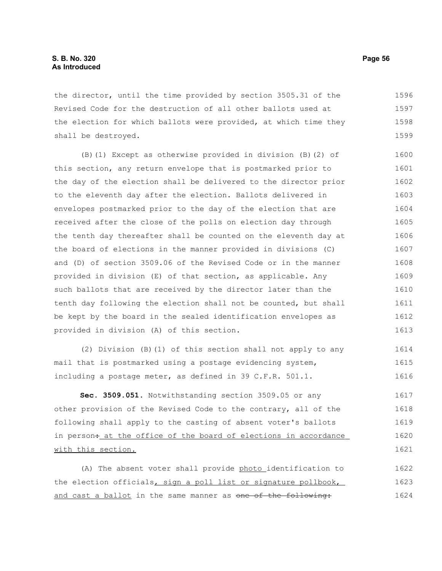# **S. B. No. 320 Page 56 As Introduced**

the director, until the time provided by section 3505.31 of the Revised Code for the destruction of all other ballots used at the election for which ballots were provided, at which time they shall be destroyed. 1596 1597 1598 1599

(B)(1) Except as otherwise provided in division (B)(2) of this section, any return envelope that is postmarked prior to the day of the election shall be delivered to the director prior to the eleventh day after the election. Ballots delivered in envelopes postmarked prior to the day of the election that are received after the close of the polls on election day through the tenth day thereafter shall be counted on the eleventh day at the board of elections in the manner provided in divisions (C) and (D) of section 3509.06 of the Revised Code or in the manner provided in division (E) of that section, as applicable. Any such ballots that are received by the director later than the tenth day following the election shall not be counted, but shall be kept by the board in the sealed identification envelopes as provided in division (A) of this section. 1600 1601 1602 1603 1604 1605 1606 1607 1608 1609 1610 1611 1612 1613

(2) Division (B)(1) of this section shall not apply to any mail that is postmarked using a postage evidencing system, including a postage meter, as defined in 39 C.F.R. 501.1. 1614 1615 1616

**Sec. 3509.051.** Notwithstanding section 3509.05 or any other provision of the Revised Code to the contrary, all of the following shall apply to the casting of absent voter's ballots in person<sub>:</sub> at the office of the board of elections in accordance with this section. 1617 1618 1619 1620 1621

(A) The absent voter shall provide photo identification to the election officials, sign a poll list or signature pollbook, and cast a ballot in the same manner as one of the following: 1622 1623 1624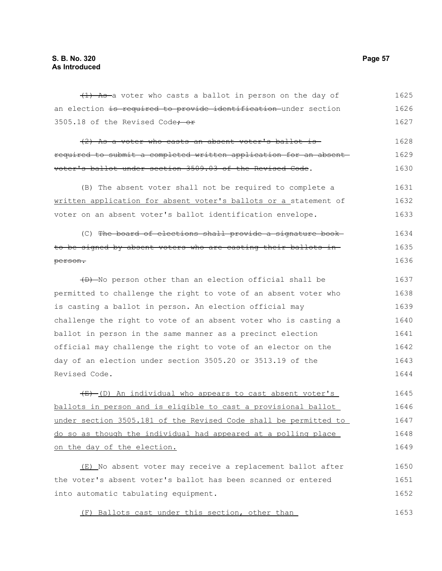(1) As-a voter who casts a ballot in person on the day of an election is required to provide identification under section 3505.18 of the Revised Code<del>; or</del> 1625 1626 1627

(2) As a voter who casts an absent voter's ballot is required to submit a completed written application for an absent voter's ballot under section 3509.03 of the Revised Code. 1628 1629 1630

(B) The absent voter shall not be required to complete a written application for absent voter's ballots or a statement of voter on an absent voter's ballot identification envelope. 1631 1632 1633

(C) The board of elections shall provide a signature book to be signed by absent voters who are casting their ballots in person. 1634 1635 1636

(D) No person other than an election official shall be permitted to challenge the right to vote of an absent voter who is casting a ballot in person. An election official may challenge the right to vote of an absent voter who is casting a ballot in person in the same manner as a precinct election official may challenge the right to vote of an elector on the day of an election under section 3505.20 or 3513.19 of the Revised Code. 1637 1638 1639 1640 1641 1642 1643 1644

 $(E)$  (D) An individual who appears to cast absent voter's ballots in person and is eligible to cast a provisional ballot under section 3505.181 of the Revised Code shall be permitted to do so as though the individual had appeared at a polling place on the day of the election. 1645 1646 1647 1648 1649

(E) No absent voter may receive a replacement ballot after the voter's absent voter's ballot has been scanned or entered into automatic tabulating equipment. 1650 1651 1652

(F) Ballots cast under this section, other than 1653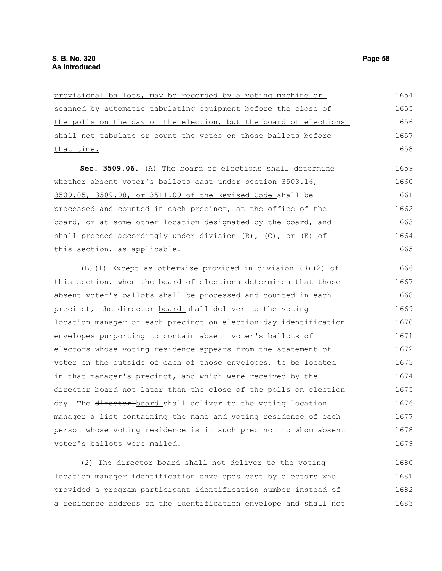| provisional ballots, may be recorded by a voting machine or          | 1654 |
|----------------------------------------------------------------------|------|
| scanned by automatic tabulating equipment before the close of        | 1655 |
| the polls on the day of the election, but the board of elections     | 1656 |
| shall not tabulate or count the votes on those ballots before        | 1657 |
| that time.                                                           | 1658 |
| Sec. 3509.06. (A) The board of elections shall determine             | 1659 |
| whether absent voter's ballots cast under section 3503.16,           | 1660 |
| 3509.05, 3509.08, or 3511.09 of the Revised Code_shall be            | 1661 |
| processed and counted in each precinct, at the office of the         | 1662 |
| board, or at some other location designated by the board, and        | 1663 |
| shall proceed accordingly under division $(B)$ , $(C)$ , or $(E)$ of | 1664 |
| this section, as applicable.                                         | 1665 |
| (B) (1) Except as otherwise provided in division (B) (2) of          | 1666 |
| this section, when the board of elections determines that those      | 1667 |
|                                                                      |      |
| absent voter's ballots shall be processed and counted in each        | 1668 |
| precinct, the director-board shall deliver to the voting             | 1669 |
| location manager of each precinct on election day identification     | 1670 |
| envelopes purporting to contain absent voter's ballots of            | 1671 |
| electors whose voting residence appears from the statement of        | 1672 |
| voter on the outside of each of those envelopes, to be located       | 1673 |
| in that manager's precinct, and which were received by the           | 1674 |
| director board not later than the close of the polls on election     | 1675 |
| day. The director board shall deliver to the voting location         | 1676 |
| manager a list containing the name and voting residence of each      | 1677 |
| person whose voting residence is in such precinct to whom absent     | 1678 |
| voter's ballots were mailed.                                         | 1679 |

(2) The director board shall not deliver to the voting location manager identification envelopes cast by electors who provided a program participant identification number instead of a residence address on the identification envelope and shall not 1680 1681 1682 1683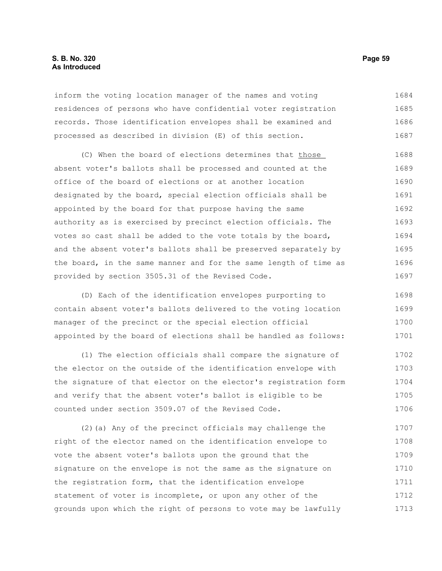# **S. B. No. 320 Page 59 As Introduced**

inform the voting location manager of the names and voting residences of persons who have confidential voter registration records. Those identification envelopes shall be examined and processed as described in division (E) of this section. 1684 1685 1686 1687

(C) When the board of elections determines that those absent voter's ballots shall be processed and counted at the office of the board of elections or at another location designated by the board, special election officials shall be appointed by the board for that purpose having the same authority as is exercised by precinct election officials. The votes so cast shall be added to the vote totals by the board, and the absent voter's ballots shall be preserved separately by the board, in the same manner and for the same length of time as provided by section 3505.31 of the Revised Code. 1688 1689 1690 1691 1692 1693 1694 1695 1696 1697

(D) Each of the identification envelopes purporting to contain absent voter's ballots delivered to the voting location manager of the precinct or the special election official appointed by the board of elections shall be handled as follows: 1698 1699 1700 1701

(1) The election officials shall compare the signature of the elector on the outside of the identification envelope with the signature of that elector on the elector's registration form and verify that the absent voter's ballot is eligible to be counted under section 3509.07 of the Revised Code. 1702 1703 1704 1705 1706

(2)(a) Any of the precinct officials may challenge the right of the elector named on the identification envelope to vote the absent voter's ballots upon the ground that the signature on the envelope is not the same as the signature on the registration form, that the identification envelope statement of voter is incomplete, or upon any other of the grounds upon which the right of persons to vote may be lawfully 1707 1708 1709 1710 1711 1712 1713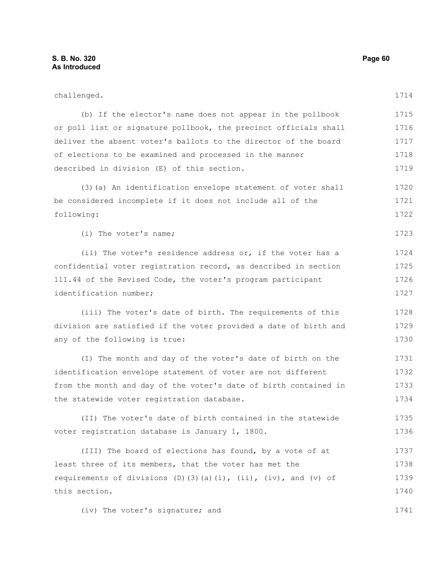challenged. (b) If the elector's name does not appear in the pollbook or poll list or signature pollbook, the precinct officials shall deliver the absent voter's ballots to the director of the board of elections to be examined and processed in the manner described in division (E) of this section. (3)(a) An identification envelope statement of voter shall be considered incomplete if it does not include all of the following: (ii) The voter's residence address or, if the voter has a (iii) The voter's date of birth. The requirements of this (I) The month and day of the voter's date of birth on the identification envelope statement of voter are not different from the month and day of the voter's date of birth contained in 1714 1715 1716 1717 1718 1719 1720 1721 1723 1724 1725 1726 1727 1728 1729 1730 1731 1732 1733

(II) The voter's date of birth contained in the statewide voter registration database is January 1, 1800. 1735 1736

(III) The board of elections has found, by a vote of at least three of its members, that the voter has met the requirements of divisions (D)(3)(a)(i), (ii), (iv), and (v) of this section. 1737 1738 1739 1740

(iv) The voter's signature; and

the statewide voter registration database.

1722

(i) The voter's name;

confidential voter registration record, as described in section 111.44 of the Revised Code, the voter's program participant identification number;

division are satisfied if the voter provided a date of birth and any of the following is true:

1741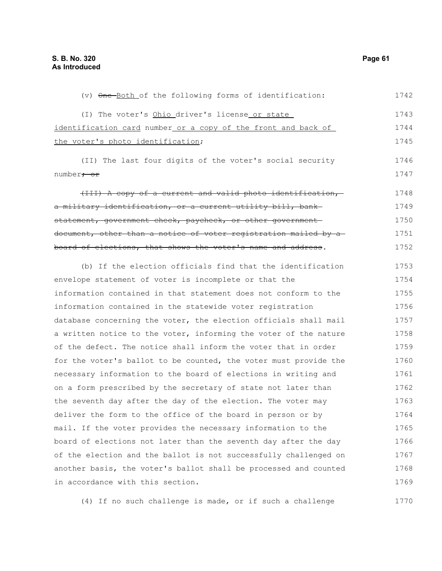| (v) One-Both of the following forms of identification:           | 1742 |
|------------------------------------------------------------------|------|
| (I) The voter's Ohio driver's license or state                   | 1743 |
| identification card number or a copy of the front and back of    | 1744 |
| the voter's photo identification;                                | 1745 |
| (II) The last four digits of the voter's social security         | 1746 |
| number <del>; or</del>                                           | 1747 |
| (III) A copy of a current and valid photo identification,        | 1748 |
| a military identification, or a current utility bill, bank-      | 1749 |
| statement, government check, paycheck, or other government-      | 1750 |
| document, other than a notice of voter registration mailed by a  | 1751 |
| board of elections, that shows the voter's name and address.     | 1752 |
| (b) If the election officials find that the identification       | 1753 |
| envelope statement of voter is incomplete or that the            | 1754 |
| information contained in that statement does not conform to the  | 1755 |
| information contained in the statewide voter registration        | 1756 |
| database concerning the voter, the election officials shall mail | 1757 |
| a written notice to the voter, informing the voter of the nature | 1758 |
| of the defect. The notice shall inform the voter that in order   | 1759 |
| for the voter's ballot to be counted, the voter must provide the | 1760 |
| necessary information to the board of elections in writing and   | 1761 |
| on a form prescribed by the secretary of state not later than    | 1762 |
| the seventh day after the day of the election. The voter may     | 1763 |
| deliver the form to the office of the board in person or by      | 1764 |
| mail. If the voter provides the necessary information to the     | 1765 |

board of elections not later than the seventh day after the day of the election and the ballot is not successfully challenged on another basis, the voter's ballot shall be processed and counted in accordance with this section. 1766 1767 1768 1769

(4) If no such challenge is made, or if such a challenge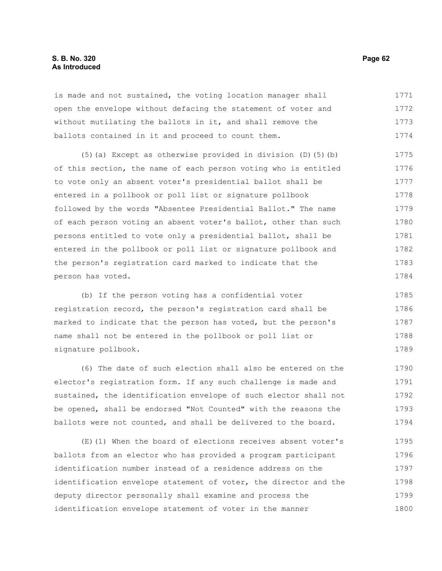is made and not sustained, the voting location manager shall open the envelope without defacing the statement of voter and without mutilating the ballots in it, and shall remove the ballots contained in it and proceed to count them. 1771 1772 1773 1774

(5)(a) Except as otherwise provided in division (D)(5)(b) of this section, the name of each person voting who is entitled to vote only an absent voter's presidential ballot shall be entered in a pollbook or poll list or signature pollbook followed by the words "Absentee Presidential Ballot." The name of each person voting an absent voter's ballot, other than such persons entitled to vote only a presidential ballot, shall be entered in the pollbook or poll list or signature pollbook and the person's registration card marked to indicate that the person has voted. 1775 1776 1777 1778 1779 1780 1781 1782 1783 1784

(b) If the person voting has a confidential voter registration record, the person's registration card shall be marked to indicate that the person has voted, but the person's name shall not be entered in the pollbook or poll list or signature pollbook. 1785 1786 1787 1788 1789

(6) The date of such election shall also be entered on the elector's registration form. If any such challenge is made and sustained, the identification envelope of such elector shall not be opened, shall be endorsed "Not Counted" with the reasons the ballots were not counted, and shall be delivered to the board. 1790 1791 1792 1793 1794

(E)(1) When the board of elections receives absent voter's ballots from an elector who has provided a program participant identification number instead of a residence address on the identification envelope statement of voter, the director and the deputy director personally shall examine and process the identification envelope statement of voter in the manner 1795 1796 1797 1798 1799 1800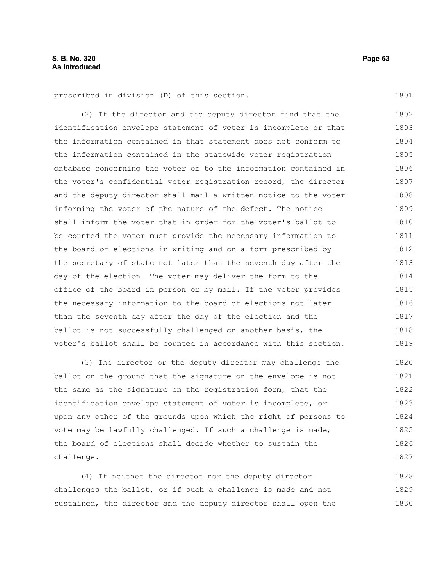prescribed in division (D) of this section.

(2) If the director and the deputy director find that the identification envelope statement of voter is incomplete or that the information contained in that statement does not conform to the information contained in the statewide voter registration database concerning the voter or to the information contained in the voter's confidential voter registration record, the director and the deputy director shall mail a written notice to the voter informing the voter of the nature of the defect. The notice shall inform the voter that in order for the voter's ballot to be counted the voter must provide the necessary information to the board of elections in writing and on a form prescribed by the secretary of state not later than the seventh day after the day of the election. The voter may deliver the form to the office of the board in person or by mail. If the voter provides the necessary information to the board of elections not later than the seventh day after the day of the election and the ballot is not successfully challenged on another basis, the voter's ballot shall be counted in accordance with this section. 1802 1803 1804 1805 1806 1807 1808 1809 1810 1811 1812 1813 1814 1815 1816 1817 1818 1819

(3) The director or the deputy director may challenge the ballot on the ground that the signature on the envelope is not the same as the signature on the registration form, that the identification envelope statement of voter is incomplete, or upon any other of the grounds upon which the right of persons to vote may be lawfully challenged. If such a challenge is made, the board of elections shall decide whether to sustain the challenge. 1820 1821 1822 1823 1824 1825 1826 1827

(4) If neither the director nor the deputy director challenges the ballot, or if such a challenge is made and not sustained, the director and the deputy director shall open the 1828 1829 1830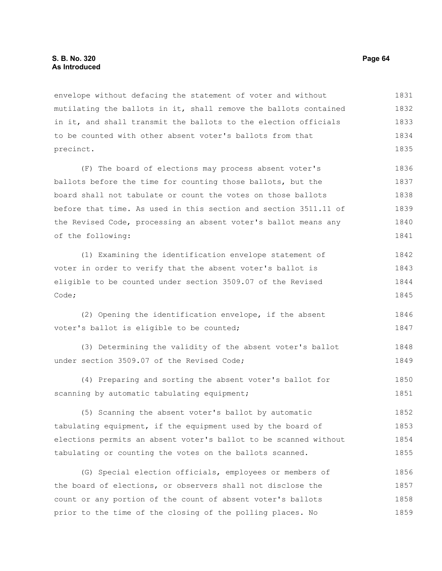envelope without defacing the statement of voter and without mutilating the ballots in it, shall remove the ballots contained in it, and shall transmit the ballots to the election officials to be counted with other absent voter's ballots from that precinct. 1831 1832 1833 1834 1835

(F) The board of elections may process absent voter's ballots before the time for counting those ballots, but the board shall not tabulate or count the votes on those ballots before that time. As used in this section and section 3511.11 of the Revised Code, processing an absent voter's ballot means any of the following: 1836 1837 1838 1839 1840 1841

(1) Examining the identification envelope statement of voter in order to verify that the absent voter's ballot is eligible to be counted under section 3509.07 of the Revised Code; 1842 1843 1844 1845

(2) Opening the identification envelope, if the absent voter's ballot is eligible to be counted; 1846 1847

(3) Determining the validity of the absent voter's ballot under section 3509.07 of the Revised Code; 1848 1849

(4) Preparing and sorting the absent voter's ballot for scanning by automatic tabulating equipment; 1850 1851

(5) Scanning the absent voter's ballot by automatic tabulating equipment, if the equipment used by the board of elections permits an absent voter's ballot to be scanned without tabulating or counting the votes on the ballots scanned. 1852 1853 1854 1855

(G) Special election officials, employees or members of the board of elections, or observers shall not disclose the count or any portion of the count of absent voter's ballots prior to the time of the closing of the polling places. No 1856 1857 1858 1859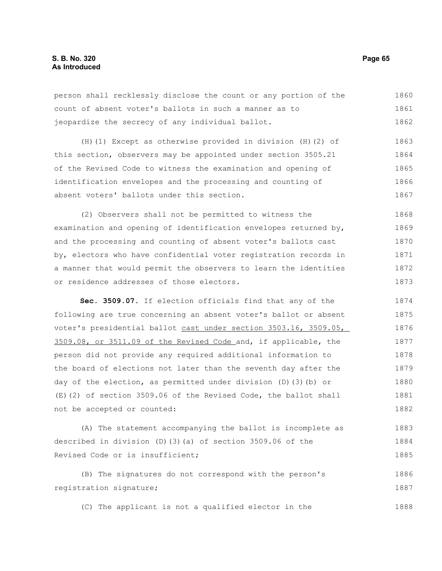person shall recklessly disclose the count or any portion of the count of absent voter's ballots in such a manner as to jeopardize the secrecy of any individual ballot. 1860 1861 1862

(H)(1) Except as otherwise provided in division (H)(2) of this section, observers may be appointed under section 3505.21 of the Revised Code to witness the examination and opening of identification envelopes and the processing and counting of absent voters' ballots under this section. 1863 1864 1865 1866 1867

(2) Observers shall not be permitted to witness the examination and opening of identification envelopes returned by, and the processing and counting of absent voter's ballots cast by, electors who have confidential voter registration records in a manner that would permit the observers to learn the identities or residence addresses of those electors. 1868 1869 1870 1871 1872 1873

**Sec. 3509.07.** If election officials find that any of the following are true concerning an absent voter's ballot or absent voter's presidential ballot cast under section 3503.16, 3509.05, 3509.08, or 3511.09 of the Revised Code and, if applicable, the person did not provide any required additional information to the board of elections not later than the seventh day after the day of the election, as permitted under division (D)(3)(b) or (E)(2) of section 3509.06 of the Revised Code, the ballot shall not be accepted or counted: 1874 1875 1876 1877 1878 1879 1880 1881 1882

(A) The statement accompanying the ballot is incomplete as described in division (D)(3)(a) of section 3509.06 of the Revised Code or is insufficient; 1883 1884 1885

(B) The signatures do not correspond with the person's registration signature; 1886 1887

(C) The applicant is not a qualified elector in the 1888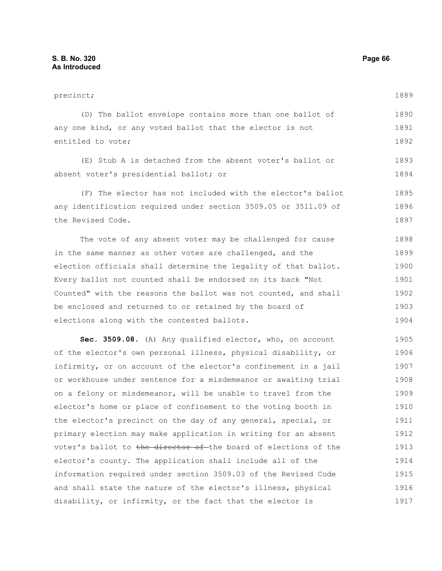precinct; (D) The ballot envelope contains more than one ballot of any one kind, or any voted ballot that the elector is not entitled to vote; (E) Stub A is detached from the absent voter's ballot or absent voter's presidential ballot; or (F) The elector has not included with the elector's ballot any identification required under section 3509.05 or 3511.09 of the Revised Code. The vote of any absent voter may be challenged for cause in the same manner as other votes are challenged, and the election officials shall determine the legality of that ballot. Every ballot not counted shall be endorsed on its back "Not Counted" with the reasons the ballot was not counted, and shall 1889 1890 1891 1892 1893 1894 1895 1896 1897 1898 1899 1900 1901 1902

be enclosed and returned to or retained by the board of elections along with the contested ballots. 1903 1904

**Sec. 3509.08.** (A) Any qualified elector, who, on account of the elector's own personal illness, physical disability, or infirmity, or on account of the elector's confinement in a jail or workhouse under sentence for a misdemeanor or awaiting trial on a felony or misdemeanor, will be unable to travel from the elector's home or place of confinement to the voting booth in the elector's precinct on the day of any general, special, or primary election may make application in writing for an absent voter's ballot to the director of the board of elections of the elector's county. The application shall include all of the information required under section 3509.03 of the Revised Code and shall state the nature of the elector's illness, physical disability, or infirmity, or the fact that the elector is 1905 1906 1907 1908 1909 1910 1911 1912 1913 1914 1915 1916 1917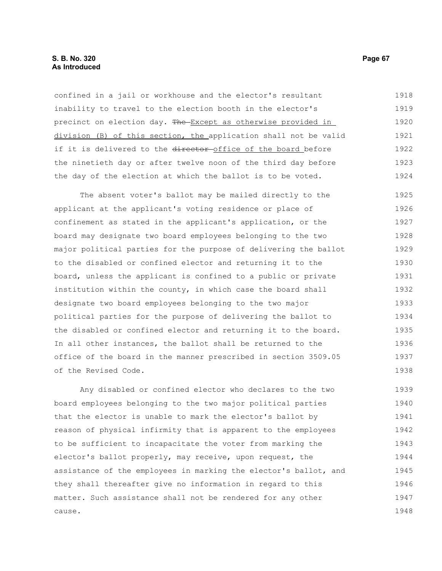confined in a jail or workhouse and the elector's resultant inability to travel to the election booth in the elector's precinct on election day. The Except as otherwise provided in division (B) of this section, the application shall not be valid if it is delivered to the director office of the board before the ninetieth day or after twelve noon of the third day before the day of the election at which the ballot is to be voted. 1918 1919 1920 1921 1922 1923 1924

The absent voter's ballot may be mailed directly to the applicant at the applicant's voting residence or place of confinement as stated in the applicant's application, or the board may designate two board employees belonging to the two major political parties for the purpose of delivering the ballot to the disabled or confined elector and returning it to the board, unless the applicant is confined to a public or private institution within the county, in which case the board shall designate two board employees belonging to the two major political parties for the purpose of delivering the ballot to the disabled or confined elector and returning it to the board. In all other instances, the ballot shall be returned to the office of the board in the manner prescribed in section 3509.05 of the Revised Code. 1925 1926 1927 1928 1929 1930 1931 1932 1933 1934 1935 1936 1937 1938

Any disabled or confined elector who declares to the two board employees belonging to the two major political parties that the elector is unable to mark the elector's ballot by reason of physical infirmity that is apparent to the employees to be sufficient to incapacitate the voter from marking the elector's ballot properly, may receive, upon request, the assistance of the employees in marking the elector's ballot, and they shall thereafter give no information in regard to this matter. Such assistance shall not be rendered for any other cause. 1939 1940 1941 1942 1943 1944 1945 1946 1947 1948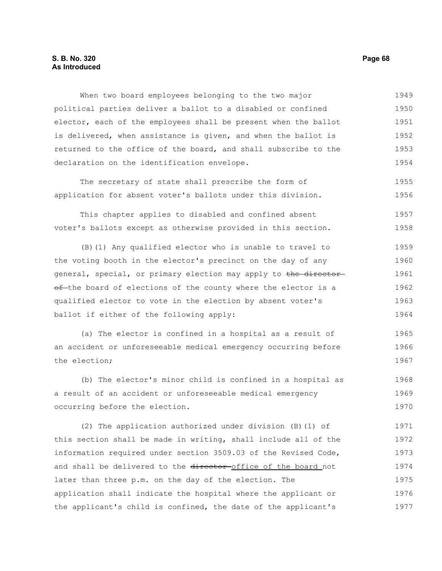### **S. B. No. 320 Page 68 As Introduced**

When two board employees belonging to the two major political parties deliver a ballot to a disabled or confined elector, each of the employees shall be present when the ballot is delivered, when assistance is given, and when the ballot is returned to the office of the board, and shall subscribe to the declaration on the identification envelope. 1949 1950 1951 1952 1953 1954

The secretary of state shall prescribe the form of application for absent voter's ballots under this division. 1955 1956

This chapter applies to disabled and confined absent voter's ballots except as otherwise provided in this section. 1957 1958

(B)(1) Any qualified elector who is unable to travel to the voting booth in the elector's precinct on the day of any general, special, or primary election may apply to the directorof-the board of elections of the county where the elector is a qualified elector to vote in the election by absent voter's ballot if either of the following apply: 1959 1960 1961 1962 1963 1964

(a) The elector is confined in a hospital as a result of an accident or unforeseeable medical emergency occurring before the election; 1965 1966 1967

(b) The elector's minor child is confined in a hospital as a result of an accident or unforeseeable medical emergency occurring before the election. 1968 1969 1970

(2) The application authorized under division (B)(1) of this section shall be made in writing, shall include all of the information required under section 3509.03 of the Revised Code, and shall be delivered to the director-office of the board not later than three p.m. on the day of the election. The application shall indicate the hospital where the applicant or the applicant's child is confined, the date of the applicant's 1971 1972 1973 1974 1975 1976 1977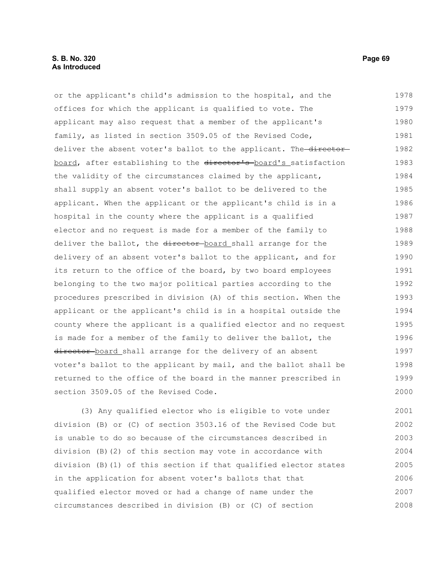# **S. B. No. 320 Page 69 As Introduced**

or the applicant's child's admission to the hospital, and the offices for which the applicant is qualified to vote. The applicant may also request that a member of the applicant's family, as listed in section 3509.05 of the Revised Code, deliver the absent voter's ballot to the applicant. The director board, after establishing to the director's board's satisfaction the validity of the circumstances claimed by the applicant, shall supply an absent voter's ballot to be delivered to the applicant. When the applicant or the applicant's child is in a hospital in the county where the applicant is a qualified elector and no request is made for a member of the family to deliver the ballot, the director-board shall arrange for the delivery of an absent voter's ballot to the applicant, and for its return to the office of the board, by two board employees belonging to the two major political parties according to the procedures prescribed in division (A) of this section. When the applicant or the applicant's child is in a hospital outside the county where the applicant is a qualified elector and no request is made for a member of the family to deliver the ballot, the director-board shall arrange for the delivery of an absent voter's ballot to the applicant by mail, and the ballot shall be returned to the office of the board in the manner prescribed in 1978 1979 1980 1981 1982 1983 1984 1985 1986 1987 1988 1989 1990 1991 1992 1993 1994 1995 1996 1997 1998 1999

(3) Any qualified elector who is eligible to vote under division (B) or (C) of section 3503.16 of the Revised Code but is unable to do so because of the circumstances described in division (B)(2) of this section may vote in accordance with division (B)(1) of this section if that qualified elector states in the application for absent voter's ballots that that qualified elector moved or had a change of name under the circumstances described in division (B) or (C) of section 2001 2002 2003 2004 2005 2006 2007 2008

section 3509.05 of the Revised Code.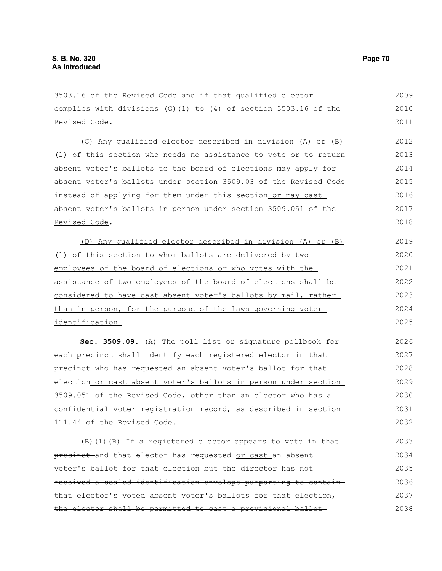3503.16 of the Revised Code and if that qualified elector complies with divisions (G)(1) to (4) of section 3503.16 of the Revised Code. 2009 2010 2011

(C) Any qualified elector described in division (A) or (B) (1) of this section who needs no assistance to vote or to return absent voter's ballots to the board of elections may apply for absent voter's ballots under section 3509.03 of the Revised Code instead of applying for them under this section or may cast absent voter's ballots in person under section 3509.051 of the Revised Code. 2012 2013 2014 2015 2016 2017 2018

(D) Any qualified elector described in division (A) or (B) (1) of this section to whom ballots are delivered by two employees of the board of elections or who votes with the assistance of two employees of the board of elections shall be considered to have cast absent voter's ballots by mail, rather than in person, for the purpose of the laws governing voter identification. 2019 2020 2021 2022 2023 2024 2025

**Sec. 3509.09.** (A) The poll list or signature pollbook for each precinct shall identify each registered elector in that precinct who has requested an absent voter's ballot for that election or cast absent voter's ballots in person under section 3509.051 of the Revised Code, other than an elector who has a confidential voter registration record, as described in section 111.44 of the Revised Code. 2026 2027 2028 2029 2030 2031 2032

 $(H)$ (1)(B) If a registered elector appears to vote in that precinet and that elector has requested or cast an absent voter's ballot for that election-but the director has notreceived a sealed identification envelope purporting to contain that elector's voted absent voter's ballots for that election, the elector shall be permitted to cast a provisional ballot 2033 2034 2035 2036 2037 2038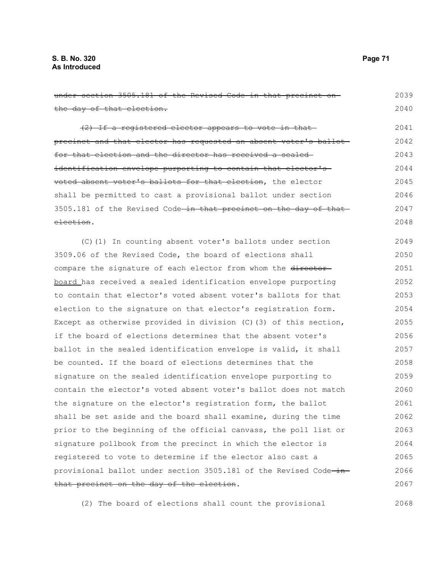| under section 3505.181 of the Revised Code in that precinct on-              | 2039 |
|------------------------------------------------------------------------------|------|
| the day of that election.                                                    | 2040 |
| (2) If a registered elector appears to vote in that-                         | 2041 |
| precinct and that elector has requested an absent voter's ballot             | 2042 |
| for that election and the director has received a sealed                     | 2043 |
| identification envelope purporting to contain that elector's                 | 2044 |
| voted absent voter's ballots for that election, the elector                  | 2045 |
| shall be permitted to cast a provisional ballot under section                | 2046 |
| 3505.181 of the Revised Code <del>-in that precinct on the day of that</del> | 2047 |
| election.                                                                    | 2048 |
| (C)(1) In counting absent voter's ballots under section                      | 2049 |
| 3509.06 of the Revised Code, the board of elections shall                    | 2050 |
| compare the signature of each elector from whom the director-                | 2051 |
| board has received a sealed identification envelope purporting               | 2052 |
| to contain that elector's voted absent voter's ballots for that              | 2053 |
| election to the signature on that elector's registration form.               | 2054 |
| Except as otherwise provided in division $(C)$ (3) of this section,          | 2055 |
| if the board of elections determines that the absent voter's                 | 2056 |
| ballot in the sealed identification envelope is valid, it shall              | 2057 |
| be counted. If the board of elections determines that the                    | 2058 |
| signature on the sealed identification envelope purporting to                | 2059 |
| contain the elector's voted absent voter's ballot does not match             | 2060 |
| the signature on the elector's registration form, the ballot                 | 2061 |
| shall be set aside and the board shall examine, during the time              | 2062 |
| prior to the beginning of the official canvass, the poll list or             | 2063 |
| signature pollbook from the precinct in which the elector is                 | 2064 |
| registered to vote to determine if the elector also cast a                   | 2065 |
| provisional ballot under section 3505.181 of the Revised Code-in-            | 2066 |
| that precinct on the day of the election.                                    | 2067 |

(2) The board of elections shall count the provisional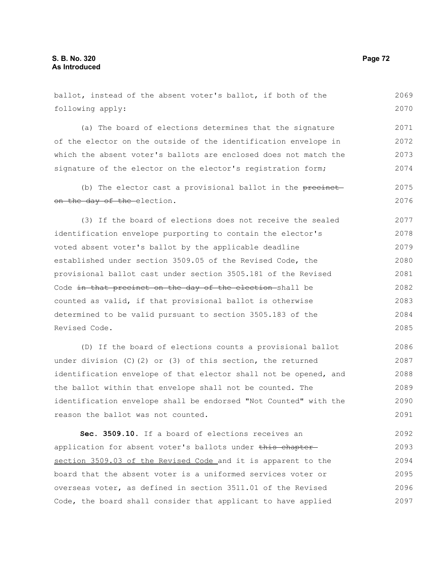| ballot, instead of the absent voter's ballot, if both of the      | 2069 |
|-------------------------------------------------------------------|------|
| following apply:                                                  | 2070 |
| (a) The board of elections determines that the signature          | 2071 |
| of the elector on the outside of the identification envelope in   | 2072 |
| which the absent voter's ballots are enclosed does not match the  | 2073 |
| signature of the elector on the elector's registration form;      | 2074 |
| (b) The elector cast a provisional ballot in the precinct-        | 2075 |
| on the day of the-election.                                       | 2076 |
| (3) If the board of elections does not receive the sealed         | 2077 |
| identification envelope purporting to contain the elector's       | 2078 |
| voted absent voter's ballot by the applicable deadline            | 2079 |
| established under section 3509.05 of the Revised Code, the        | 2080 |
| provisional ballot cast under section 3505.181 of the Revised     | 2081 |
| Code in that precinct on the day of the election-shall be         | 2082 |
| counted as valid, if that provisional ballot is otherwise         | 2083 |
| determined to be valid pursuant to section 3505.183 of the        | 2084 |
| Revised Code.                                                     | 2085 |
| (D) If the board of elections counts a provisional ballot         | 2086 |
| under division $(C)$ $(2)$ or $(3)$ of this section, the returned | 2087 |
| identification envelope of that elector shall not be opened, and  | 2088 |
| the ballot within that envelope shall not be counted. The         | 2089 |
| identification envelope shall be endorsed "Not Counted" with the  | 2090 |
| reason the ballot was not counted.                                | 2091 |
| Sec. 3509.10. If a board of elections receives an                 | 2092 |
| application for absent voter's ballots under this chapter-        | 2093 |
| section 3509.03 of the Revised Code and it is apparent to the     | 2094 |
| board that the absent voter is a uniformed services voter or      | 2095 |

overseas voter, as defined in section 3511.01 of the Revised Code, the board shall consider that applicant to have applied 2096 2097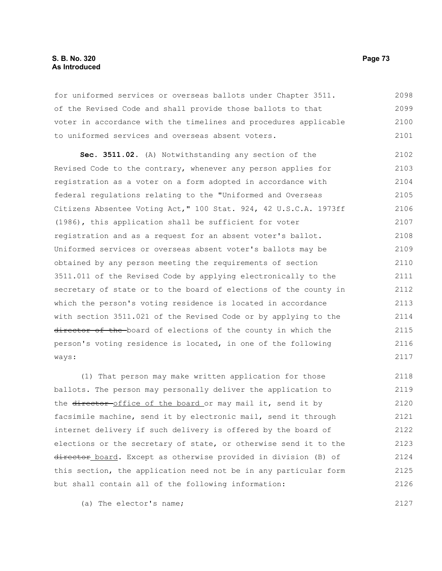## **S. B. No. 320 Page 73 As Introduced**

for uniformed services or overseas ballots under Chapter 3511. of the Revised Code and shall provide those ballots to that voter in accordance with the timelines and procedures applicable to uniformed services and overseas absent voters. 2098 2099 2100 2101

**Sec. 3511.02.** (A) Notwithstanding any section of the Revised Code to the contrary, whenever any person applies for registration as a voter on a form adopted in accordance with federal regulations relating to the "Uniformed and Overseas Citizens Absentee Voting Act," 100 Stat. 924, 42 U.S.C.A. 1973ff (1986), this application shall be sufficient for voter registration and as a request for an absent voter's ballot. Uniformed services or overseas absent voter's ballots may be obtained by any person meeting the requirements of section 3511.011 of the Revised Code by applying electronically to the secretary of state or to the board of elections of the county in which the person's voting residence is located in accordance with section 3511.021 of the Revised Code or by applying to the director of the board of elections of the county in which the person's voting residence is located, in one of the following ways: 2102 2103 2104 2105 2106 2107 2108 2109 2110 2111 2112 2113 2114 2115 2116 2117

(1) That person may make written application for those ballots. The person may personally deliver the application to the director-office of the board or may mail it, send it by facsimile machine, send it by electronic mail, send it through internet delivery if such delivery is offered by the board of elections or the secretary of state, or otherwise send it to the director board. Except as otherwise provided in division (B) of this section, the application need not be in any particular form but shall contain all of the following information: 2118 2119 2120 2121 2122 2123 2124 2125 2126

(a) The elector's name;

2127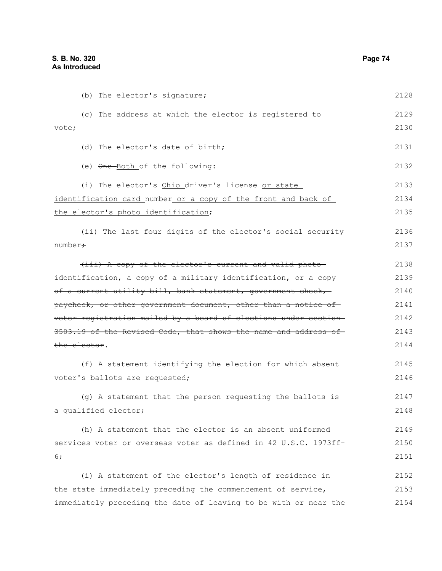(b) The elector's signature; (c) The address at which the elector is registered to vote; (d) The elector's date of birth; (e)  $\Theta$ ne-Both of the following: (i) The elector's Ohio driver's license or state identification card number or a copy of the front and back of the elector's photo identification; (ii) The last four digits of the elector's social security number; (iii) A copy of the elector's current and valid photo identification, a copy of a military identification, or a copyof a current utility bill, bank statement, government check, paycheck, or other government document, other than a notice of voter registration mailed by a board of elections under section 3503.19 of the Revised Code, that shows the name and address of the elector. (f) A statement identifying the election for which absent voter's ballots are requested; (g) A statement that the person requesting the ballots is a qualified elector; (h) A statement that the elector is an absent uniformed services voter or overseas voter as defined in 42 U.S.C. 1973ff-6; (i) A statement of the elector's length of residence in the state immediately preceding the commencement of service, immediately preceding the date of leaving to be with or near the 2128 2129 2130 2131 2132 2133 2134 2135 2136 2137 2138 2139 2140 2141 2142 2143 2144 2145 2146 2147 2148 2149 2150 2151 2152 2153 2154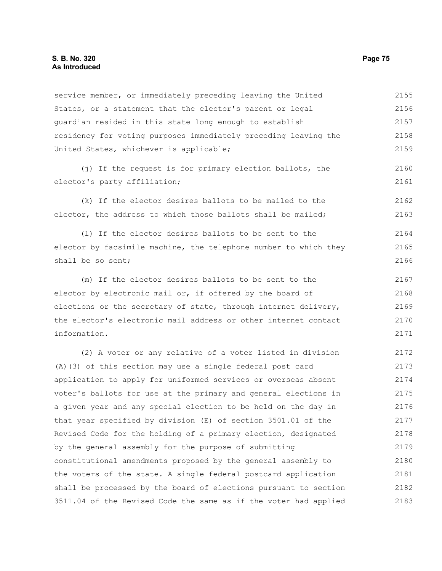service member, or immediately preceding leaving the United States, or a statement that the elector's parent or legal guardian resided in this state long enough to establish residency for voting purposes immediately preceding leaving the United States, whichever is applicable; (j) If the request is for primary election ballots, the elector's party affiliation; (k) If the elector desires ballots to be mailed to the elector, the address to which those ballots shall be mailed; (l) If the elector desires ballots to be sent to the elector by facsimile machine, the telephone number to which they shall be so sent; (m) If the elector desires ballots to be sent to the elector by electronic mail or, if offered by the board of elections or the secretary of state, through internet delivery, the elector's electronic mail address or other internet contact information. (2) A voter or any relative of a voter listed in division (A)(3) of this section may use a single federal post card 2155 2156 2157 2158 2159 2160 2161 2162 2163 2164 2165 2166 2167 2168 2169 2170 2171 2172 2173

application to apply for uniformed services or overseas absent voter's ballots for use at the primary and general elections in a given year and any special election to be held on the day in that year specified by division (E) of section 3501.01 of the Revised Code for the holding of a primary election, designated by the general assembly for the purpose of submitting constitutional amendments proposed by the general assembly to the voters of the state. A single federal postcard application shall be processed by the board of elections pursuant to section 3511.04 of the Revised Code the same as if the voter had applied 2174 2175 2176 2177 2178 2179 2180 2181 2182 2183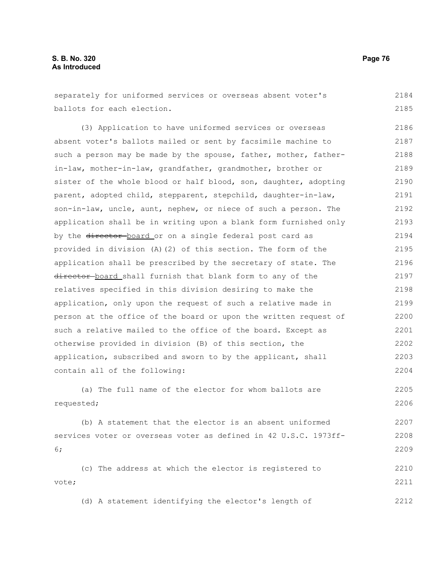separately for uniformed services or overseas absent voter's ballots for each election. 2184 2185

(3) Application to have uniformed services or overseas absent voter's ballots mailed or sent by facsimile machine to such a person may be made by the spouse, father, mother, fatherin-law, mother-in-law, grandfather, grandmother, brother or sister of the whole blood or half blood, son, daughter, adopting parent, adopted child, stepparent, stepchild, daughter-in-law, son-in-law, uncle, aunt, nephew, or niece of such a person. The application shall be in writing upon a blank form furnished only by the director-board or on a single federal post card as provided in division (A)(2) of this section. The form of the application shall be prescribed by the secretary of state. The director board shall furnish that blank form to any of the relatives specified in this division desiring to make the application, only upon the request of such a relative made in person at the office of the board or upon the written request of such a relative mailed to the office of the board. Except as otherwise provided in division (B) of this section, the application, subscribed and sworn to by the applicant, shall contain all of the following: 2186 2187 2188 2189 2190 2191 2192 2193 2194 2195 2196 2197 2198 2199 2200 2201 2202 2203 2204

(a) The full name of the elector for whom ballots are requested; 2205 2206

(b) A statement that the elector is an absent uniformed services voter or overseas voter as defined in 42 U.S.C. 1973ff-6; 2207 2208 2209

(c) The address at which the elector is registered to vote; 2210 2211

(d) A statement identifying the elector's length of 2212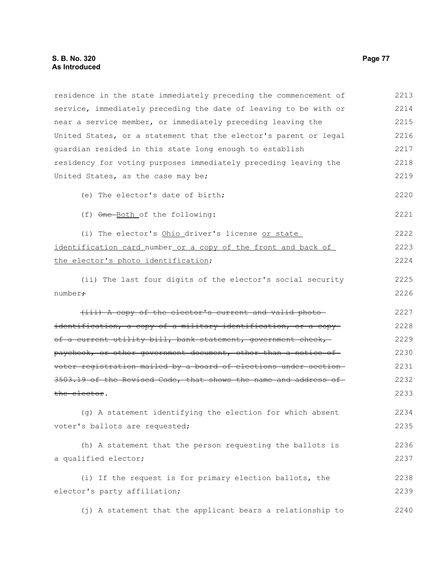residence in the state immediately preceding the commencement of service, immediately preceding the date of leaving to be with or near a service member, or immediately preceding leaving the United States, or a statement that the elector's parent or legal guardian resided in this state long enough to establish residency for voting purposes immediately preceding leaving the United States, as the case may be; (e) The elector's date of birth; (f) One Both of the following: (i) The elector's Ohio driver's license or state identification card number or a copy of the front and back of the elector's photo identification; (ii) The last four digits of the elector's social security number; (iii) A copy of the elector's current and valid photo identification, a copy of a military identification, or a copy of a current utility bill, bank statement, government check, paycheck, or other government document, other than a notice of voter registration mailed by a board of elections under section 3503.19 of the Revised Code, that shows the name and address of the elector. (g) A statement identifying the election for which absent voter's ballots are requested; (h) A statement that the person requesting the ballots is a qualified elector; (i) If the request is for primary election ballots, the elector's party affiliation; (j) A statement that the applicant bears a relationship to 2213 2214 2215 2216 2217 2218 2219 2220 2221 2222 2223 2224 2225 2226 2227 2228 2229 2230 2231 2232 2233 2234 2235 2236 2237 2238 2239 2240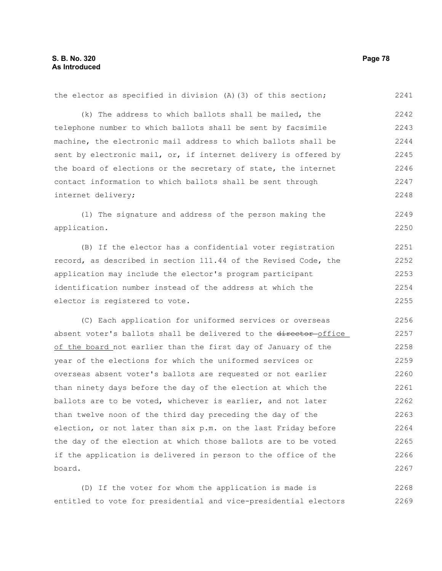the elector as specified in division (A)(3) of this section; (k) The address to which ballots shall be mailed, the telephone number to which ballots shall be sent by facsimile machine, the electronic mail address to which ballots shall be sent by electronic mail, or, if internet delivery is offered by the board of elections or the secretary of state, the internet contact information to which ballots shall be sent through internet delivery; (l) The signature and address of the person making the application. (B) If the elector has a confidential voter registration record, as described in section 111.44 of the Revised Code, the application may include the elector's program participant identification number instead of the address at which the elector is registered to vote. (C) Each application for uniformed services or overseas absent voter's ballots shall be delivered to the director-office of the board not earlier than the first day of January of the year of the elections for which the uniformed services or overseas absent voter's ballots are requested or not earlier than ninety days before the day of the election at which the ballots are to be voted, whichever is earlier, and not later than twelve noon of the third day preceding the day of the election, or not later than six p.m. on the last Friday before the day of the election at which those ballots are to be voted if the application is delivered in person to the office of the board. 2241 2242 2243 2244 2245 2246 2247 2248 2249 2250 2251 2252 2253 2254 2255 2256 2257 2258 2259 2260 2261 2262 2263 2264 2265 2266 2267

(D) If the voter for whom the application is made is entitled to vote for presidential and vice-presidential electors 2268 2269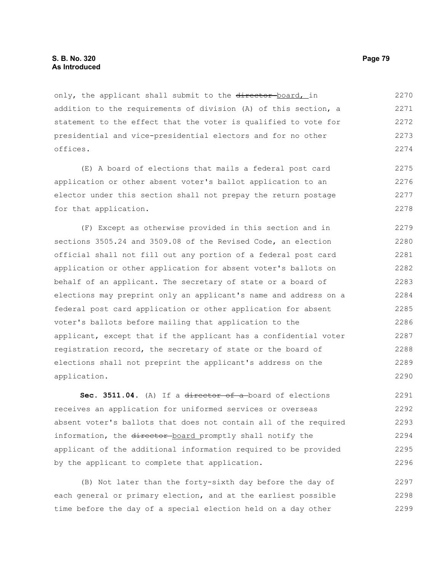only, the applicant shall submit to the director-board, in addition to the requirements of division (A) of this section, a statement to the effect that the voter is qualified to vote for presidential and vice-presidential electors and for no other offices. 2270 2271 2272 2273 2274

(E) A board of elections that mails a federal post card application or other absent voter's ballot application to an elector under this section shall not prepay the return postage for that application. 2275 2276 2277 2278

(F) Except as otherwise provided in this section and in sections 3505.24 and 3509.08 of the Revised Code, an election official shall not fill out any portion of a federal post card application or other application for absent voter's ballots on behalf of an applicant. The secretary of state or a board of elections may preprint only an applicant's name and address on a federal post card application or other application for absent voter's ballots before mailing that application to the applicant, except that if the applicant has a confidential voter registration record, the secretary of state or the board of elections shall not preprint the applicant's address on the application. 2279 2280 2281 2282 2283 2284 2285 2286 2287 2288 2289 2290

Sec. 3511.04. (A) If a director of a board of elections receives an application for uniformed services or overseas absent voter's ballots that does not contain all of the required information, the director-board promptly shall notify the applicant of the additional information required to be provided by the applicant to complete that application. 2291 2292 2293 2294 2295 2296

(B) Not later than the forty-sixth day before the day of each general or primary election, and at the earliest possible time before the day of a special election held on a day other 2297 2298 2299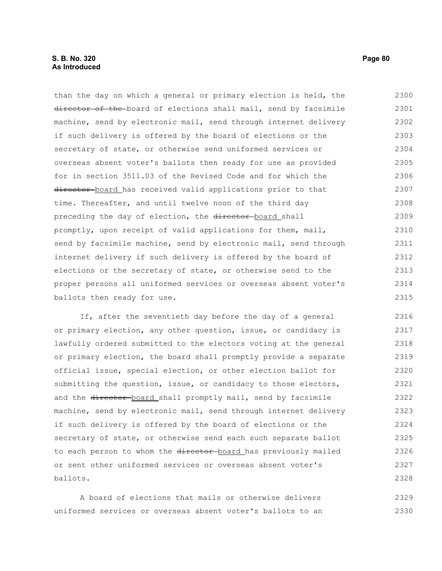## **S. B. No. 320 Page 80 As Introduced**

than the day on which a general or primary election is held, the director of the board of elections shall mail, send by facsimile machine, send by electronic mail, send through internet delivery if such delivery is offered by the board of elections or the secretary of state, or otherwise send uniformed services or overseas absent voter's ballots then ready for use as provided for in section 3511.03 of the Revised Code and for which the director board has received valid applications prior to that time. Thereafter, and until twelve noon of the third day preceding the day of election, the director-board shall promptly, upon receipt of valid applications for them, mail, send by facsimile machine, send by electronic mail, send through internet delivery if such delivery is offered by the board of elections or the secretary of state, or otherwise send to the proper persons all uniformed services or overseas absent voter's ballots then ready for use. 2300 2301 2302 2303 2304 2305 2306 2307 2308 2309 2310 2311 2312 2313 2314 2315

If, after the seventieth day before the day of a general or primary election, any other question, issue, or candidacy is lawfully ordered submitted to the electors voting at the general or primary election, the board shall promptly provide a separate official issue, special election, or other election ballot for submitting the question, issue, or candidacy to those electors, and the director-board shall promptly mail, send by facsimile machine, send by electronic mail, send through internet delivery if such delivery is offered by the board of elections or the secretary of state, or otherwise send each such separate ballot to each person to whom the director-board has previously mailed or sent other uniformed services or overseas absent voter's ballots. 2316 2317 2318 2319 2320 2321 2322 2323 2324 2325 2326 2327 2328

A board of elections that mails or otherwise delivers uniformed services or overseas absent voter's ballots to an 2329 2330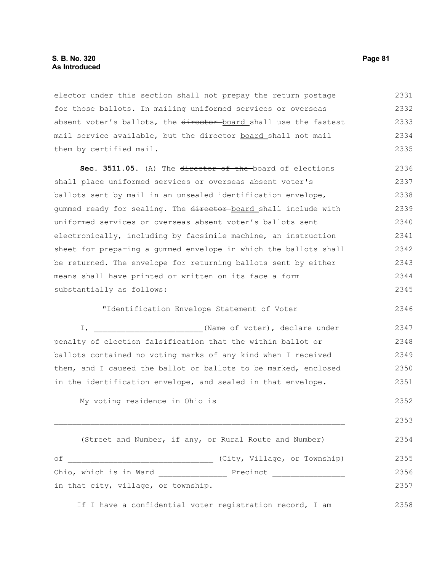## **S. B. No. 320 Page 81 As Introduced**

elector under this section shall not prepay the return postage for those ballots. In mailing uniformed services or overseas absent voter's ballots, the director board shall use the fastest mail service available, but the director-board shall not mail them by certified mail. 2331 2332 2333 2334 2335

**Sec. 3511.05.** (A) The director of the board of elections shall place uniformed services or overseas absent voter's ballots sent by mail in an unsealed identification envelope, gummed ready for sealing. The director-board shall include with uniformed services or overseas absent voter's ballots sent electronically, including by facsimile machine, an instruction sheet for preparing a gummed envelope in which the ballots shall be returned. The envelope for returning ballots sent by either means shall have printed or written on its face a form substantially as follows: 2336 2337 2338 2339 2340 2341 2342 2343 2344 2345

"Identification Envelope Statement of Voter

I,  $\blacksquare$  (Name of voter), declare under penalty of election falsification that the within ballot or ballots contained no voting marks of any kind when I received them, and I caused the ballot or ballots to be marked, enclosed in the identification envelope, and sealed in that envelope. 2347 2348 2349 2350 2351

My voting residence in Ohio is

(Street and Number, if any, or Rural Route and Number) of \_\_\_\_\_\_\_\_\_\_\_\_\_\_\_\_\_\_\_\_\_\_\_\_\_\_\_\_\_\_\_\_ (City, Village, or Township) Ohio, which is in Ward \_\_\_\_\_\_\_\_\_\_\_\_\_\_\_ Precinct \_\_\_\_\_\_\_\_\_\_\_\_\_\_\_\_ in that city, village, or township. If I have a confidential voter registration record, I am 2354 2355 2356 2357 2358

 $\Box$ 

2346

2352

2353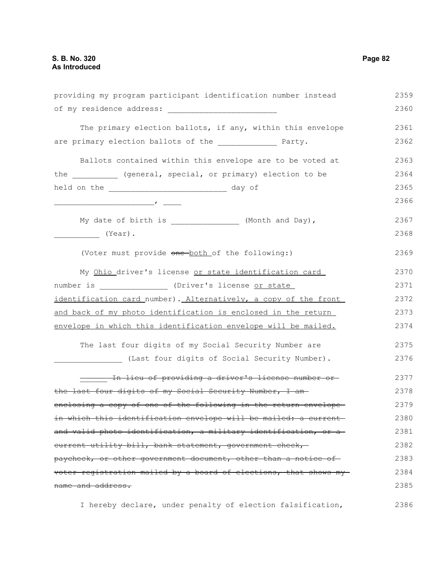providing my program participant identification number instead of my residence address: \_\_\_\_\_\_\_\_\_\_\_\_\_\_\_\_\_\_\_\_\_\_\_\_ The primary election ballots, if any, within this envelope are primary election ballots of the \_\_\_\_\_\_\_\_\_\_\_\_\_\_ Party. Ballots contained within this envelope are to be voted at the (general, special, or primary) election to be held on the \_\_\_\_\_\_\_\_\_\_\_\_\_\_\_\_\_\_\_\_\_\_\_\_\_\_\_\_\_\_\_ day of \_\_\_\_\_\_\_\_\_\_\_\_\_\_\_\_\_\_\_\_\_\_, \_\_\_\_ My date of birth is \_\_\_\_\_\_\_\_\_\_\_\_\_\_\_ (Month and Day), \_\_\_\_\_\_\_\_\_\_ (Year). (Voter must provide one both of the following:) My Ohio driver's license or state identification card number is  $(Driver's license or state)$ identification card number). Alternatively, a copy of the front and back of my photo identification is enclosed in the return envelope in which this identification envelope will be mailed. The last four digits of my Social Security Number are (Last four digits of Social Security Number). \_\_\_\_\_\_ In lieu of providing a driver's license number or the last four digits of my Social Security Number, I amenclosing a copy of one of the following in the return envelope in which this identification envelope will be mailed: a currentand valid photo identification, a military identification, or a current utility bill, bank statement, government check, paycheck, or other government document, other than a notice of voter registration mailed by a board of elections, that shows my name and address. 2359 2360 2361 2362 2363 2364 2365 2366 2367 2368 2369 2370 2371 2372 2373 2374 2375 2376 2377 2378 2379 2380 2381 2382 2383 2384 2385

I hereby declare, under penalty of election falsification, 2386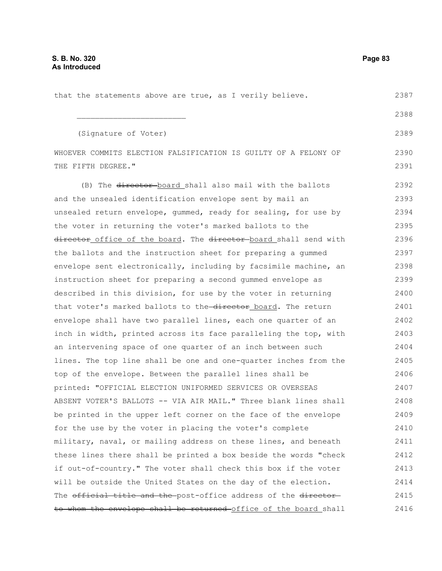| that the statements above are true, as I verily believe.         | 2387 |
|------------------------------------------------------------------|------|
|                                                                  | 2388 |
| (Signature of Voter)                                             | 2389 |
| WHOEVER COMMITS ELECTION FALSIFICATION IS GUILTY OF A FELONY OF  | 2390 |
| THE FIFTH DEGREE."                                               | 2391 |
| (B) The director board shall also mail with the ballots          | 2392 |
| and the unsealed identification envelope sent by mail an         | 2393 |
| unsealed return envelope, gummed, ready for sealing, for use by  | 2394 |
| the voter in returning the voter's marked ballots to the         | 2395 |
| director office of the board. The director board shall send with | 2396 |
| the ballots and the instruction sheet for preparing a gummed     | 2397 |
| envelope sent electronically, including by facsimile machine, an | 2398 |
| instruction sheet for preparing a second qummed envelope as      | 2399 |
| described in this division, for use by the voter in returning    | 2400 |
| that voter's marked ballots to the-director board. The return    | 2401 |
| envelope shall have two parallel lines, each one quarter of an   | 2402 |
| inch in width, printed across its face paralleling the top, with | 2403 |
| an intervening space of one quarter of an inch between such      | 2404 |
| lines. The top line shall be one and one-quarter inches from the | 2405 |
| top of the envelope. Between the parallel lines shall be         | 2406 |
| printed: "OFFICIAL ELECTION UNIFORMED SERVICES OR OVERSEAS       | 2407 |
| ABSENT VOTER'S BALLOTS -- VIA AIR MAIL." Three blank lines shall | 2408 |
| be printed in the upper left corner on the face of the envelope  | 2409 |
| for the use by the voter in placing the voter's complete         | 2410 |
| military, naval, or mailing address on these lines, and beneath  | 2411 |
| these lines there shall be printed a box beside the words "check | 2412 |
| if out-of-country." The voter shall check this box if the voter  | 2413 |
| will be outside the United States on the day of the election.    | 2414 |
| The official title and the post-office address of the director-  | 2415 |
| to whom the envelope shall be returned-office of the board shall | 2416 |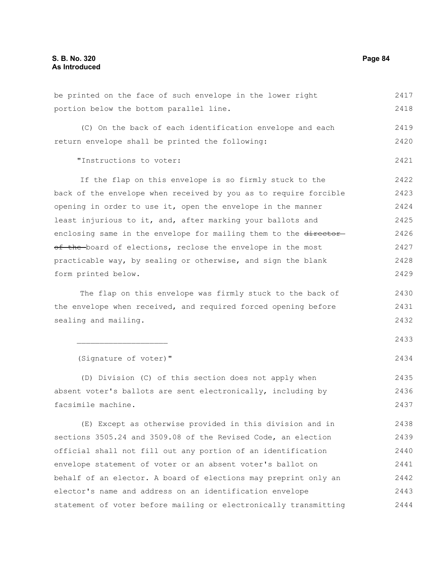| be printed on the face of such envelope in the lower right       | 2417 |
|------------------------------------------------------------------|------|
| portion below the bottom parallel line.                          | 2418 |
| (C) On the back of each identification envelope and each         | 2419 |
| return envelope shall be printed the following:                  | 2420 |
| "Instructions to voter:                                          | 2421 |
| If the flap on this envelope is so firmly stuck to the           | 2422 |
| back of the envelope when received by you as to require forcible | 2423 |
| opening in order to use it, open the envelope in the manner      | 2424 |
| least injurious to it, and, after marking your ballots and       | 2425 |
| enclosing same in the envelope for mailing them to the director- | 2426 |
| of the board of elections, reclose the envelope in the most      | 2427 |
| practicable way, by sealing or otherwise, and sign the blank     | 2428 |
| form printed below.                                              | 2429 |
| The flap on this envelope was firmly stuck to the back of        | 2430 |
| the envelope when received, and required forced opening before   | 2431 |
| sealing and mailing.                                             | 2432 |
|                                                                  | 2433 |
| (Signature of voter)"                                            | 2434 |
| (D) Division (C) of this section does not apply when             | 2435 |
| absent voter's ballots are sent electronically, including by     | 2436 |
| facsimile machine.                                               | 2437 |
| (E) Except as otherwise provided in this division and in         | 2438 |
| sections 3505.24 and 3509.08 of the Revised Code, an election    | 2439 |
| official shall not fill out any portion of an identification     | 2440 |
| envelope statement of voter or an absent voter's ballot on       | 2441 |
| behalf of an elector. A board of elections may preprint only an  | 2442 |
| elector's name and address on an identification envelope         | 2443 |
| statement of voter before mailing or electronically transmitting | 2444 |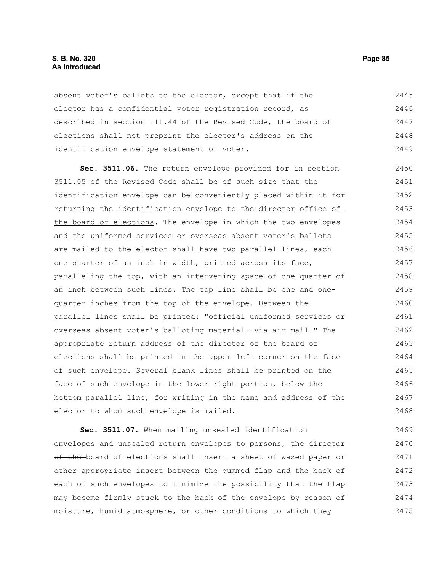## **S. B. No. 320 Page 85 As Introduced**

absent voter's ballots to the elector, except that if the elector has a confidential voter registration record, as described in section 111.44 of the Revised Code, the board of elections shall not preprint the elector's address on the identification envelope statement of voter. 2445 2446 2447 2448 2449

**Sec. 3511.06.** The return envelope provided for in section 3511.05 of the Revised Code shall be of such size that the identification envelope can be conveniently placed within it for returning the identification envelope to the director office of the board of elections. The envelope in which the two envelopes and the uniformed services or overseas absent voter's ballots are mailed to the elector shall have two parallel lines, each one quarter of an inch in width, printed across its face, paralleling the top, with an intervening space of one-quarter of an inch between such lines. The top line shall be one and onequarter inches from the top of the envelope. Between the parallel lines shall be printed: "official uniformed services or overseas absent voter's balloting material--via air mail." The appropriate return address of the director of the board of elections shall be printed in the upper left corner on the face of such envelope. Several blank lines shall be printed on the face of such envelope in the lower right portion, below the bottom parallel line, for writing in the name and address of the elector to whom such envelope is mailed. 2450 2451 2452 2453 2454 2455 2456 2457 2458 2459 2460 2461 2462 2463 2464 2465 2466 2467 2468

**Sec. 3511.07.** When mailing unsealed identification envelopes and unsealed return envelopes to persons, the directorof the board of elections shall insert a sheet of waxed paper or other appropriate insert between the gummed flap and the back of each of such envelopes to minimize the possibility that the flap may become firmly stuck to the back of the envelope by reason of moisture, humid atmosphere, or other conditions to which they 2469 2470 2471 2472 2473 2474 2475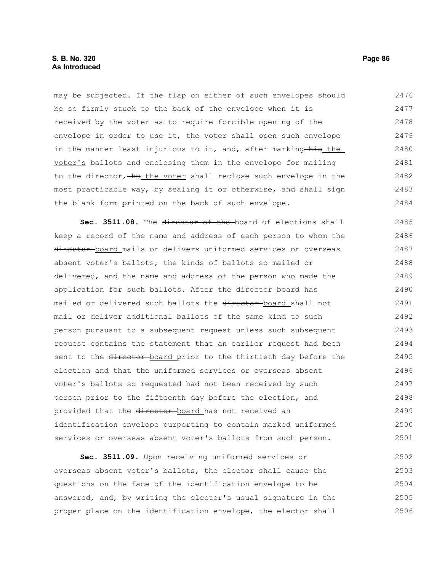## **S. B. No. 320 Page 86 As Introduced**

may be subjected. If the flap on either of such envelopes should be so firmly stuck to the back of the envelope when it is received by the voter as to require forcible opening of the envelope in order to use it, the voter shall open such envelope in the manner least injurious to it, and, after marking his the voter's ballots and enclosing them in the envelope for mailing to the director, he the voter shall reclose such envelope in the most practicable way, by sealing it or otherwise, and shall sign the blank form printed on the back of such envelope. 2476 2477 2478 2479 2480 2481 2482 2483 2484

Sec. 3511.08. The director of the board of elections shall keep a record of the name and address of each person to whom the director board mails or delivers uniformed services or overseas absent voter's ballots, the kinds of ballots so mailed or delivered, and the name and address of the person who made the application for such ballots. After the director-board has mailed or delivered such ballots the director-board shall not mail or deliver additional ballots of the same kind to such person pursuant to a subsequent request unless such subsequent request contains the statement that an earlier request had been sent to the director board prior to the thirtieth day before the election and that the uniformed services or overseas absent voter's ballots so requested had not been received by such person prior to the fifteenth day before the election, and provided that the director-board has not received an identification envelope purporting to contain marked uniformed services or overseas absent voter's ballots from such person. 2485 2486 2487 2488 2489 2490 2491 2492 2493 2494 2495 2496 2497 2498 2499 2500 2501

**Sec. 3511.09.** Upon receiving uniformed services or overseas absent voter's ballots, the elector shall cause the questions on the face of the identification envelope to be answered, and, by writing the elector's usual signature in the proper place on the identification envelope, the elector shall 2502 2503 2504 2505 2506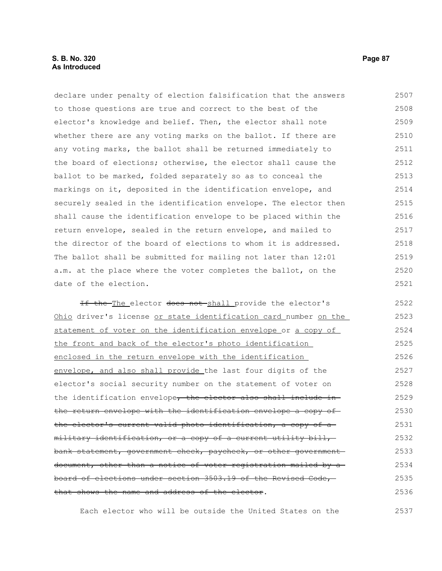declare under penalty of election falsification that the answers to those questions are true and correct to the best of the elector's knowledge and belief. Then, the elector shall note whether there are any voting marks on the ballot. If there are any voting marks, the ballot shall be returned immediately to the board of elections; otherwise, the elector shall cause the ballot to be marked, folded separately so as to conceal the markings on it, deposited in the identification envelope, and securely sealed in the identification envelope. The elector then shall cause the identification envelope to be placed within the return envelope, sealed in the return envelope, and mailed to the director of the board of elections to whom it is addressed. The ballot shall be submitted for mailing not later than 12:01 a.m. at the place where the voter completes the ballot, on the date of the election. 2507 2508 2509 2510 2511 2512 2513 2514 2515 2516 2517 2518 2519 2520 2521

If the The elector does not shall provide the elector's Ohio driver's license or state identification card number on the statement of voter on the identification envelope or a copy of the front and back of the elector's photo identification enclosed in the return envelope with the identification envelope, and also shall provide the last four digits of the elector's social security number on the statement of voter on the identification envelope, the elector also shall include inthe return envelope with the identification envelope a copy of the elector's current valid photo identification, a copy of a military identification, or a copy of a current utility bill, bank statement, government check, paycheck, or other government document, other than a notice of voter registration mailed by a board of elections under section 3503.19 of the Revised Code, that shows the name and address of the elector. 2522 2523 2524 2525 2526 2527 2528 2529 2530 2531 2532 2533 2534 2535 2536

Each elector who will be outside the United States on the 2537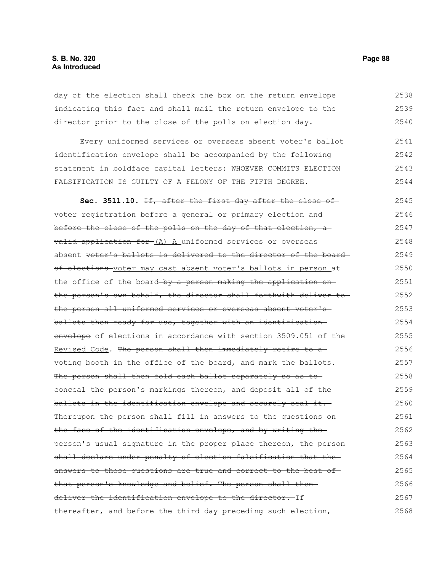day of the election shall check the box on the return envelope indicating this fact and shall mail the return envelope to the director prior to the close of the polls on election day. 2538 2539 2540

Every uniformed services or overseas absent voter's ballot identification envelope shall be accompanied by the following statement in boldface capital letters: WHOEVER COMMITS ELECTION FALSIFICATION IS GUILTY OF A FELONY OF THE FIFTH DEGREE. 2541 2542 2543 2544

**Sec. 3511.10.** If, after the first day after the close of voter registration before a general or primary election and before the close of the polls on the day of that election, a valid application for (A) A uniformed services or overseas absent voter's ballots is delivered to the director of the boardof elections voter may cast absent voter's ballots in person at the office of the board by a person making the application onthe person's own behalf, the director shall forthwith deliver to the person all uniformed services or overseas absent voter's ballots then ready for use, together with an identification envelope of elections in accordance with section 3509.051 of the Revised Code. The person shall then immediately retire to a voting booth in the office of the board, and mark the ballots. The person shall then fold each ballot separately so as toconceal the person's markings thereon, and deposit all of the ballots in the identification envelope and securely seal it. Thereupon the person shall fill in answers to the questions onthe face of the identification envelope, and by writing the person's usual signature in the proper place thereon, the person shall declare under penalty of election falsification that the answers to those questions are true and correct to the best ofthat person's knowledge and belief. The person shall then deliver the identification envelope to the director. If thereafter, and before the third day preceding such election, 2545 2546 2547 2548 2549 2550 2551 2552 2553 2554 2555 2556 2557 2558 2559 2560 2561 2562 2563 2564 2565 2566 2567 2568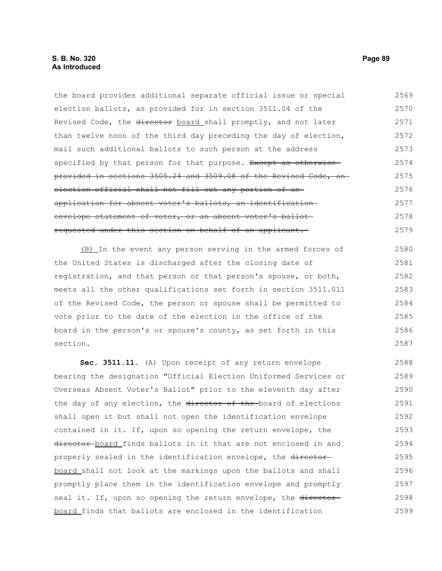## **S. B. No. 320 Page 89 As Introduced**

the board provides additional separate official issue or special election ballots, as provided for in section 3511.04 of the Revised Code, the director board shall promptly, and not later than twelve noon of the third day preceding the day of election, mail such additional ballots to such person at the address specified by that person for that purpose. Except as otherwise provided in sections 3505.24 and 3509.08 of the Revised Code, an election official shall not fill out any portion of anapplication for absent voter's ballots, an identification envelope statement of voter, or an absent voter's ballotrequested under this section on behalf of an applicant. 2569 2570 2571 2572 2573 2574 2575 2576 2577 2578 2579

(B) In the event any person serving in the armed forces of the United States is discharged after the closing date of registration, and that person or that person's spouse, or both, meets all the other qualifications set forth in section 3511.011 of the Revised Code, the person or spouse shall be permitted to vote prior to the date of the election in the office of the board in the person's or spouse's county, as set forth in this section. 2580 2581 2582 2583 2584 2585 2586 2587

**Sec. 3511.11.** (A) Upon receipt of any return envelope bearing the designation "Official Election Uniformed Services or Overseas Absent Voter's Ballot" prior to the eleventh day after the day of any election, the director of the board of elections shall open it but shall not open the identification envelope contained in it. If, upon so opening the return envelope, the director board finds ballots in it that are not enclosed in and properly sealed in the identification envelope, the directorboard shall not look at the markings upon the ballots and shall promptly place them in the identification envelope and promptly seal it. If, upon so opening the return envelope, the directorboard finds that ballots are enclosed in the identification 2588 2589 2590 2591 2592 2593 2594 2595 2596 2597 2598 2599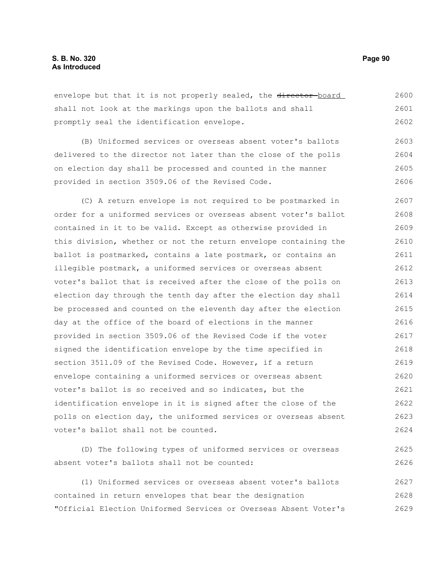envelope but that it is not properly sealed, the director-board shall not look at the markings upon the ballots and shall promptly seal the identification envelope. 2600 2601 2602

(B) Uniformed services or overseas absent voter's ballots delivered to the director not later than the close of the polls on election day shall be processed and counted in the manner provided in section 3509.06 of the Revised Code. 2603 2604 2605 2606

(C) A return envelope is not required to be postmarked in order for a uniformed services or overseas absent voter's ballot contained in it to be valid. Except as otherwise provided in this division, whether or not the return envelope containing the ballot is postmarked, contains a late postmark, or contains an illegible postmark, a uniformed services or overseas absent voter's ballot that is received after the close of the polls on election day through the tenth day after the election day shall be processed and counted on the eleventh day after the election day at the office of the board of elections in the manner provided in section 3509.06 of the Revised Code if the voter signed the identification envelope by the time specified in section 3511.09 of the Revised Code. However, if a return envelope containing a uniformed services or overseas absent voter's ballot is so received and so indicates, but the identification envelope in it is signed after the close of the polls on election day, the uniformed services or overseas absent voter's ballot shall not be counted. 2607 2608 2609 2610 2611 2612 2613 2614 2615 2616 2617 2618 2619 2620 2621 2622 2623 2624

(D) The following types of uniformed services or overseas absent voter's ballots shall not be counted: 2625 2626

(1) Uniformed services or overseas absent voter's ballots contained in return envelopes that bear the designation "Official Election Uniformed Services or Overseas Absent Voter's 2627 2628 2629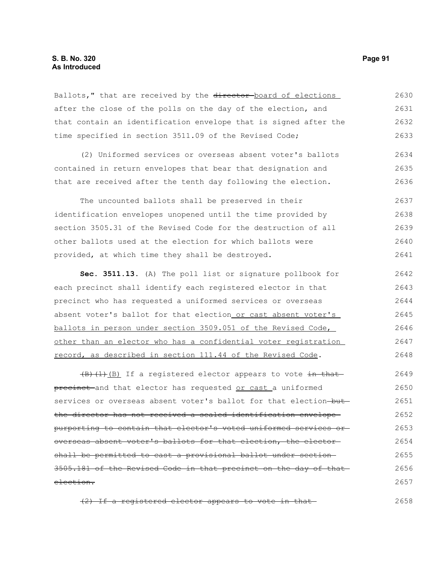## **S. B. No. 320 Page 91 As Introduced**

Ballots," that are received by the director-board of elections after the close of the polls on the day of the election, and that contain an identification envelope that is signed after the time specified in section 3511.09 of the Revised Code; 2630 2631 2632 2633

(2) Uniformed services or overseas absent voter's ballots contained in return envelopes that bear that designation and that are received after the tenth day following the election. 2634 2635 2636

The uncounted ballots shall be preserved in their identification envelopes unopened until the time provided by section 3505.31 of the Revised Code for the destruction of all other ballots used at the election for which ballots were provided, at which time they shall be destroyed. 2637 2638 2639 2640 2641

**Sec. 3511.13.** (A) The poll list or signature pollbook for each precinct shall identify each registered elector in that precinct who has requested a uniformed services or overseas absent voter's ballot for that election or cast absent voter's ballots in person under section 3509.051 of the Revised Code, other than an elector who has a confidential voter registration record, as described in section 111.44 of the Revised Code. 2642 2643 2644 2645 2646 2647 2648

 $\left(\frac{B}{B}\right)\left(1\right)\left(B\right)$  If a registered elector appears to vote in that precinct and that elector has requested or cast a uniformed services or overseas absent voter's ballot for that election-butthe director has not received a sealed identification envelope purporting to contain that elector's voted uniformed services or overseas absent voter's ballots for that election, the elector shall be permitted to cast a provisional ballot under section 3505.181 of the Revised Code in that precinct on the day of that election. 2649 2650 2651 2652 2653 2654 2655 2656 2657

(2) If a registered elector appears to vote in that

2658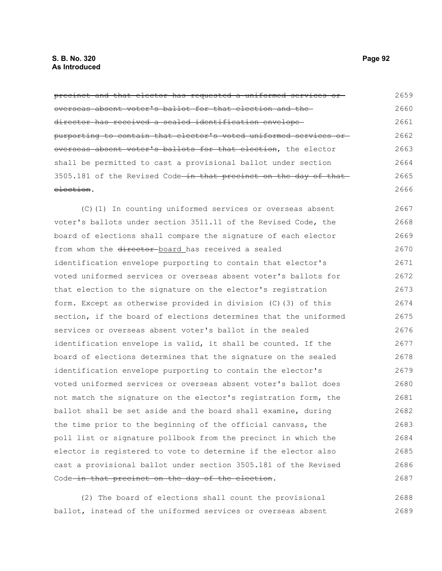precinct and that elector has requested a uniformed services or overseas absent voter's ballot for that election and the director has received a sealed identification envelope purporting to contain that elector's voted uniformed services or overseas absent voter's ballots for that election, the elector shall be permitted to cast a provisional ballot under section 3505.181 of the Revised Code-in that precinct on the day of that election. 2659 2660 2661 2662 2663 2664 2665 2666

(C)(1) In counting uniformed services or overseas absent voter's ballots under section 3511.11 of the Revised Code, the board of elections shall compare the signature of each elector from whom the director board has received a sealed identification envelope purporting to contain that elector's voted uniformed services or overseas absent voter's ballots for that election to the signature on the elector's registration form. Except as otherwise provided in division (C)(3) of this section, if the board of elections determines that the uniformed services or overseas absent voter's ballot in the sealed identification envelope is valid, it shall be counted. If the board of elections determines that the signature on the sealed identification envelope purporting to contain the elector's voted uniformed services or overseas absent voter's ballot does not match the signature on the elector's registration form, the ballot shall be set aside and the board shall examine, during the time prior to the beginning of the official canvass, the poll list or signature pollbook from the precinct in which the elector is registered to vote to determine if the elector also cast a provisional ballot under section 3505.181 of the Revised Code in that precinct on the day of the election. 2667 2668 2669 2670 2671 2672 2673 2674 2675 2676 2677 2678 2679 2680 2681 2682 2683 2684 2685 2686 2687

(2) The board of elections shall count the provisional ballot, instead of the uniformed services or overseas absent 2688 2689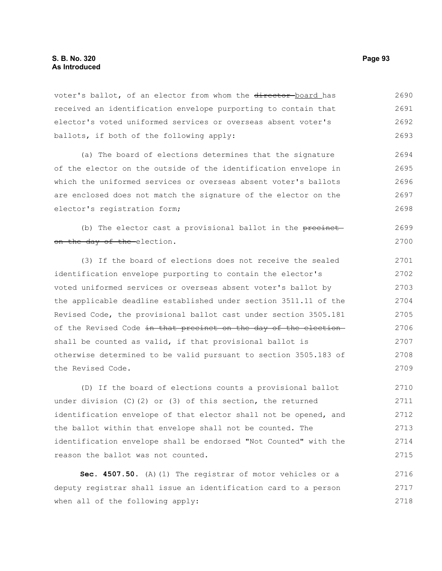voter's ballot, of an elector from whom the director-board has received an identification envelope purporting to contain that elector's voted uniformed services or overseas absent voter's ballots, if both of the following apply: 2690 2691 2692 2693

(a) The board of elections determines that the signature of the elector on the outside of the identification envelope in which the uniformed services or overseas absent voter's ballots are enclosed does not match the signature of the elector on the elector's registration form; 2694 2695 2696 2697 2698

(b) The elector cast a provisional ballot in the precincton the day of the election. 2699 2700

(3) If the board of elections does not receive the sealed identification envelope purporting to contain the elector's voted uniformed services or overseas absent voter's ballot by the applicable deadline established under section 3511.11 of the Revised Code, the provisional ballot cast under section 3505.181 of the Revised Code in that precinct on the day of the electionshall be counted as valid, if that provisional ballot is otherwise determined to be valid pursuant to section 3505.183 of the Revised Code. 2701 2702 2703 2704 2705 2706 2707 2708 2709

(D) If the board of elections counts a provisional ballot under division (C)(2) or (3) of this section, the returned identification envelope of that elector shall not be opened, and the ballot within that envelope shall not be counted. The identification envelope shall be endorsed "Not Counted" with the reason the ballot was not counted. 2710 2711 2712 2713 2714 2715

**Sec. 4507.50.** (A)(1) The registrar of motor vehicles or a deputy registrar shall issue an identification card to a person when all of the following apply: 2716 2717 2718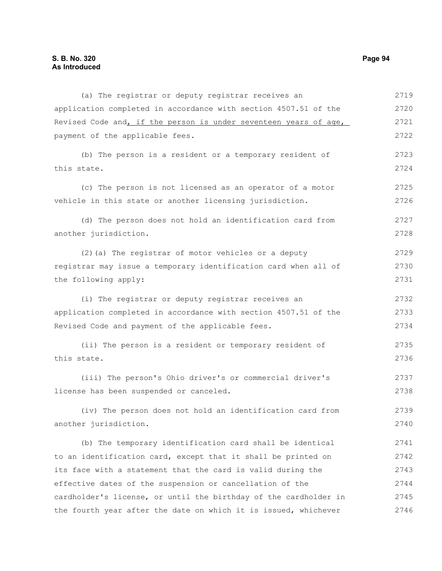(a) The registrar or deputy registrar receives an application completed in accordance with section 4507.51 of the Revised Code and, if the person is under seventeen years of age, payment of the applicable fees. (b) The person is a resident or a temporary resident of this state. (c) The person is not licensed as an operator of a motor vehicle in this state or another licensing jurisdiction. (d) The person does not hold an identification card from another jurisdiction. (2)(a) The registrar of motor vehicles or a deputy registrar may issue a temporary identification card when all of the following apply: (i) The registrar or deputy registrar receives an application completed in accordance with section 4507.51 of the Revised Code and payment of the applicable fees. (ii) The person is a resident or temporary resident of this state. (iii) The person's Ohio driver's or commercial driver's license has been suspended or canceled. (iv) The person does not hold an identification card from another jurisdiction. (b) The temporary identification card shall be identical to an identification card, except that it shall be printed on its face with a statement that the card is valid during the effective dates of the suspension or cancellation of the cardholder's license, or until the birthday of the cardholder in the fourth year after the date on which it is issued, whichever 2719 2720 2721 2722 2723 2724 2725 2726 2727 2728 2729 2730 2731 2732 2733 2734 2735 2736 2737 2738 2739 2740 2741 2742 2743 2744 2745 2746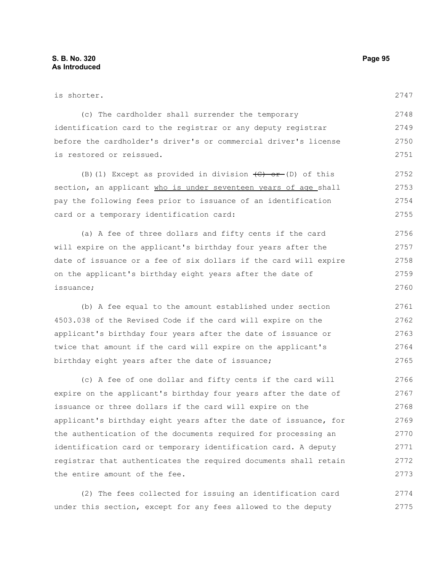| is shorter.                                                               | 2747 |
|---------------------------------------------------------------------------|------|
| (c) The cardholder shall surrender the temporary                          | 2748 |
| identification card to the registrar or any deputy registrar              | 2749 |
| before the cardholder's driver's or commercial driver's license           | 2750 |
| is restored or reissued.                                                  | 2751 |
| (B) (1) Except as provided in division $\left(\frac{C}{C}\right)$ of this | 2752 |
| section, an applicant who is under seventeen years of age shall           | 2753 |
| pay the following fees prior to issuance of an identification             | 2754 |
| card or a temporary identification card:                                  | 2755 |
| (a) A fee of three dollars and fifty cents if the card                    | 2756 |
| will expire on the applicant's birthday four years after the              | 2757 |
| date of issuance or a fee of six dollars if the card will expire          | 2758 |
| on the applicant's birthday eight years after the date of                 | 2759 |
| issuance;                                                                 | 2760 |
| (b) A fee equal to the amount established under section                   | 2761 |
| 4503.038 of the Revised Code if the card will expire on the               | 2762 |
| applicant's birthday four years after the date of issuance or             | 2763 |
| twice that amount if the card will expire on the applicant's              | 2764 |
| birthday eight years after the date of issuance;                          | 2765 |
| (c) A fee of one dollar and fifty cents if the card will                  | 2766 |
| expire on the applicant's birthday four years after the date of           | 2767 |
|                                                                           |      |

issuance or three dollars if the card will expire on the applicant's birthday eight years after the date of issuance, for the authentication of the documents required for processing an identification card or temporary identification card. A deputy registrar that authenticates the required documents shall retain the entire amount of the fee. 2768 2769 2770 2771 2772 2773

(2) The fees collected for issuing an identification card under this section, except for any fees allowed to the deputy 2774 2775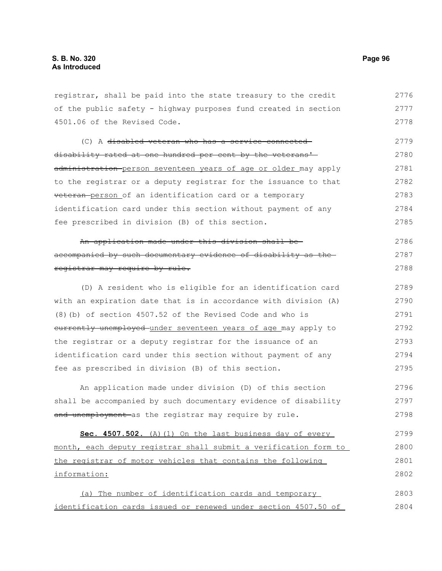registrar, shall be paid into the state treasury to the credit of the public safety - highway purposes fund created in section 4501.06 of the Revised Code. 2776 2777 2778

(C) A disabled veteran who has a service-connected disability rated at one hundred per cent by the veterans' administration person seventeen years of age or older may apply to the registrar or a deputy registrar for the issuance to that veteran person of an identification card or a temporary identification card under this section without payment of any fee prescribed in division (B) of this section. 2779 2780 2781 2782 2783 2784 2785

#### An application made under this division shall be accompanied by such documentary evidence of disability as the registrar may require by rule. 2786 2787 2788

(D) A resident who is eligible for an identification card with an expiration date that is in accordance with division (A) (8)(b) of section 4507.52 of the Revised Code and who is currently unemployed under seventeen years of age may apply to the registrar or a deputy registrar for the issuance of an identification card under this section without payment of any fee as prescribed in division (B) of this section. 2789 2790 2791 2792 2793 2794 2795

An application made under division (D) of this section shall be accompanied by such documentary evidence of disability and unemployment as the registrar may require by rule. 2796 2797 2798

Sec. 4507.502. (A)(1) On the last business day of every month, each deputy registrar shall submit a verification form to the registrar of motor vehicles that contains the following information: 2799 2800 2801 2802

(a) The number of identification cards and temporary identification cards issued or renewed under section 4507.50 of 2803 2804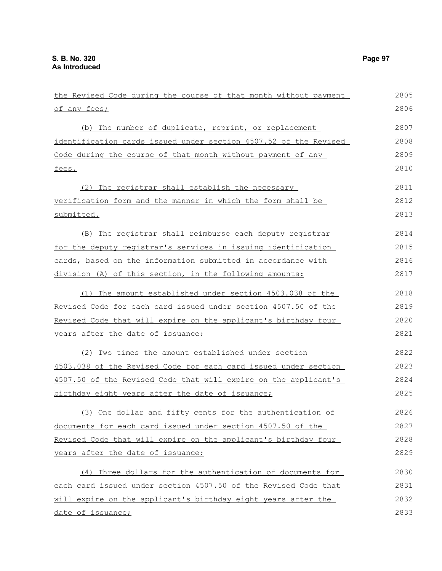| the Revised Code during the course of that month without payment | 2805 |
|------------------------------------------------------------------|------|
| of any fees;                                                     | 2806 |
| (b) The number of duplicate, reprint, or replacement             | 2807 |
| identification cards issued under section 4507.52 of the Revised | 2808 |
| Code during the course of that month without payment of any      | 2809 |
| fees.                                                            | 2810 |
| (2) The registrar shall establish the necessary                  | 2811 |
| verification form and the manner in which the form shall be      | 2812 |
| submitted.                                                       | 2813 |
| (B) The registrar shall reimburse each deputy registrar          | 2814 |
| for the deputy registrar's services in issuing identification    | 2815 |
| cards, based on the information submitted in accordance with     | 2816 |
| division (A) of this section, in the following amounts:          | 2817 |
| (1) The amount established under section 4503.038 of the         | 2818 |
| Revised Code for each card issued under section 4507.50 of the   | 2819 |
| Revised Code that will expire on the applicant's birthday four   | 2820 |
| years after the date of issuance;                                | 2821 |
| (2) Two times the amount established under section               | 2822 |
| 4503.038 of the Revised Code for each card issued under section  | 2823 |
| 4507.50 of the Revised Code that will expire on the applicant's  | 2824 |
| birthday eight years after the date of issuance;                 | 2825 |
| (3) One dollar and fifty cents for the authentication of         | 2826 |
| documents for each card issued under section 4507.50 of the      | 2827 |
| Revised Code that will expire on the applicant's birthday four   | 2828 |
| years after the date of issuance;                                | 2829 |
| (4) Three dollars for the authentication of documents for        | 2830 |
| each card issued under section 4507.50 of the Revised Code that  | 2831 |
| will expire on the applicant's birthday eight years after the    | 2832 |
| date of issuance;                                                | 2833 |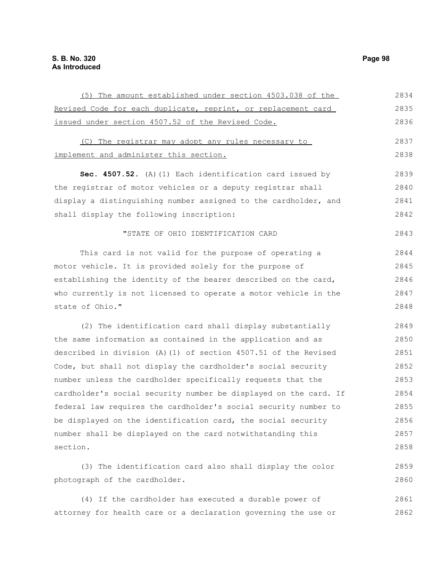| (5) The amount established under section 4503.038 of the         | 2834 |
|------------------------------------------------------------------|------|
| Revised Code for each duplicate, reprint, or replacement card    | 2835 |
| issued under section 4507.52 of the Revised Code.                | 2836 |
| (C) The registrar may adopt any rules necessary to               | 2837 |
|                                                                  |      |
| implement and administer this section.                           | 2838 |
| Sec. 4507.52. (A) (1) Each identification card issued by         | 2839 |
| the registrar of motor vehicles or a deputy registrar shall      | 2840 |
| display a distinguishing number assigned to the cardholder, and  | 2841 |
| shall display the following inscription:                         | 2842 |
| "STATE OF OHIO IDENTIFICATION CARD                               | 2843 |
|                                                                  |      |
| This card is not valid for the purpose of operating a            | 2844 |
| motor vehicle. It is provided solely for the purpose of          | 2845 |
| establishing the identity of the bearer described on the card,   | 2846 |
| who currently is not licensed to operate a motor vehicle in the  | 2847 |
| state of Ohio."                                                  | 2848 |
| (2) The identification card shall display substantially          | 2849 |
| the same information as contained in the application and as      | 2850 |
| described in division (A)(1) of section 4507.51 of the Revised   | 2851 |
| Code, but shall not display the cardholder's social security     | 2852 |
| number unless the cardholder specifically requests that the      | 2853 |
| cardholder's social security number be displayed on the card. If | 2854 |
| federal law requires the cardholder's social security number to  | 2855 |
| be displayed on the identification card, the social security     | 2856 |
| number shall be displayed on the card notwithstanding this       | 2857 |
| section.                                                         | 2858 |
| (3) The identification card also shall display the color         | 2859 |
| photograph of the cardholder.                                    | 2860 |

(4) If the cardholder has executed a durable power of attorney for health care or a declaration governing the use or 2861 2862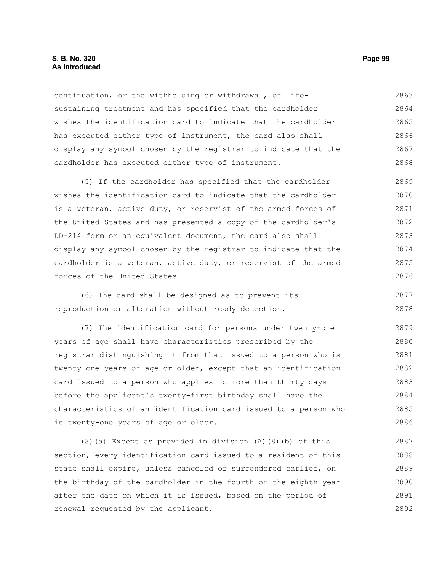### **S. B. No. 320 Page 99 As Introduced**

continuation, or the withholding or withdrawal, of lifesustaining treatment and has specified that the cardholder wishes the identification card to indicate that the cardholder has executed either type of instrument, the card also shall display any symbol chosen by the registrar to indicate that the cardholder has executed either type of instrument. 2863 2864 2865 2866 2867 2868

(5) If the cardholder has specified that the cardholder wishes the identification card to indicate that the cardholder is a veteran, active duty, or reservist of the armed forces of the United States and has presented a copy of the cardholder's DD-214 form or an equivalent document, the card also shall display any symbol chosen by the registrar to indicate that the cardholder is a veteran, active duty, or reservist of the armed forces of the United States. 2869 2870 2871 2872 2873 2874 2875 2876

(6) The card shall be designed as to prevent its reproduction or alteration without ready detection. 2877 2878

(7) The identification card for persons under twenty-one years of age shall have characteristics prescribed by the registrar distinguishing it from that issued to a person who is twenty-one years of age or older, except that an identification card issued to a person who applies no more than thirty days before the applicant's twenty-first birthday shall have the characteristics of an identification card issued to a person who is twenty-one years of age or older. 2879 2880 2881 2882 2883 2884 2885 2886

(8)(a) Except as provided in division (A)(8)(b) of this section, every identification card issued to a resident of this state shall expire, unless canceled or surrendered earlier, on the birthday of the cardholder in the fourth or the eighth year after the date on which it is issued, based on the period of renewal requested by the applicant. 2887 2888 2889 2890 2891 2892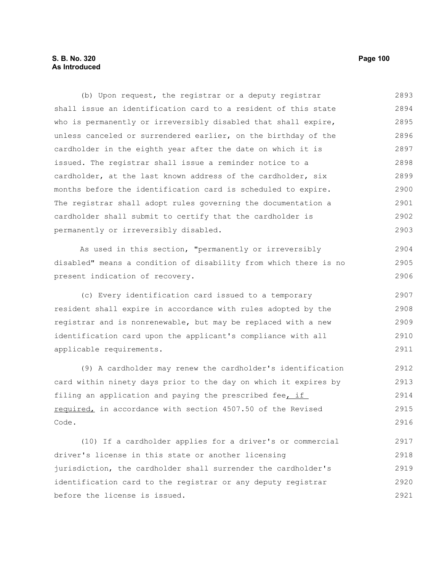# **S. B. No. 320** Page 100 **As Introduced**

(b) Upon request, the registrar or a deputy registrar shall issue an identification card to a resident of this state who is permanently or irreversibly disabled that shall expire, unless canceled or surrendered earlier, on the birthday of the cardholder in the eighth year after the date on which it is issued. The registrar shall issue a reminder notice to a cardholder, at the last known address of the cardholder, six months before the identification card is scheduled to expire. The registrar shall adopt rules governing the documentation a cardholder shall submit to certify that the cardholder is permanently or irreversibly disabled. 2893 2894 2895 2896 2897 2898 2899 2900 2901 2902 2903

As used in this section, "permanently or irreversibly disabled" means a condition of disability from which there is no present indication of recovery.

(c) Every identification card issued to a temporary resident shall expire in accordance with rules adopted by the registrar and is nonrenewable, but may be replaced with a new identification card upon the applicant's compliance with all applicable requirements. 2907 2908 2909 2910 2911

(9) A cardholder may renew the cardholder's identification card within ninety days prior to the day on which it expires by filing an application and paying the prescribed fee, if required, in accordance with section 4507.50 of the Revised Code. 2912 2913 2914 2915 2916

(10) If a cardholder applies for a driver's or commercial driver's license in this state or another licensing jurisdiction, the cardholder shall surrender the cardholder's identification card to the registrar or any deputy registrar before the license is issued. 2917 2918 2919 2920 2921

2904 2905 2906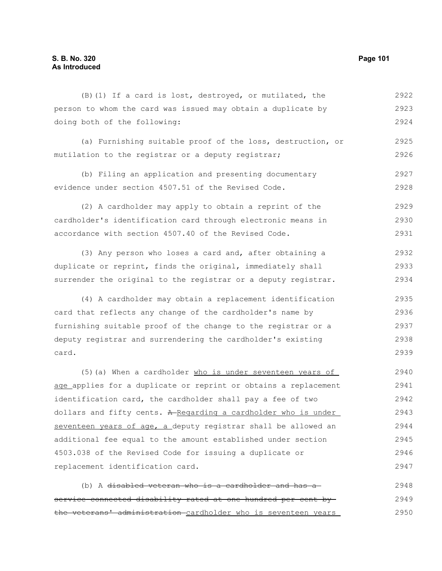| $(B)$ (1) If a card is lost, destroyed, or mutilated, the    | 2922 |
|--------------------------------------------------------------|------|
| person to whom the card was issued may obtain a duplicate by | 2923 |
| doing both of the following:                                 | 2924 |

(a) Furnishing suitable proof of the loss, destruction, or mutilation to the registrar or a deputy registrar; 2925 2926

(b) Filing an application and presenting documentary evidence under section 4507.51 of the Revised Code. 2927 2928

(2) A cardholder may apply to obtain a reprint of the cardholder's identification card through electronic means in accordance with section 4507.40 of the Revised Code. 2929 2930 2931

(3) Any person who loses a card and, after obtaining a duplicate or reprint, finds the original, immediately shall surrender the original to the registrar or a deputy registrar. 2932 2933 2934

(4) A cardholder may obtain a replacement identification card that reflects any change of the cardholder's name by furnishing suitable proof of the change to the registrar or a deputy registrar and surrendering the cardholder's existing card. 2935 2936 2937 2938 2939

(5)(a) When a cardholder who is under seventeen years of age applies for a duplicate or reprint or obtains a replacement identification card, the cardholder shall pay a fee of two dollars and fifty cents. A-Regarding a cardholder who is under seventeen years of age, a deputy registrar shall be allowed an additional fee equal to the amount established under section 4503.038 of the Revised Code for issuing a duplicate or replacement identification card. 2940 2941 2942 2943 2944 2945 2946 2947

(b) A disabled veteran who is a cardholder and has a service-connected disability rated at one hundred per cent by the veterans' administration cardholder who is seventeen years 2948 2949 2950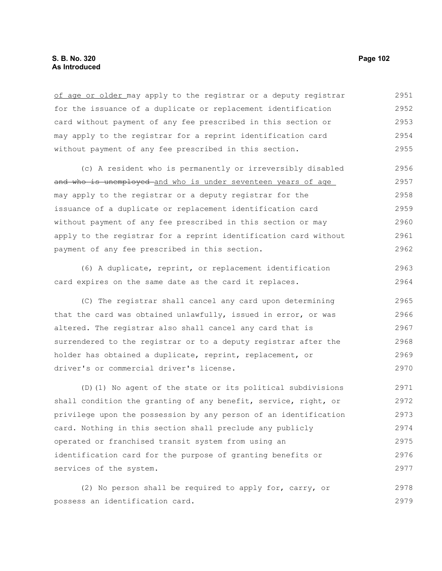of age or older may apply to the registrar or a deputy registrar for the issuance of a duplicate or replacement identification card without payment of any fee prescribed in this section or may apply to the registrar for a reprint identification card without payment of any fee prescribed in this section. 2951 2952 2953 2954 2955

(c) A resident who is permanently or irreversibly disabled and who is unemployed and who is under seventeen years of age may apply to the registrar or a deputy registrar for the issuance of a duplicate or replacement identification card without payment of any fee prescribed in this section or may apply to the registrar for a reprint identification card without payment of any fee prescribed in this section. 2956 2957 2958 2959 2960 2961 2962

(6) A duplicate, reprint, or replacement identification card expires on the same date as the card it replaces. 2963 2964

(C) The registrar shall cancel any card upon determining that the card was obtained unlawfully, issued in error, or was altered. The registrar also shall cancel any card that is surrendered to the registrar or to a deputy registrar after the holder has obtained a duplicate, reprint, replacement, or driver's or commercial driver's license. 2965 2966 2967 2968 2969 2970

(D)(1) No agent of the state or its political subdivisions shall condition the granting of any benefit, service, right, or privilege upon the possession by any person of an identification card. Nothing in this section shall preclude any publicly operated or franchised transit system from using an identification card for the purpose of granting benefits or services of the system. 2971 2972 2973 2974 2975 2976 2977

(2) No person shall be required to apply for, carry, or possess an identification card. 2978 2979